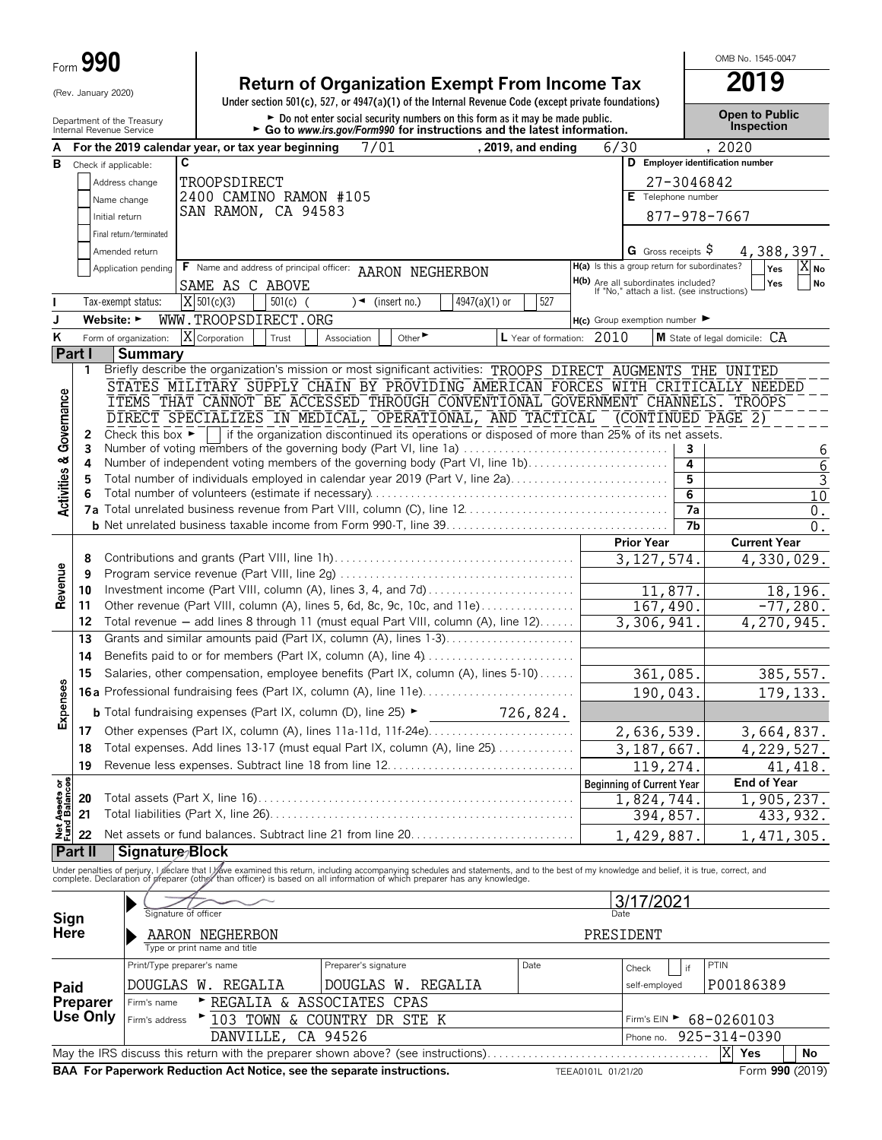|                                                        | Form 990                       |                                                   |                              |            |                                                                                                                                                                                                                                   |                       |               |                           |      |                                                                                   |                | OMB No. 1545-0047                   |                           |
|--------------------------------------------------------|--------------------------------|---------------------------------------------------|------------------------------|------------|-----------------------------------------------------------------------------------------------------------------------------------------------------------------------------------------------------------------------------------|-----------------------|---------------|---------------------------|------|-----------------------------------------------------------------------------------|----------------|-------------------------------------|---------------------------|
|                                                        | (Rev. January 2020)            |                                                   |                              |            | <b>Return of Organization Exempt From Income Tax</b><br>Under section 501(c), 527, or 4947(a)(1) of the Internal Revenue Code (except private foundations)                                                                        |                       |               |                           |      |                                                                                   |                | 2019                                |                           |
| Department of the Treasury<br>Internal Revenue Service |                                |                                                   |                              |            | Do not enter social security numbers on this form as it may be made public.<br>Go to www.irs.gov/Form990 for instructions and the latest information.                                                                             |                       |               |                           |      |                                                                                   |                | <b>Open to Public</b><br>Inspection |                           |
| A                                                      |                                | For the 2019 calendar year, or tax year beginning |                              |            |                                                                                                                                                                                                                                   | 7/01                  |               | , 2019, and ending        | 6/30 |                                                                                   |                | , 2020                              |                           |
| в                                                      | Check if applicable:           | C                                                 |                              |            |                                                                                                                                                                                                                                   |                       |               |                           |      |                                                                                   |                | D Employer identification number    |                           |
|                                                        |                                | Address change                                    | TROOPSDIRECT                 |            |                                                                                                                                                                                                                                   |                       |               |                           |      |                                                                                   | 27-3046842     |                                     |                           |
|                                                        |                                | Name change                                       |                              |            | 2400 CAMINO RAMON #105                                                                                                                                                                                                            |                       |               |                           |      | E Telephone number                                                                |                |                                     |                           |
|                                                        |                                | Initial return                                    | SAN RAMON, CA 94583          |            |                                                                                                                                                                                                                                   |                       |               |                           |      |                                                                                   |                | 877-978-7667                        |                           |
|                                                        |                                | Final return/terminated                           |                              |            |                                                                                                                                                                                                                                   |                       |               |                           |      |                                                                                   |                |                                     |                           |
|                                                        |                                | Amended return                                    |                              |            |                                                                                                                                                                                                                                   |                       |               |                           |      | G Gross receipts \$                                                               |                |                                     | 4,388,397.                |
|                                                        |                                | Application pending                               |                              |            | F Name and address of principal officer: AARON NEGHERBON                                                                                                                                                                          |                       |               |                           |      | H(a) Is this a group return for subordinates?                                     |                | Yes                                 | X No                      |
|                                                        |                                |                                                   | SAME AS C ABOVE              |            |                                                                                                                                                                                                                                   |                       |               |                           |      | H(b) Are all subordinates included?<br>If "No," attach a list. (see instructions) |                | Yes                                 | No                        |
|                                                        |                                | Tax-exempt status:                                | $X$ 501(c)(3)                | $501(c)$ ( | ∖◄                                                                                                                                                                                                                                | (insert no.)          | 4947(a)(1) or | 527                       |      |                                                                                   |                |                                     |                           |
| J                                                      | Website: $\blacktriangleright$ |                                                   | WWW.TROOPSDIRECT.ORG         |            |                                                                                                                                                                                                                                   |                       |               |                           |      |                                                                                   |                |                                     |                           |
|                                                        |                                |                                                   |                              |            |                                                                                                                                                                                                                                   |                       |               |                           |      | $H(c)$ Group exemption number                                                     |                |                                     |                           |
| Κ                                                      |                                | Form of organization:                             | X Corporation                | Trust      | Association                                                                                                                                                                                                                       | Other <sup>&gt;</sup> |               | L Year of formation: 2010 |      |                                                                                   |                | M State of legal domicile: CA       |                           |
|                                                        | Part I                         | <b>Summary</b>                                    |                              |            |                                                                                                                                                                                                                                   |                       |               |                           |      |                                                                                   |                |                                     |                           |
|                                                        | 1                              |                                                   |                              |            | Briefly describe the organization's mission or most significant activities: TROOPS DIRECT AUGMENTS                                                                                                                                |                       |               |                           |      |                                                                                   | THE            | UNITED                              |                           |
|                                                        |                                |                                                   |                              |            | STATES MILITARY SUPPLY CHAIN BY PROVIDING AMERICAN FORCES WITH CRITICALLY NEEDED                                                                                                                                                  |                       |               |                           |      |                                                                                   |                |                                     |                           |
|                                                        |                                |                                                   |                              |            | ITEMS THAT CANNOT BE ACCESSED THROUGH CONVENTIONAL GOVERNMENT CHANNELS. TROOPS                                                                                                                                                    |                       |               |                           |      |                                                                                   |                |                                     |                           |
| Governance                                             |                                |                                                   |                              |            | DIRECT SPECIALIZES IN MEDICAL, OPERATIONAL, AND TACTICAL                                                                                                                                                                          |                       |               |                           |      |                                                                                   |                | (CONTINUED PAGE 2)                  |                           |
|                                                        | 2<br>3                         | Check this box $\blacktriangleright$              |                              |            | if the organization discontinued its operations or disposed of more than 25% of its net assets.<br>Number of voting members of the governing body (Part VI, line 1a)                                                              |                       |               |                           |      |                                                                                   | 3              |                                     |                           |
|                                                        | 4                              |                                                   |                              |            | Number of independent voting members of the governing body (Part VI, line 1b)                                                                                                                                                     |                       |               |                           |      |                                                                                   | 4              |                                     | 6<br>6                    |
|                                                        | 5                              |                                                   |                              |            | Total number of individuals employed in calendar year 2019 (Part V, line 2a)                                                                                                                                                      |                       |               |                           |      |                                                                                   | 5              |                                     | 3                         |
| <b>Activities &amp;</b>                                |                                |                                                   |                              |            |                                                                                                                                                                                                                                   |                       |               |                           |      |                                                                                   | 6              |                                     | 10                        |
|                                                        |                                |                                                   |                              |            |                                                                                                                                                                                                                                   |                       |               |                           |      |                                                                                   | 7a             |                                     | 0.                        |
|                                                        |                                |                                                   |                              |            |                                                                                                                                                                                                                                   |                       |               |                           |      |                                                                                   | 7 <sub>b</sub> |                                     | $0$ .                     |
|                                                        |                                |                                                   |                              |            |                                                                                                                                                                                                                                   |                       |               |                           |      | <b>Prior Year</b>                                                                 |                | <b>Current Year</b>                 |                           |
|                                                        | 8                              |                                                   |                              |            |                                                                                                                                                                                                                                   |                       |               |                           |      | 3, 127, 574.                                                                      |                |                                     | $\overline{4,330,029}$ .  |
| Revenue                                                | 9                              |                                                   |                              |            |                                                                                                                                                                                                                                   |                       |               |                           |      |                                                                                   |                |                                     |                           |
|                                                        | 10                             |                                                   |                              |            | Investment income (Part VIII, column (A), lines 3, 4, and 7d)                                                                                                                                                                     |                       |               |                           |      | 11,877.                                                                           |                |                                     | 18,196.                   |
|                                                        | 11                             |                                                   |                              |            | Other revenue (Part VIII, column (A), lines 5, 6d, 8c, 9c, 10c, and 11e)                                                                                                                                                          |                       |               |                           |      | 167,490.                                                                          |                |                                     | $-77,280.$                |
|                                                        | 12                             |                                                   |                              |            | Total revenue - add lines 8 through 11 (must equal Part VIII, column (A), line 12)                                                                                                                                                |                       |               |                           |      | 3,306,941                                                                         |                |                                     | 4,270,945.                |
|                                                        | 13                             |                                                   |                              |            | Grants and similar amounts paid (Part IX, column (A), lines 1-3)                                                                                                                                                                  |                       |               |                           |      |                                                                                   |                |                                     |                           |
|                                                        | 14                             |                                                   |                              |            | Benefits paid to or for members (Part IX, column (A), line 4)                                                                                                                                                                     |                       |               |                           |      |                                                                                   |                |                                     |                           |
|                                                        | 15                             |                                                   |                              |            | Salaries, other compensation, employee benefits (Part IX, column (A), lines 5-10)                                                                                                                                                 |                       |               |                           |      | 361,085.                                                                          |                |                                     | 385, 557.                 |
| ises                                                   |                                |                                                   |                              |            |                                                                                                                                                                                                                                   |                       |               |                           |      | 190,043.                                                                          |                |                                     | 179, 133.                 |
|                                                        |                                |                                                   |                              |            |                                                                                                                                                                                                                                   |                       |               |                           |      |                                                                                   |                |                                     |                           |
| Exper                                                  |                                |                                                   |                              |            | <b>b</b> Total fundraising expenses (Part IX, column (D), line 25) $\blacktriangleright$                                                                                                                                          |                       |               | 726,824.                  |      |                                                                                   |                |                                     |                           |
|                                                        | 17                             |                                                   |                              |            | Other expenses (Part IX, column (A), lines 11a-11d, 11f-24e)                                                                                                                                                                      |                       |               |                           |      | 2,636,539.                                                                        |                |                                     | 3,664,837.                |
|                                                        | 18                             |                                                   |                              |            | Total expenses. Add lines 13-17 (must equal Part IX, column (A), line 25)                                                                                                                                                         |                       |               |                           |      | 3, 187, 667.                                                                      |                |                                     | 4, 229, 527.              |
|                                                        | 19                             |                                                   |                              |            |                                                                                                                                                                                                                                   |                       |               |                           |      | 119,274                                                                           |                |                                     | 41, 418.                  |
| Net Assets or<br>Fund Balances                         |                                |                                                   |                              |            |                                                                                                                                                                                                                                   |                       |               |                           |      | <b>Beginning of Current Year</b>                                                  |                | <b>End of Year</b>                  |                           |
|                                                        | 20                             |                                                   |                              |            |                                                                                                                                                                                                                                   |                       |               |                           |      | 1,824,744                                                                         |                |                                     | $\overline{1,905}$ , 237. |
|                                                        | 21                             |                                                   |                              |            |                                                                                                                                                                                                                                   |                       |               |                           |      | 394,857.                                                                          |                |                                     | 433, 932.                 |
|                                                        | 22                             |                                                   |                              |            |                                                                                                                                                                                                                                   |                       |               |                           |      | 1,429,887.                                                                        |                |                                     | 1,471,305.                |
|                                                        | Part II                        | Signature/Block                                   |                              |            |                                                                                                                                                                                                                                   |                       |               |                           |      |                                                                                   |                |                                     |                           |
|                                                        |                                |                                                   |                              |            | Under penalties of perjury, I geclare that I yave examined this return, including accompanying schedules and statements, and to the best of my knowledge and belief, it is true, correct, and<br>complete. Declaration of grepare |                       |               |                           |      |                                                                                   |                |                                     |                           |
|                                                        |                                |                                                   |                              |            |                                                                                                                                                                                                                                   |                       |               |                           |      |                                                                                   |                |                                     |                           |
|                                                        |                                |                                                   |                              |            |                                                                                                                                                                                                                                   |                       |               |                           |      | 3/17/2021                                                                         |                |                                     |                           |
| Sign                                                   |                                | Signature of officer                              |                              |            |                                                                                                                                                                                                                                   |                       |               |                           | Date |                                                                                   |                |                                     |                           |
| <b>Here</b>                                            |                                |                                                   | AARON NEGHERBON              |            |                                                                                                                                                                                                                                   |                       |               |                           |      | PRESIDENT                                                                         |                |                                     |                           |
|                                                        |                                |                                                   | Type or print name and title |            |                                                                                                                                                                                                                                   |                       |               |                           |      |                                                                                   |                |                                     |                           |
|                                                        |                                | Print/Type preparer's name                        |                              |            | Preparer's signature                                                                                                                                                                                                              |                       |               | Date                      |      | Check                                                                             | if             | PTIN                                |                           |
| Paid                                                   |                                | DOUGLAS W. REGALIA                                |                              |            |                                                                                                                                                                                                                                   | DOUGLAS W. REGALIA    |               |                           |      | self-employed                                                                     |                | P00186389                           |                           |
|                                                        | Preparer                       | Firm's name                                       | $\triangleright$ REGALIA     | &          | ASSOCIATES                                                                                                                                                                                                                        | CPAS                  |               |                           |      |                                                                                   |                |                                     |                           |
|                                                        | <b>Use Only</b>                | Firm's address                                    | $^{\triangleright}$ 103 TOWN | ଙ୍         | COUNTRY DR STE K                                                                                                                                                                                                                  |                       |               |                           |      |                                                                                   |                | Firm's EIN > 68-0260103             |                           |
|                                                        |                                |                                                   | DANVILLE,                    |            | CA 94526                                                                                                                                                                                                                          |                       |               |                           |      | Phone no.                                                                         |                | 925-314-0390                        |                           |
|                                                        |                                |                                                   |                              |            |                                                                                                                                                                                                                                   |                       |               |                           |      |                                                                                   |                | X Yes                               | No                        |
|                                                        |                                |                                                   |                              |            |                                                                                                                                                                                                                                   |                       |               |                           |      |                                                                                   |                |                                     |                           |

**BAA For Paperwork Reduction Act Notice, see the separate instructions.** TEEA0101L 01/21/20 Form 990 (2019)

 $\overline{a}$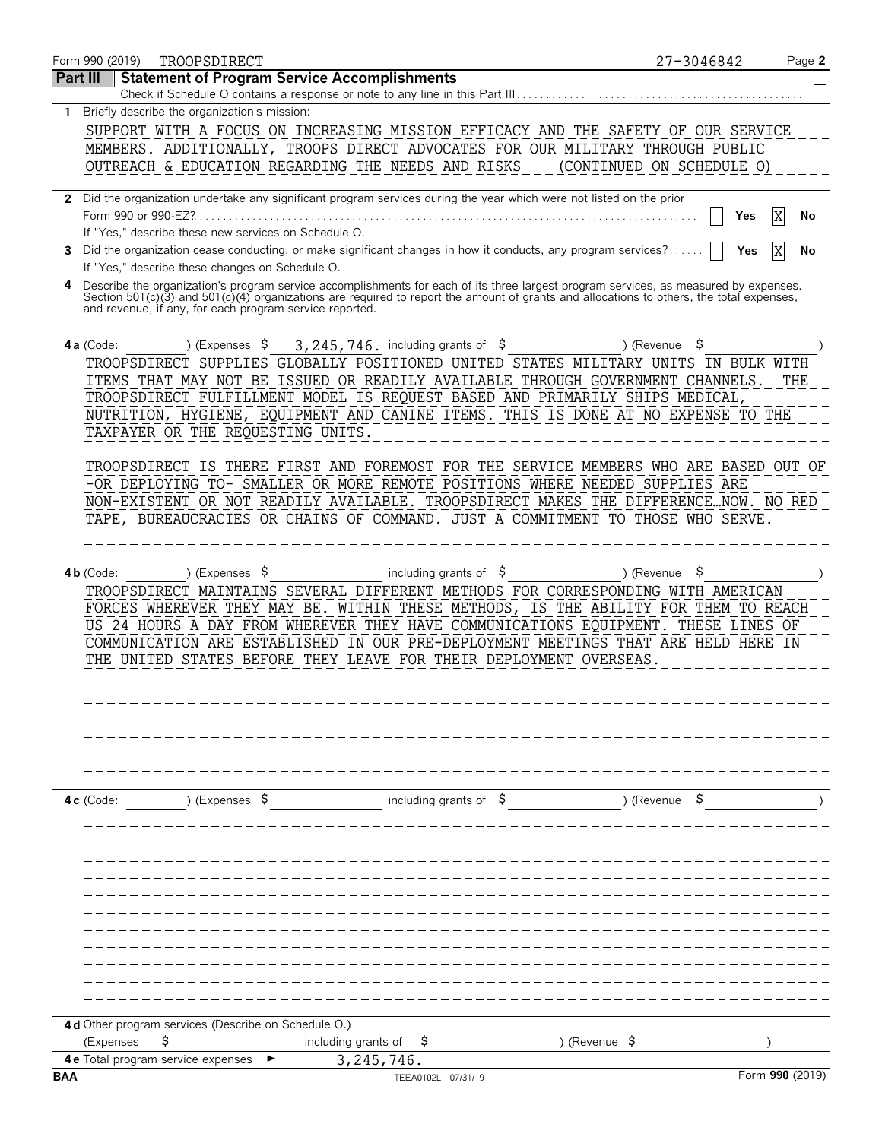| Form 990 (2019)     | TROOPSDIRECT                                            |                                                                                                                                                                                                                                                                                  | 27-3046842                | Page 2  |
|---------------------|---------------------------------------------------------|----------------------------------------------------------------------------------------------------------------------------------------------------------------------------------------------------------------------------------------------------------------------------------|---------------------------|---------|
| Part III            | <b>Statement of Program Service Accomplishments</b>     | Check if Schedule O contains a response or note to any line in this Part III                                                                                                                                                                                                     |                           |         |
|                     | Briefly describe the organization's mission:            |                                                                                                                                                                                                                                                                                  |                           |         |
|                     |                                                         |                                                                                                                                                                                                                                                                                  |                           |         |
|                     |                                                         | SUPPORT WITH A FOCUS ON INCREASING MISSION EFFICACY AND THE SAFETY OF OUR SERVICE                                                                                                                                                                                                |                           |         |
|                     |                                                         | MEMBERS. ADDITIONALLY, TROOPS DIRECT ADVOCATES FOR OUR MILITARY THROUGH PUBLIC                                                                                                                                                                                                   |                           |         |
|                     |                                                         | OUTREACH & EDUCATION REGARDING THE NEEDS AND RISKS                                                                                                                                                                                                                               | (CONTINUED ON SCHEDULE O) |         |
|                     |                                                         | 2 Did the organization undertake any significant program services during the year which were not listed on the prior                                                                                                                                                             |                           |         |
| Form 990 or 990-EZ? |                                                         |                                                                                                                                                                                                                                                                                  | Yes                       | X<br>No |
|                     | If "Yes," describe these new services on Schedule O.    |                                                                                                                                                                                                                                                                                  |                           |         |
|                     | If "Yes," describe these changes on Schedule O.         | 3 Did the organization cease conducting, or make significant changes in how it conducts, any program services?                                                                                                                                                                   | Yes                       | No      |
|                     |                                                         | Describe the organization's program service accomplishments for each of its three largest program services, as measured by expenses.<br>Section 501(c)(3) and 501(c)(4) organizations are required to report the amount of grants and allocations to others, the total expenses, |                           |         |
|                     | and revenue, if any, for each program service reported. |                                                                                                                                                                                                                                                                                  |                           |         |
| $4a$ (Code:         | ) (Expenses $\sqrt{5}$                                  | 3, 245, 746. including grants of $$$                                                                                                                                                                                                                                             | \$<br>) (Revenue          |         |
|                     |                                                         | TROOPSDIRECT SUPPLIES GLOBALLY POSITIONED UNITED STATES MILITARY UNITS IN BULK WITH<br>ITEMS THAT MAY NOT BE ISSUED OR READILY AVAILABLE THROUGH GOVERNMENT CHANNELS.                                                                                                            |                           | THE     |
|                     |                                                         | TROOPSDIRECT FULFILLMENT MODEL IS REQUEST BASED AND PRIMARILY SHIPS MEDICAL,                                                                                                                                                                                                     |                           |         |
|                     |                                                         | NUTRITION, HYGIENE, EQUIPMENT AND CANINE ITEMS. THIS IS DONE AT NO EXPENSE TO THE                                                                                                                                                                                                |                           |         |
|                     | TAXPAYER OR THE REQUESTING UNITS.                       |                                                                                                                                                                                                                                                                                  |                           |         |
|                     |                                                         | TROOPSDIRECT IS THERE FIRST AND FOREMOST FOR THE SERVICE MEMBERS WHO ARE BASED OUT OF                                                                                                                                                                                            |                           |         |
|                     |                                                         | -OR DEPLOYING TO- SMALLER OR MORE REMOTE POSITIONS WHERE NEEDED SUPPLIES ARE                                                                                                                                                                                                     |                           |         |
|                     |                                                         | NON-EXISTENT OR NOT READILY AVAILABLE. TROOPSDIRECT MAKES THE DIFFERENCENOW. NO RED                                                                                                                                                                                              |                           |         |
|                     |                                                         | TAPE, BUREAUCRACIES OR CHAINS OF COMMAND. JUST A COMMITMENT TO THOSE WHO SERVE.                                                                                                                                                                                                  |                           |         |
|                     |                                                         |                                                                                                                                                                                                                                                                                  |                           |         |
|                     |                                                         |                                                                                                                                                                                                                                                                                  |                           |         |
| $4b$ (Code:         | ) (Expenses $\sqrt{5}$                                  | including grants of $$$                                                                                                                                                                                                                                                          | \$<br>) (Revenue          |         |
|                     |                                                         | TROOPSDIRECT MAINTAINS SEVERAL DIFFERENT METHODS FOR CORRESPONDING WITH AMERICAN                                                                                                                                                                                                 |                           |         |
|                     |                                                         | FORCES WHEREVER THEY MAY BE. WITHIN THESE METHODS, IS THE ABILITY FOR THEM TO REACH                                                                                                                                                                                              |                           |         |
|                     |                                                         | US 24 HOURS A DAY FROM WHEREVER THEY HAVE COMMUNICATIONS EQUIPMENT. THESE LINES OF                                                                                                                                                                                               |                           |         |
|                     |                                                         | COMMUNICATION ARE ESTABLISHED IN OUR PRE-DEPLOYMENT MEETINGS THAT ARE HELD HERE IN                                                                                                                                                                                               |                           |         |
|                     |                                                         |                                                                                                                                                                                                                                                                                  |                           |         |
|                     |                                                         | THE UNITED STATES BEFORE THEY LEAVE FOR THEIR DEPLOYMENT OVERSEAS                                                                                                                                                                                                                |                           |         |
|                     |                                                         |                                                                                                                                                                                                                                                                                  |                           |         |
|                     |                                                         |                                                                                                                                                                                                                                                                                  |                           |         |
|                     |                                                         |                                                                                                                                                                                                                                                                                  |                           |         |
|                     |                                                         |                                                                                                                                                                                                                                                                                  |                           |         |
|                     |                                                         |                                                                                                                                                                                                                                                                                  |                           |         |
|                     | ) (Expenses $\frac{1}{2}$                               | including grants of $\frac{1}{2}$                                                                                                                                                                                                                                                | ) (Revenue                |         |
|                     |                                                         |                                                                                                                                                                                                                                                                                  |                           |         |
|                     |                                                         |                                                                                                                                                                                                                                                                                  |                           |         |
|                     |                                                         |                                                                                                                                                                                                                                                                                  |                           |         |
|                     |                                                         |                                                                                                                                                                                                                                                                                  |                           |         |
| $4c$ (Code:         |                                                         |                                                                                                                                                                                                                                                                                  |                           |         |
|                     |                                                         |                                                                                                                                                                                                                                                                                  |                           |         |
|                     |                                                         |                                                                                                                                                                                                                                                                                  |                           |         |
|                     | 4 d Other program services (Describe on Schedule O.)    |                                                                                                                                                                                                                                                                                  |                           |         |
| (Expenses           | \$<br><b>4e</b> Total program service expenses          | including grants of<br>Ş<br>3,245,746.                                                                                                                                                                                                                                           | ) (Revenue $\sqrt{5}$     |         |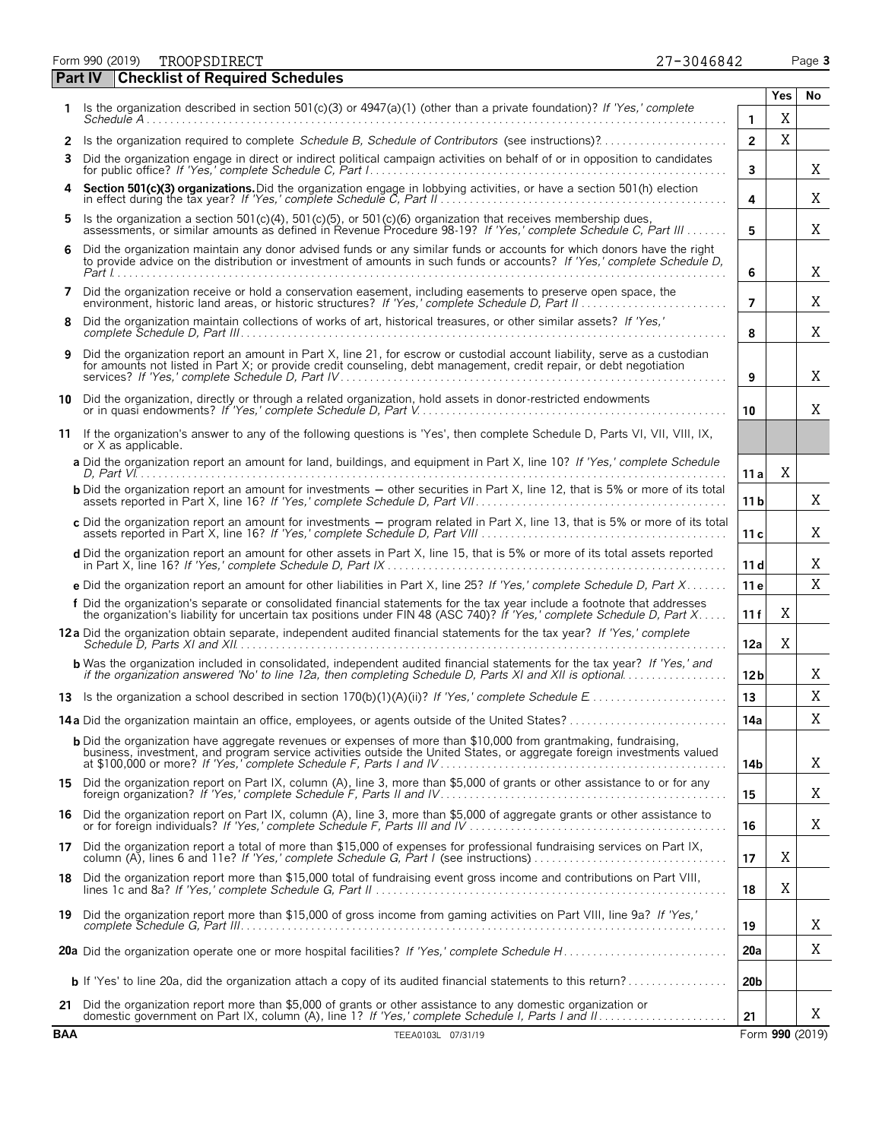Form 990 (2019) Page **3** TROOPSDIRECT 27-3046842

| 27-3046842 |  |  |  |
|------------|--|--|--|
|            |  |  |  |

|        | <b>Checklist of Required Schedules</b><br><b>Part IV</b>                                                                                                                                                                                            |                      |            |                 |
|--------|-----------------------------------------------------------------------------------------------------------------------------------------------------------------------------------------------------------------------------------------------------|----------------------|------------|-----------------|
|        | Is the organization described in section 501(c)(3) or $4947(a)(1)$ (other than a private foundation)? If 'Yes,' complete                                                                                                                            |                      | <b>Yes</b> | No              |
|        |                                                                                                                                                                                                                                                     | 1.<br>$\overline{2}$ | X<br>X     |                 |
| 2<br>3 | Is the organization required to complete Schedule B, Schedule of Contributors (see instructions)?<br>Did the organization engage in direct or indirect political campaign activities on behalf of or in opposition to candidates                    | 3                    |            | X               |
|        | Section 501(c)(3) organizations. Did the organization engage in lobbying activities, or have a section 501(h) election                                                                                                                              | 4                    |            | X               |
| 5      | Is the organization a section 501(c)(4), 501(c)(5), or 501(c)(6) organization that receives membership dues,<br>assessments, or similar amounts as defined in Revenue Procedure 98-19? If 'Yes,' complete Schedule C, Part III                      | 5                    |            | Χ               |
| 6      | Did the organization maintain any donor advised funds or any similar funds or accounts for which donors have the right<br>to provide advice on the distribution or investment of amounts in such funds or accounts? If 'Yes,' complete Schedule D,  | 6                    |            | Χ               |
| 7      | Did the organization receive or hold a conservation easement, including easements to preserve open space, the                                                                                                                                       | $\overline{7}$       |            | X               |
| 8      | Did the organization maintain collections of works of art, historical treasures, or other similar assets? If 'Yes,'                                                                                                                                 | 8                    |            | X               |
| 9      | Did the organization report an amount in Part X, line 21, for escrow or custodial account liability, serve as a custodian<br>for amounts not listed in Part X; or provide credit counseling, debt management, credit repair, or debt negotiation    | 9                    |            | X               |
| 10     | Did the organization, directly or through a related organization, hold assets in donor-restricted endowments                                                                                                                                        | 10                   |            | X               |
| 11     | If the organization's answer to any of the following questions is 'Yes', then complete Schedule D, Parts VI, VII, VIII, IX,<br>or X as applicable.                                                                                                  |                      |            |                 |
|        | a Did the organization report an amount for land, buildings, and equipment in Part X, line 10? If 'Yes,' complete Schedule                                                                                                                          | 11a                  | X          |                 |
|        | <b>b</b> Did the organization report an amount for investments – other securities in Part X, line 12, that is 5% or more of its total                                                                                                               | 11 <sub>b</sub>      |            | X               |
|        | c Did the organization report an amount for investments - program related in Part X, line 13, that is 5% or more of its total                                                                                                                       | 11c                  |            | Χ               |
|        | d Did the organization report an amount for other assets in Part X, line 15, that is 5% or more of its total assets reported                                                                                                                        | 11d                  |            | Χ               |
|        | e Did the organization report an amount for other liabilities in Part X, line 25? If 'Yes,' complete Schedule D, Part X                                                                                                                             | 11 e                 |            | X               |
|        | f Did the organization's separate or consolidated financial statements for the tax year include a footnote that addresses<br>the organization's liability for uncertain tax positions under FIN 48 (ASC 740)? If 'Yes,' complete Schedule D, Part X | 11f                  | Χ          |                 |
|        | 12 a Did the organization obtain separate, independent audited financial statements for the tax year? If 'Yes,' complete                                                                                                                            | 12a                  | Χ          |                 |
|        | <b>b</b> Was the organization included in consolidated, independent audited financial statements for the tax year? If 'Yes,' and<br>if the organization answered 'No' to line 12a, then completing Schedule D, Parts XI and XII is optional         | 12 <sub>b</sub>      |            | X               |
|        |                                                                                                                                                                                                                                                     | 13                   |            | X               |
|        |                                                                                                                                                                                                                                                     | 14a                  |            | X               |
|        | <b>b</b> Did the organization have aggregate revenues or expenses of more than \$10,000 from grantmaking, fundraising,<br>business, investment, and program service activities outside the United States, or aggregate foreign investments valued   | 14b                  |            | X               |
|        | 15 Did the organization report on Part IX, column (A), line 3, more than \$5,000 of grants or other assistance to or for any                                                                                                                        | 15                   |            | X               |
|        | 16 Did the organization report on Part IX, column (A), line 3, more than \$5,000 of aggregate grants or other assistance to or for foreign individuals? If 'Yes,' complete Schedule F, Parts III and IV                                             | 16                   |            | X               |
|        | 17 Did the organization report a total of more than \$15,000 of expenses for professional fundraising services on Part IX, column (A), lines 6 and 11e? If 'Yes,' complete Schedule G, Part I (see instructions)                                    | 17                   | Χ          |                 |
|        | 18 Did the organization report more than \$15,000 total of fundraising event gross income and contributions on Part VIII,                                                                                                                           | 18                   | Χ          |                 |
|        | 19 Did the organization report more than \$15,000 of gross income from gaming activities on Part VIII, line 9a? If 'Yes,'                                                                                                                           | 19                   |            | Χ               |
|        |                                                                                                                                                                                                                                                     | 20a                  |            | Χ               |
|        | <b>b</b> If 'Yes' to line 20a, did the organization attach a copy of its audited financial statements to this return?                                                                                                                               | 20 <sub>b</sub>      |            |                 |
|        | 21 Did the organization report more than \$5,000 of grants or other assistance to any domestic organization or                                                                                                                                      | 21                   |            | X               |
| BAA    | TEEA0103L 07/31/19                                                                                                                                                                                                                                  |                      |            | Form 990 (2019) |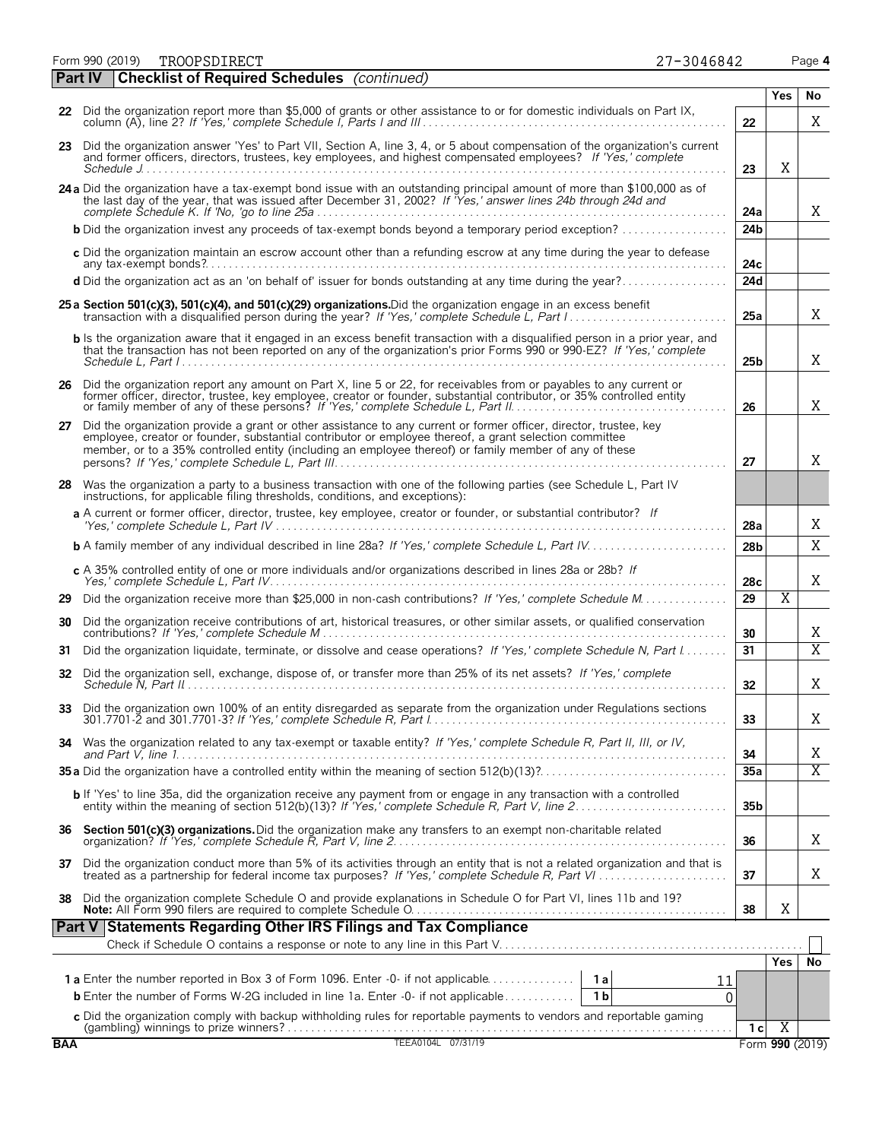Form 990 (2019) Page **4** TROOPSDIRECT 27-3046842

| 27-3046842 |  |  |  |  |
|------------|--|--|--|--|
|            |  |  |  |  |

| aс | c | <b>Contract Contract Contract Contract Contract Contract Contract Contract Contract Contract Contract Contract Co</b> |
|----|---|-----------------------------------------------------------------------------------------------------------------------|
|    |   |                                                                                                                       |

|    | <b>Part IV</b> | <b>Checklist of Required Schedules</b> (continued)                                                                                                                                                                                                                                                                                    |                 |                       |                       |
|----|----------------|---------------------------------------------------------------------------------------------------------------------------------------------------------------------------------------------------------------------------------------------------------------------------------------------------------------------------------------|-----------------|-----------------------|-----------------------|
|    |                |                                                                                                                                                                                                                                                                                                                                       |                 | <b>Yes</b>            | No                    |
|    |                | 22 Did the organization report more than \$5,000 of grants or other assistance to or for domestic individuals on Part IX,                                                                                                                                                                                                             | 22              |                       | X                     |
|    |                | 23 Did the organization answer 'Yes' to Part VII, Section A, line 3, 4, or 5 about compensation of the organization's current<br>and former officers, directors, trustees, key employees, and highest compensated employees? If 'Yes,' complete                                                                                       | 23              | Χ                     |                       |
|    |                | 24 a Did the organization have a tax-exempt bond issue with an outstanding principal amount of more than \$100,000 as of<br>the last day of the year, that was issued after December 31, 2002? If "Yes,' answer lines 24b through 24d and                                                                                             | 24a             |                       | X                     |
|    |                | <b>b</b> Did the organization invest any proceeds of tax-exempt bonds beyond a temporary period exception?                                                                                                                                                                                                                            | 24 <sub>b</sub> |                       |                       |
|    |                | c Did the organization maintain an escrow account other than a refunding escrow at any time during the year to defease                                                                                                                                                                                                                | 24c             |                       |                       |
|    |                | d Did the organization act as an 'on behalf of' issuer for bonds outstanding at any time during the year?                                                                                                                                                                                                                             | 24d             |                       |                       |
|    |                | 25 a Section 501(c)(3), 501(c)(4), and 501(c)(29) organizations. Did the organization engage in an excess benefit                                                                                                                                                                                                                     | 25a             |                       | X                     |
|    |                | b Is the organization aware that it engaged in an excess benefit transaction with a disqualified person in a prior year, and<br>that the transaction has not been reported on any of the organization's prior Forms 990 or 990-EZ? If 'Yes,' complete                                                                                 | 25 <sub>b</sub> |                       | X                     |
| 26 |                | Did the organization report any amount on Part X, line 5 or 22, for receivables from or payables to any current or<br>former officer, director, trustee, key employee, creator or founder, substantial contributor, or 35% controlled entity                                                                                          | 26              |                       | X                     |
| 27 |                | Did the organization provide a grant or other assistance to any current or former officer, director, trustee, key<br>employee, creator or founder, substantial contributor or employee thereof, a grant selection committee<br>member, or to a 35% controlled entity (including an employee thereof) or family member of any of these | 27              |                       | X                     |
|    |                | 28 Was the organization a party to a business transaction with one of the following parties (see Schedule L, Part IV<br>instructions, for applicable filing thresholds, conditions, and exceptions):                                                                                                                                  |                 |                       |                       |
|    |                | a A current or former officer, director, trustee, key employee, creator or founder, or substantial contributor? If                                                                                                                                                                                                                    | 28a             |                       | Χ                     |
|    |                |                                                                                                                                                                                                                                                                                                                                       | 28 <sub>b</sub> |                       | X                     |
|    |                | c A 35% controlled entity of one or more individuals and/or organizations described in lines 28a or 28b? If                                                                                                                                                                                                                           | 28 <sub>c</sub> |                       | Χ                     |
| 29 |                |                                                                                                                                                                                                                                                                                                                                       | 29              | $\overline{\text{X}}$ |                       |
| 30 |                | Did the organization receive contributions of art, historical treasures, or other similar assets, or qualified conservation                                                                                                                                                                                                           | 30              |                       | Χ                     |
| 31 |                | Did the organization liquidate, terminate, or dissolve and cease operations? If 'Yes,' complete Schedule N, Part I                                                                                                                                                                                                                    | 31              |                       | $\overline{X}$        |
| 32 |                | Did the organization sell, exchange, dispose of, or transfer more than 25% of its net assets? If 'Yes,' complete                                                                                                                                                                                                                      | 32              |                       | Χ                     |
| 33 |                | Did the organization own 100% of an entity disregarded as separate from the organization under Regulations sections                                                                                                                                                                                                                   | 33              |                       | Χ                     |
| 34 |                | Was the organization related to any tax-exempt or taxable entity? If 'Yes,' complete Schedule R, Part II, III, or IV,                                                                                                                                                                                                                 | 34              |                       | Χ                     |
|    |                |                                                                                                                                                                                                                                                                                                                                       | 35a             |                       | $\overline{\text{X}}$ |
|    |                | <b>b</b> If 'Yes' to line 35a, did the organization receive any payment from or engage in any transaction with a controlled entity within the meaning of section 512(b)(13)? If 'Yes,' complete Schedule R, Part V, line 2                                                                                                            | 35 <sub>b</sub> |                       |                       |
|    |                | 36 Section 501(c)(3) organizations. Did the organization make any transfers to an exempt non-charitable related                                                                                                                                                                                                                       | 36              |                       | X                     |
| 37 |                | Did the organization conduct more than 5% of its activities through an entity that is not a related organization and that is treated as a partnership for federal income tax purposes? If 'Yes,' complete Schedule R, Part VI.                                                                                                        | 37              |                       | Χ                     |
| 38 |                | Did the organization complete Schedule O and provide explanations in Schedule O for Part VI, lines 11b and 19?                                                                                                                                                                                                                        | 38              | X                     |                       |
|    |                | Part V Statements Regarding Other IRS Filings and Tax Compliance                                                                                                                                                                                                                                                                      |                 |                       |                       |
|    |                |                                                                                                                                                                                                                                                                                                                                       |                 | Yes                   | No                    |
|    |                | 1 a Enter the number reported in Box 3 of Form 1096. Enter -0- if not applicable<br>1a<br>11                                                                                                                                                                                                                                          |                 |                       |                       |
|    |                | <b>b</b> Enter the number of Forms W-2G included in line 1a. Enter -0- if not applicable<br>$\overline{1}$ b<br>0                                                                                                                                                                                                                     |                 |                       |                       |
|    |                | c Did the organization comply with backup withholding rules for reportable payments to vendors and reportable qaming                                                                                                                                                                                                                  | 1 c             | $\overline{X}$        |                       |
|    |                |                                                                                                                                                                                                                                                                                                                                       |                 |                       |                       |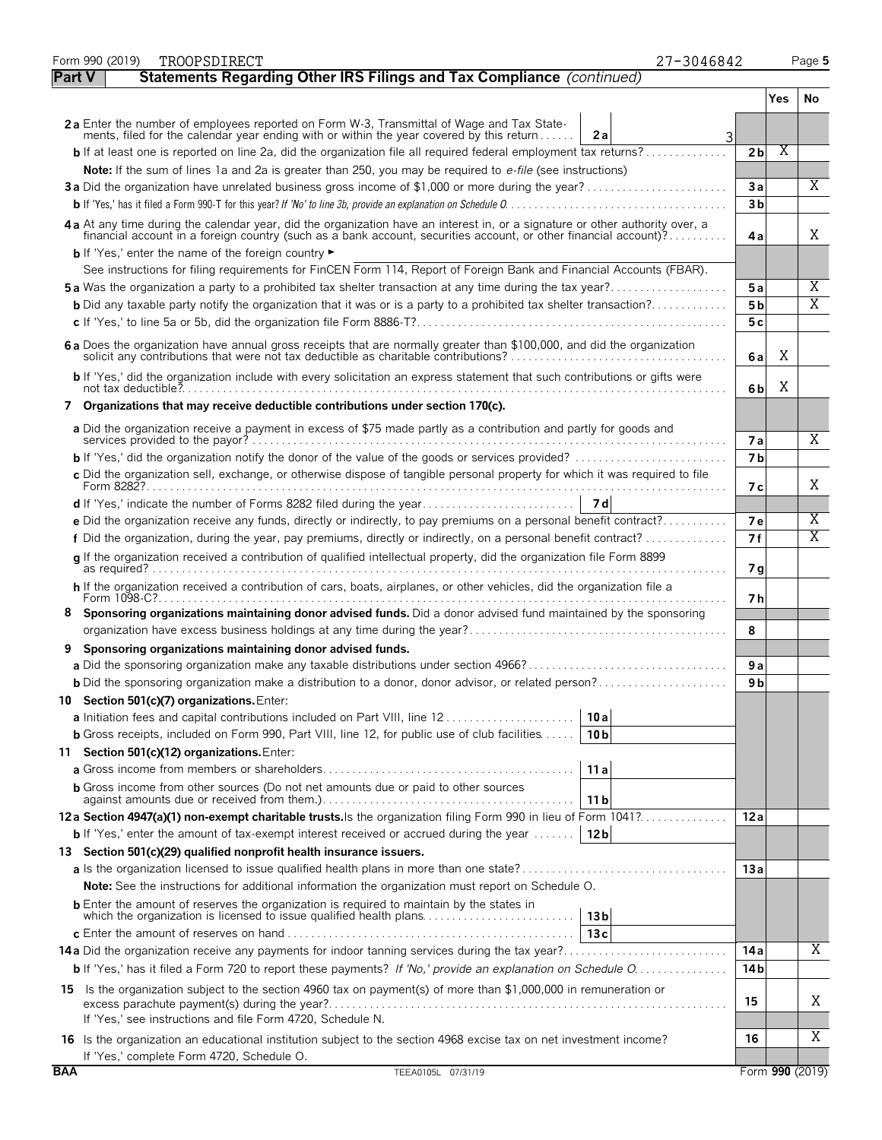|               | Form 990 (2019)<br>TROOPSDIRECT                                                                                                                                                                                                | 27-3046842                |     | Page 5                  |  |
|---------------|--------------------------------------------------------------------------------------------------------------------------------------------------------------------------------------------------------------------------------|---------------------------|-----|-------------------------|--|
| <b>Part V</b> | Statements Regarding Other IRS Filings and Tax Compliance (continued)                                                                                                                                                          |                           |     |                         |  |
|               |                                                                                                                                                                                                                                |                           | Yes | No                      |  |
|               | 2a Enter the number of employees reported on Form W-3, Transmittal of Wage and Tax State-<br>ments, filed for the calendar year ending with or within the year covered by this return                                          |                           |     |                         |  |
|               |                                                                                                                                                                                                                                | 2a<br>3<br>2 <sub>b</sub> |     | Χ                       |  |
|               | Note: If the sum of lines 1a and 2a is greater than 250, you may be required to e-file (see instructions)                                                                                                                      |                           |     |                         |  |
|               | 3a Did the organization have unrelated business gross income of \$1,000 or more during the year?                                                                                                                               | 3a                        |     | Χ                       |  |
|               |                                                                                                                                                                                                                                | 3 <sub>b</sub>            |     |                         |  |
|               | 4a At any time during the calendar year, did the organization have an interest in, or a signature or other authority over, a financial account in a foreign country (such as a bank account, securities account, or other fina |                           |     |                         |  |
|               | <b>b</b> If 'Yes,' enter the name of the foreign country                                                                                                                                                                       | 4а                        |     | Χ                       |  |
|               | See instructions for filing requirements for FinCEN Form 114, Report of Foreign Bank and Financial Accounts (FBAR).                                                                                                            |                           |     |                         |  |
|               | <b>5a</b> Was the organization a party to a prohibited tax shelter transaction at any time during the tax year?                                                                                                                | 5a                        |     | X                       |  |
|               | <b>b</b> Did any taxable party notify the organization that it was or is a party to a prohibited tax shelter transaction?                                                                                                      | 5 <sub>b</sub>            |     | $\overline{\mathrm{X}}$ |  |
|               |                                                                                                                                                                                                                                | 5c                        |     |                         |  |
|               | 6 a Does the organization have annual gross receipts that are normally greater than \$100,000, and did the organization<br>solicit any contributions that were not tax deductible as charitable contributions?                 | 6 a                       |     | X                       |  |
|               | b If 'Yes,' did the organization include with every solicitation an express statement that such contributions or gifts were                                                                                                    | 6b                        |     | Χ                       |  |
|               | 7 Organizations that may receive deductible contributions under section 170(c).                                                                                                                                                |                           |     |                         |  |
|               | a Did the organization receive a payment in excess of \$75 made partly as a contribution and partly for goods and                                                                                                              |                           |     | Χ                       |  |
|               | <b>b</b> If 'Yes,' did the organization notify the donor of the value of the goods or services provided? $\ldots$                                                                                                              | <b>7a</b><br><b>7</b> b   |     |                         |  |
|               | c Did the organization sell, exchange, or otherwise dispose of tangible personal property for which it was required to file                                                                                                    |                           |     |                         |  |
|               |                                                                                                                                                                                                                                | 7 с                       |     | Χ                       |  |
|               |                                                                                                                                                                                                                                |                           |     |                         |  |
|               | e Did the organization receive any funds, directly or indirectly, to pay premiums on a personal benefit contract?                                                                                                              | <b>7e</b>                 |     | X                       |  |
|               |                                                                                                                                                                                                                                | 7f                        |     | $\overline{\text{X}}$   |  |
|               | q If the organization received a contribution of qualified intellectual property, did the organization file Form 8899                                                                                                          | 7 g                       |     |                         |  |
|               | h If the organization received a contribution of cars, boats, airplanes, or other vehicles, did the organization file a<br>Form 1098-C?.                                                                                       | 7 h                       |     |                         |  |
| 8             | Sponsoring organizations maintaining donor advised funds. Did a donor advised fund maintained by the sponsoring                                                                                                                |                           |     |                         |  |
|               |                                                                                                                                                                                                                                | 8                         |     |                         |  |
| 9             | Sponsoring organizations maintaining donor advised funds.                                                                                                                                                                      |                           |     |                         |  |
|               |                                                                                                                                                                                                                                | 9a                        |     |                         |  |
|               | <b>b</b> Did the sponsoring organization make a distribution to a donor, donor advisor, or related person?                                                                                                                     | 9 b                       |     |                         |  |
|               | 10 Section 501(c)(7) organizations. Enter:                                                                                                                                                                                     |                           |     |                         |  |
|               |                                                                                                                                                                                                                                | 10 a                      |     |                         |  |
|               | <b>b</b> Gross receipts, included on Form 990, Part VIII, line 12, for public use of club facilities                                                                                                                           | 10 <sub>b</sub>           |     |                         |  |
|               | 11 Section 501(c)(12) organizations. Enter:                                                                                                                                                                                    |                           |     |                         |  |
|               |                                                                                                                                                                                                                                | 11 a                      |     |                         |  |
|               | <b>b</b> Gross income from other sources (Do not net amounts due or paid to other sources                                                                                                                                      | 11 b                      |     |                         |  |
|               | 12a Section 4947(a)(1) non-exempt charitable trusts. Is the organization filing Form 990 in lieu of Form 1041?                                                                                                                 | 12a                       |     |                         |  |
|               | <b>b</b> If 'Yes,' enter the amount of tax-exempt interest received or accrued during the year    12b                                                                                                                          |                           |     |                         |  |
|               | 13 Section 501(c)(29) qualified nonprofit health insurance issuers.                                                                                                                                                            |                           |     |                         |  |
|               |                                                                                                                                                                                                                                | 13 a                      |     |                         |  |
|               | <b>Note:</b> See the instructions for additional information the organization must report on Schedule O.                                                                                                                       |                           |     |                         |  |
|               | <b>b</b> Enter the amount of reserves the organization is required to maintain by the states in<br>which the organization is licensed to issue qualified health plans                                                          | 13 <sub>b</sub>           |     |                         |  |
|               |                                                                                                                                                                                                                                | 13c                       |     |                         |  |
|               |                                                                                                                                                                                                                                | 14 a                      |     | X                       |  |
|               | <b>b</b> If 'Yes,' has it filed a Form 720 to report these payments? If 'No,' provide an explanation on Schedule O                                                                                                             | 14 <sub>b</sub>           |     |                         |  |
|               | 15 Is the organization subject to the section 4960 tax on payment(s) of more than \$1,000,000 in remuneration or                                                                                                               | 15                        |     | Χ                       |  |
|               | If 'Yes,' see instructions and file Form 4720, Schedule N.                                                                                                                                                                     |                           |     |                         |  |
|               | 16 Is the organization an educational institution subject to the section 4968 excise tax on net investment income?                                                                                                             | 16                        |     | Χ                       |  |
|               | If 'Yes,' complete Form 4720, Schedule O.                                                                                                                                                                                      |                           |     |                         |  |
| <b>BAA</b>    | TEEA0105L 07/31/19                                                                                                                                                                                                             |                           |     | Form 990 (2019)         |  |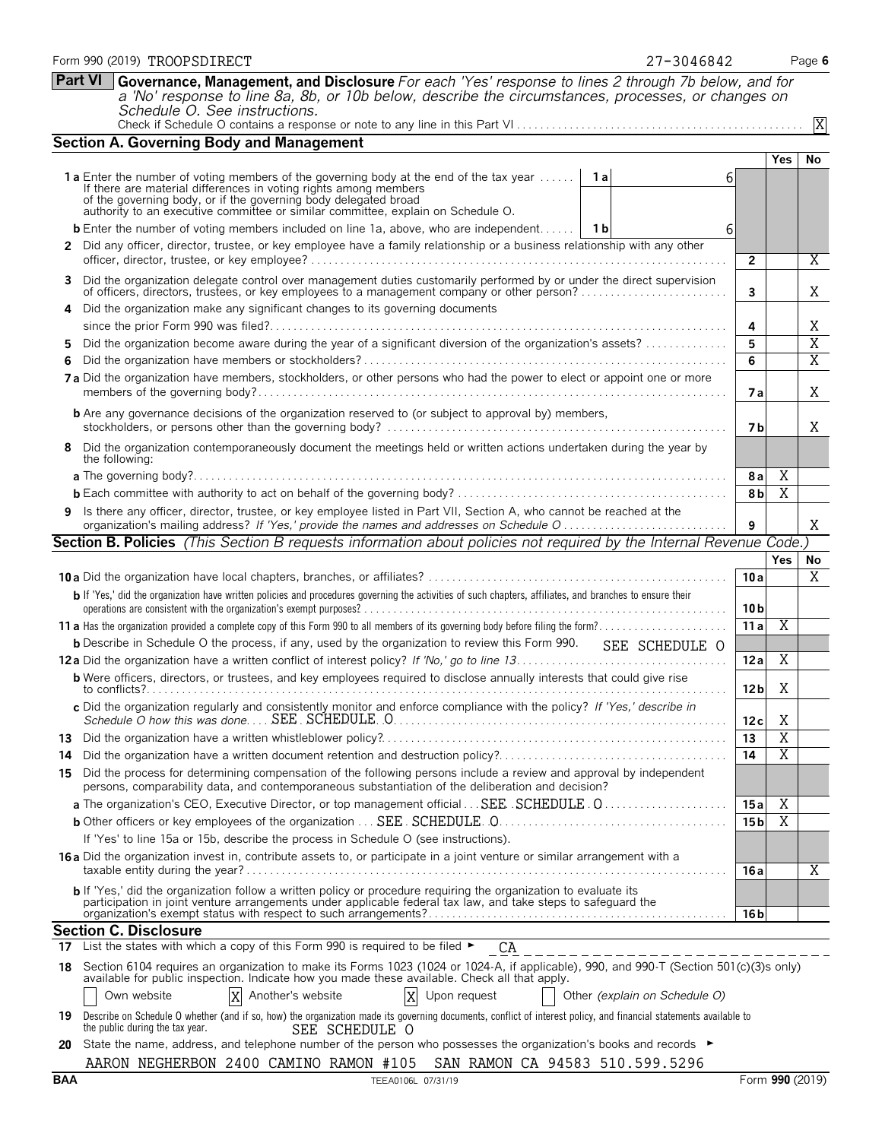|                     |                                                                                                                                                                                                                                                                                                                      |                |                 | Yes            |  |
|---------------------|----------------------------------------------------------------------------------------------------------------------------------------------------------------------------------------------------------------------------------------------------------------------------------------------------------------------|----------------|-----------------|----------------|--|
|                     | 1a Enter the number of voting members of the governing body at the end of the tax year    1a<br>If there are material differences in voting rights among members<br>of the governing body, or if the governing body delegated broad authority to an executive committee or similar committee, explain on Schedule O. | 6              |                 |                |  |
|                     | <b>b</b> Enter the number of voting members included on line 1a, above, who are independent   1b                                                                                                                                                                                                                     | 6              |                 |                |  |
|                     | 2 Did any officer, director, trustee, or key employee have a family relationship or a business relationship with any other                                                                                                                                                                                           |                |                 |                |  |
|                     |                                                                                                                                                                                                                                                                                                                      |                | $\overline{2}$  |                |  |
| 3.                  | Did the organization delegate control over management duties customarily performed by or under the direct supervision<br>of officers, directors, trustees, or key employees to a management company or other person?                                                                                                 |                | 3               |                |  |
| 4                   | Did the organization make any significant changes to its governing documents                                                                                                                                                                                                                                         |                |                 |                |  |
|                     |                                                                                                                                                                                                                                                                                                                      |                | 4               |                |  |
| 5.                  | Did the organization become aware during the year of a significant diversion of the organization's assets?                                                                                                                                                                                                           |                | 5               |                |  |
| 6                   |                                                                                                                                                                                                                                                                                                                      |                | 6               |                |  |
|                     | 7a Did the organization have members, stockholders, or other persons who had the power to elect or appoint one or more                                                                                                                                                                                               |                | 7а              |                |  |
|                     | <b>b</b> Are any governance decisions of the organization reserved to (or subject to approval by) members,                                                                                                                                                                                                           |                | 7 b             |                |  |
| 8<br>the following: | Did the organization contemporaneously document the meetings held or written actions undertaken during the year by                                                                                                                                                                                                   |                |                 |                |  |
|                     |                                                                                                                                                                                                                                                                                                                      |                | 8al             | Χ              |  |
|                     |                                                                                                                                                                                                                                                                                                                      |                | 8 <sub>b</sub>  | X              |  |
| 9                   | Is there any officer, director, trustee, or key employee listed in Part VII, Section A, who cannot be reached at the<br>organization's mailing address? If 'Yes,' provide the names and addresses on Schedule O                                                                                                      |                | 9               |                |  |
|                     | Section B. Policies (This Section B requests information about policies not required by the Internal Revenue Code.)                                                                                                                                                                                                  |                |                 |                |  |
|                     |                                                                                                                                                                                                                                                                                                                      |                |                 | <b>Yes</b>     |  |
|                     |                                                                                                                                                                                                                                                                                                                      |                | 10a             |                |  |
|                     | b If 'Yes,' did the organization have written policies and procedures governing the activities of such chapters, affiliates, and branches to ensure their                                                                                                                                                            |                | 10 <sub>b</sub> |                |  |
|                     |                                                                                                                                                                                                                                                                                                                      |                | 11a             | X              |  |
|                     | <b>b</b> Describe in Schedule O the process, if any, used by the organization to review this Form 990.                                                                                                                                                                                                               | SEE SCHEDULE O |                 |                |  |
|                     |                                                                                                                                                                                                                                                                                                                      |                | 12a             | X              |  |
|                     | <b>b</b> Were officers, directors, or trustees, and key employees required to disclose annually interests that could give rise                                                                                                                                                                                       |                | 12 <sub>b</sub> | Χ              |  |
|                     | c Did the organization regularly and consistently monitor and enforce compliance with the policy? If 'Yes,' describe in                                                                                                                                                                                              |                | 12c             | X              |  |
|                     |                                                                                                                                                                                                                                                                                                                      |                | 13              | $\overline{X}$ |  |
| 14                  | Did the organization have a written document retention and destruction policy?                                                                                                                                                                                                                                       |                | 14              | $\overline{X}$ |  |
| 15                  | Did the process for determining compensation of the following persons include a review and approval by independent                                                                                                                                                                                                   |                |                 |                |  |

persons, comparability data, and contemporaneous substantiation of the deliberation and decision?

**16 a** Did the organization invest in, contribute assets to, or participate in a joint venture or similar arrangement with a

**b** If 'Yes,' did the organization follow a written policy or procedure requiring the organization to evaluate its participation in joint venture arrangements under applicable federal tax law, and take steps to safeguard the

SEE SCHEDULE O

available for public inspection. Indicate how you made these available. Check all that apply.

If 'Yes' to line 15a or 15b, describe the process in Schedule O (see instructions).

Another's website

17 List the states with which a copy of this Form 990 is required to be filed  $\blacktriangleright$ 

**Part VI Governance, Management, and Disclosure** *For each 'Yes' response to lines 2 through 7b below, and for*

Check if Schedule O contains a response or note to any line in this Part VI . . . . . . . . .

*a 'No' response to line 8a, 8b, or 10b below, describe the circumstances, processes, or changes on*

*Schedule O. See instructions.*

**Section A. Governing Body and Management**

X

**Yes No**

**Yes No**

X

X

X

X X X

X

X

X

| TFFA0106L | 07/31/19 |
|-----------|----------|

Own website Another's website Upon request Other *(explain on Schedule O)* **19** Describe on Schedule O whether (and if so, how) the organization made its governing documents, conflict of interest policy, and financial statements available to

**20** State the name, address, and telephone number of the person who possesses the organization's books and records ►

AARON NEGHERBON 2400 CAMINO RAMON #105 SAN RAMON CA 94583 510.599.5296

**a** The organization's CEO, Executive Director, or top management official . . . . . . . . . . . . . . . . . . . . . . . . . . . . . . . . . . . . . . . . . . . . . **15 a** SEE SCHEDULE O**b** Other officers or key employees of the organization . . . . . . . . . . . . . . . . . . . . . . . . . . . . . . . . . . . . . . . . . . . . . . . . . . . . . . . . . . . . . . . **15 b** SEE SCHEDULE O

taxable entity during the year? . . . . . . . . . . . . . . . . . . . . . . . . . . . . . . . . . . . . . . . . . . . . . . . . . . . . . . . . . . . . . . . . . . . . . . . . . . . . . . . . . . **16 a**

organization's exempt status with respect to such arrangements?. . . . . . . . . . . . . . . . . . . . . . . . . . . . . . . . . . . . . . . . . . . . . . . . . . . **16 b**

**18** Section 6104 requires an organization to make its Forms 1023 (1024 or 1024-A, if applicable), 990, and 990-T (Section 501(c)(3)s only)

CA

X

X X

| I |  |  |  |  |
|---|--|--|--|--|
|---|--|--|--|--|

**Section C. Disclosure**

the public during the tax year.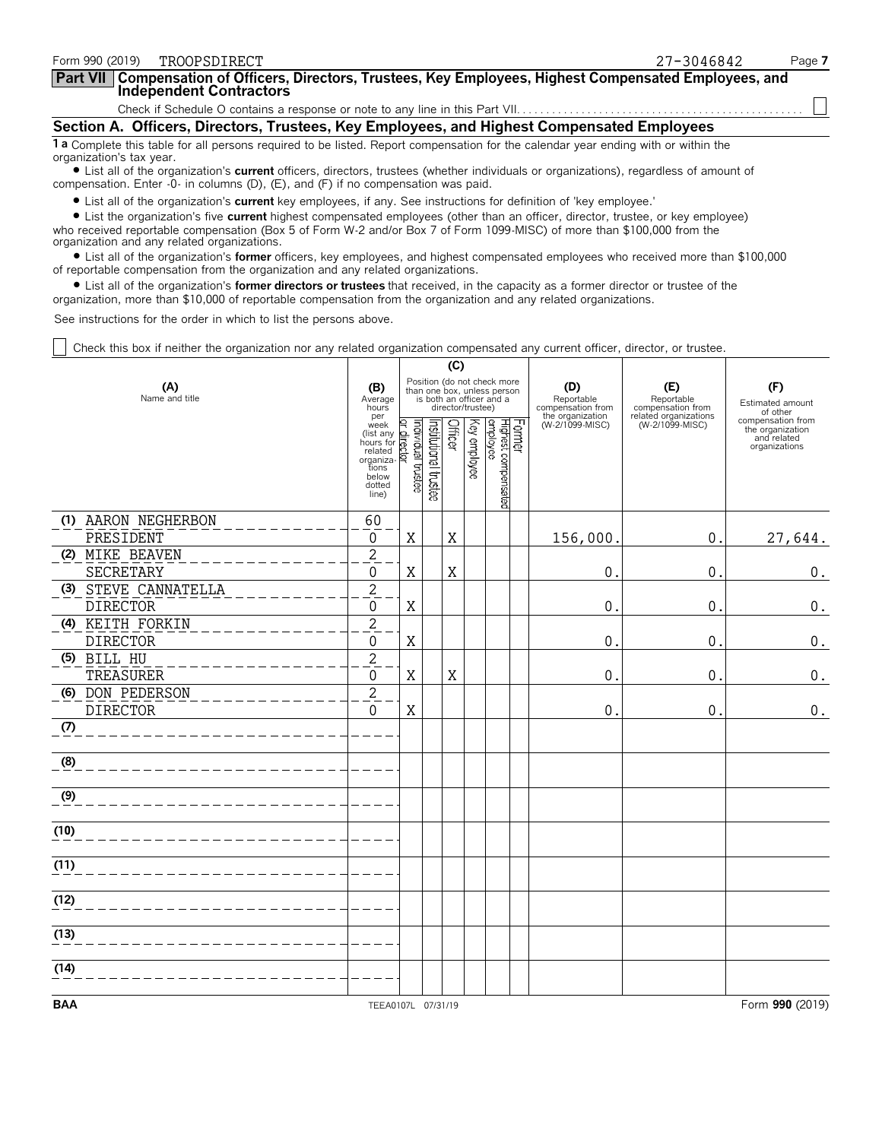| Form 990 (2019)<br>TROOPSDIRECT                                                                                                                                                                                             | Page 7<br>27-3046842 |
|-----------------------------------------------------------------------------------------------------------------------------------------------------------------------------------------------------------------------------|----------------------|
| Part VII Compensation of Officers, Directors, Trustees, Key Employees, Highest Compensated Employees, and<br>Independent Contractors                                                                                        |                      |
|                                                                                                                                                                                                                             |                      |
| Section A. Officers, Directors, Trustees, Key Employees, and Highest Compensated Employees                                                                                                                                  |                      |
| 1 a Complete this table for all persons required to be listed. Report compensation for the calendar year ending with or within the<br>organization's tax year.                                                              |                      |
| • List all of the organization's current officers, directors, trustees (whether individuals or organizations), regardless of amount of<br>compensation. Enter -0- in columns (D), (E), and (F) if no compensation was paid. |                      |
| • List all of the organization's current key employees, if any. See instructions for definition of 'key employee.'                                                                                                          |                      |

? List the organization's five **current** highest compensated employees (other than an officer, director, trustee, or key employee) who received reportable compensation (Box 5 of Form W-2 and/or Box 7 of Form 1099-MISC) of more than \$100,000 from the organization and any related organizations.

? List all of the organization's **former** officers, key employees, and highest compensated employees who received more than \$100,000 of reportable compensation from the organization and any related organizations.

? List all of the organization's **former directors or trustees** that received, in the capacity as a former director or trustee of the organization, more than \$10,000 of reportable compensation from the organization and any related organizations.

See instructions for the order in which to list the persons above.

Check this box if neither the organization nor any related organization compensated any current officer, director, or trustee.

|                          |                                                                                                                                          | (C) |                       |         |                   |                                                                                        |  |                                                            |                                                                 |                                                                       |
|--------------------------|------------------------------------------------------------------------------------------------------------------------------------------|-----|-----------------------|---------|-------------------|----------------------------------------------------------------------------------------|--|------------------------------------------------------------|-----------------------------------------------------------------|-----------------------------------------------------------------------|
| (A)<br>Name and title    | (B)<br>Average<br>hours<br>per                                                                                                           |     |                       |         | director/trustee) | Position (do not check more<br>than one box, unless person<br>is both an officer and a |  | (D)<br>Reportable<br>compensation from<br>the organization | (E)<br>Reportable<br>compensation from<br>related organizations | (F)<br>Estimated amount<br>of other                                   |
|                          | per<br>(list any derivative)<br>list any derivative formulated<br>related<br>organizations<br>below<br>dotted<br>line)<br>line)<br>line) |     | Institutional trustee | Officer | Key employee      | Former<br>Highest compensated<br>employee                                              |  | (W-2/1099-MISC)                                            | (W-2/1099-MISC)                                                 | compensation from<br>the organization<br>and related<br>organizations |
| (1) AARON NEGHERBON      | 60                                                                                                                                       |     |                       |         |                   |                                                                                        |  |                                                            |                                                                 |                                                                       |
| PRESIDENT                | 0                                                                                                                                        | Χ   |                       | Χ       |                   |                                                                                        |  | 156,000                                                    | 0                                                               | 27,644.                                                               |
| (2) MIKE BEAVEN          | $\overline{c}$                                                                                                                           |     |                       |         |                   |                                                                                        |  |                                                            |                                                                 |                                                                       |
| SECRETARY                | 0                                                                                                                                        | X   |                       | Χ       |                   |                                                                                        |  | 0                                                          | 0                                                               | $0$ .                                                                 |
| (3) STEVE CANNATELLA     | $\overline{c}$                                                                                                                           |     |                       |         |                   |                                                                                        |  |                                                            |                                                                 |                                                                       |
| <b>DIRECTOR</b>          | 0                                                                                                                                        | X   |                       |         |                   |                                                                                        |  | 0                                                          | 0                                                               | $0$ .                                                                 |
| (4) KEITH FORKIN         | $\overline{c}$                                                                                                                           |     |                       |         |                   |                                                                                        |  |                                                            |                                                                 |                                                                       |
| <b>DIRECTOR</b>          | 0                                                                                                                                        | X   |                       |         |                   |                                                                                        |  | 0                                                          | 0                                                               | $0$ .                                                                 |
| (5) BILL HU<br>TREASURER | $\overline{c}$<br>0                                                                                                                      | X   |                       | X       |                   |                                                                                        |  | $\Omega$                                                   | $\Omega$                                                        |                                                                       |
| (6) DON PEDERSON         |                                                                                                                                          |     |                       |         |                   |                                                                                        |  |                                                            |                                                                 | $0$ .                                                                 |
| <b>DIRECTOR</b>          | $\overline{c}$<br>0                                                                                                                      | Χ   |                       |         |                   |                                                                                        |  | 0                                                          | 0                                                               | $0$ .                                                                 |
| (7)                      |                                                                                                                                          |     |                       |         |                   |                                                                                        |  |                                                            |                                                                 |                                                                       |
| (8)                      |                                                                                                                                          |     |                       |         |                   |                                                                                        |  |                                                            |                                                                 |                                                                       |
| (9)                      |                                                                                                                                          |     |                       |         |                   |                                                                                        |  |                                                            |                                                                 |                                                                       |
| (10)                     |                                                                                                                                          |     |                       |         |                   |                                                                                        |  |                                                            |                                                                 |                                                                       |
| (11)                     |                                                                                                                                          |     |                       |         |                   |                                                                                        |  |                                                            |                                                                 |                                                                       |
| (12)                     |                                                                                                                                          |     |                       |         |                   |                                                                                        |  |                                                            |                                                                 |                                                                       |
| (13)                     |                                                                                                                                          |     |                       |         |                   |                                                                                        |  |                                                            |                                                                 |                                                                       |
|                          |                                                                                                                                          |     |                       |         |                   |                                                                                        |  |                                                            |                                                                 |                                                                       |
| (14)                     |                                                                                                                                          |     |                       |         |                   |                                                                                        |  |                                                            |                                                                 |                                                                       |
| <b>BAA</b>               | TEEA0107L 07/31/19                                                                                                                       |     |                       |         |                   |                                                                                        |  |                                                            |                                                                 | Form 990 (2019)                                                       |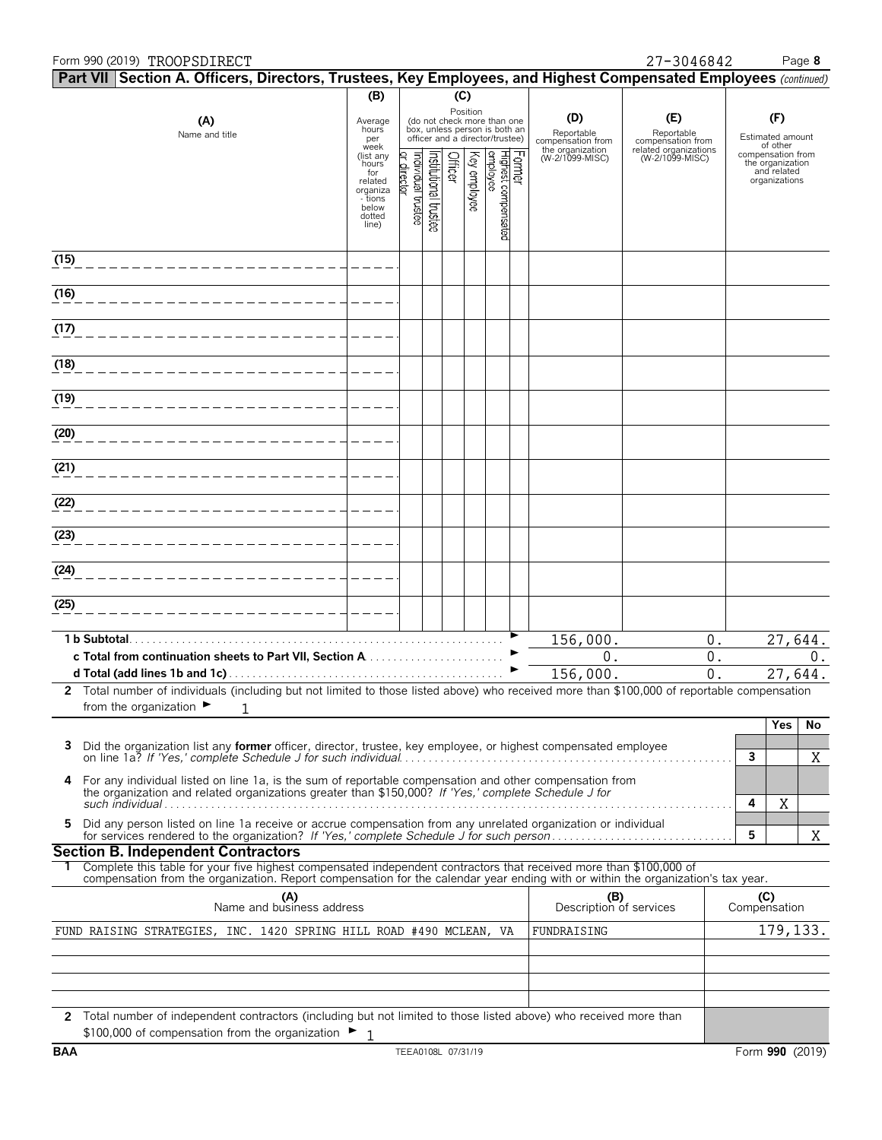#### Form 990 (2019) Page **8** TROOPSDIRECT 27-3046842

|      | Part VII Section A. Officers, Directors, Trustees, Key Employees, and Highest Compensated Employees (continued)                                                                                                                                        |                                                                                         |                                  |                      |         |              |                                                                                                             |        |                                        |                                          |              |                                                                       |           |
|------|--------------------------------------------------------------------------------------------------------------------------------------------------------------------------------------------------------------------------------------------------------|-----------------------------------------------------------------------------------------|----------------------------------|----------------------|---------|--------------|-------------------------------------------------------------------------------------------------------------|--------|----------------------------------------|------------------------------------------|--------------|-----------------------------------------------------------------------|-----------|
|      | (B)<br>(C)                                                                                                                                                                                                                                             |                                                                                         |                                  |                      |         |              |                                                                                                             |        |                                        |                                          |              |                                                                       |           |
|      | (A)<br>Name and title                                                                                                                                                                                                                                  | Average<br>hours<br>per<br>week                                                         |                                  |                      |         |              | Position<br>(do not check more than one<br>box, unless person is both an<br>officer and a director/trustee) |        | (D)<br>Reportable<br>compensation from | (E)<br>Reportable<br>compensation from   |              | (F)<br>Estimated amount<br>of other                                   |           |
|      |                                                                                                                                                                                                                                                        | (list any<br>hours<br>for<br>related<br>organiza<br>- tions<br>below<br>dotted<br>line) | or director<br>ndividual trustee | nstitutional trustee | Officer | Key employee | Highest compensated<br>employee                                                                             | Former | the organization<br>(W-2/1099-MISC)    | related organizations<br>(W-2/1099-MISC) |              | compensation from<br>the organization<br>and related<br>organizations |           |
| (15) |                                                                                                                                                                                                                                                        |                                                                                         |                                  |                      |         |              |                                                                                                             |        |                                        |                                          |              |                                                                       |           |
| (16) |                                                                                                                                                                                                                                                        |                                                                                         |                                  |                      |         |              |                                                                                                             |        |                                        |                                          |              |                                                                       |           |
| (17) |                                                                                                                                                                                                                                                        |                                                                                         |                                  |                      |         |              |                                                                                                             |        |                                        |                                          |              |                                                                       |           |
| (18) |                                                                                                                                                                                                                                                        |                                                                                         |                                  |                      |         |              |                                                                                                             |        |                                        |                                          |              |                                                                       |           |
| (19) |                                                                                                                                                                                                                                                        |                                                                                         |                                  |                      |         |              |                                                                                                             |        |                                        |                                          |              |                                                                       |           |
| (20) |                                                                                                                                                                                                                                                        |                                                                                         |                                  |                      |         |              |                                                                                                             |        |                                        |                                          |              |                                                                       |           |
| (21) |                                                                                                                                                                                                                                                        |                                                                                         |                                  |                      |         |              |                                                                                                             |        |                                        |                                          |              |                                                                       |           |
| (22) |                                                                                                                                                                                                                                                        |                                                                                         |                                  |                      |         |              |                                                                                                             |        |                                        |                                          |              |                                                                       |           |
| (23) |                                                                                                                                                                                                                                                        |                                                                                         |                                  |                      |         |              |                                                                                                             |        |                                        |                                          |              |                                                                       |           |
| (24) |                                                                                                                                                                                                                                                        |                                                                                         |                                  |                      |         |              |                                                                                                             |        |                                        |                                          |              |                                                                       |           |
| (25) |                                                                                                                                                                                                                                                        |                                                                                         |                                  |                      |         |              |                                                                                                             |        |                                        |                                          |              |                                                                       |           |
|      |                                                                                                                                                                                                                                                        |                                                                                         |                                  |                      |         |              |                                                                                                             |        | 156,000.                               | 0.                                       |              |                                                                       | 27,644.   |
|      | c Total from continuation sheets to Part VII, Section A                                                                                                                                                                                                |                                                                                         |                                  |                      |         |              |                                                                                                             |        | 0.                                     | 0.                                       |              |                                                                       | 0.        |
|      | 2 Total number of individuals (including but not limited to those listed above) who received more than \$100,000 of reportable compensation                                                                                                            |                                                                                         |                                  |                      |         |              |                                                                                                             |        | 156,000.                               | $\overline{0}$ .                         |              |                                                                       | 27,644.   |
|      | from the organization $\blacktriangleright$<br>1                                                                                                                                                                                                       |                                                                                         |                                  |                      |         |              |                                                                                                             |        |                                        |                                          |              |                                                                       |           |
|      | Did the organization list any former officer, director, trustee, key employee, or highest compensated employee                                                                                                                                         |                                                                                         |                                  |                      |         |              |                                                                                                             |        |                                        |                                          |              | Yes                                                                   | No        |
|      |                                                                                                                                                                                                                                                        |                                                                                         |                                  |                      |         |              |                                                                                                             |        |                                        |                                          | 3            |                                                                       | X         |
|      | 4 For any individual listed on line 1a, is the sum of reportable compensation and other compensation from<br>the organization and related organizations greater than \$150,000? If 'Yes,' complete Schedule J for                                      |                                                                                         |                                  |                      |         |              |                                                                                                             |        |                                        |                                          | 4            | Χ                                                                     |           |
| 5.   | Did any person listed on line 1a receive or accrue compensation from any unrelated organization or individual                                                                                                                                          |                                                                                         |                                  |                      |         |              |                                                                                                             |        |                                        |                                          | 5            |                                                                       | X         |
|      | <b>Section B. Independent Contractors</b>                                                                                                                                                                                                              |                                                                                         |                                  |                      |         |              |                                                                                                             |        |                                        |                                          |              |                                                                       |           |
|      | Complete this table for your five highest compensated independent contractors that received more than \$100,000 of<br>compensation from the organization. Report compensation for the calendar year ending with or within the organization's tax year. |                                                                                         |                                  |                      |         |              |                                                                                                             |        |                                        |                                          |              |                                                                       |           |
|      | (A)<br>Name and business address                                                                                                                                                                                                                       |                                                                                         |                                  |                      |         |              |                                                                                                             |        | (B)<br>Description of services         |                                          | Compensation | (C)                                                                   |           |
|      | FUND RAISING STRATEGIES, INC. 1420 SPRING HILL ROAD #490 MCLEAN, VA                                                                                                                                                                                    |                                                                                         |                                  |                      |         |              |                                                                                                             |        | FUNDRAISING                            |                                          |              |                                                                       | 179, 133. |
|      |                                                                                                                                                                                                                                                        |                                                                                         |                                  |                      |         |              |                                                                                                             |        |                                        |                                          |              |                                                                       |           |
|      |                                                                                                                                                                                                                                                        |                                                                                         |                                  |                      |         |              |                                                                                                             |        |                                        |                                          |              |                                                                       |           |
|      | 2 Total number of independent contractors (including but not limited to those listed above) who received more than<br>\$100,000 of compensation from the organization ►                                                                                |                                                                                         |                                  |                      |         |              |                                                                                                             |        |                                        |                                          |              |                                                                       |           |
|      |                                                                                                                                                                                                                                                        |                                                                                         |                                  |                      |         |              |                                                                                                             |        |                                        |                                          |              |                                                                       |           |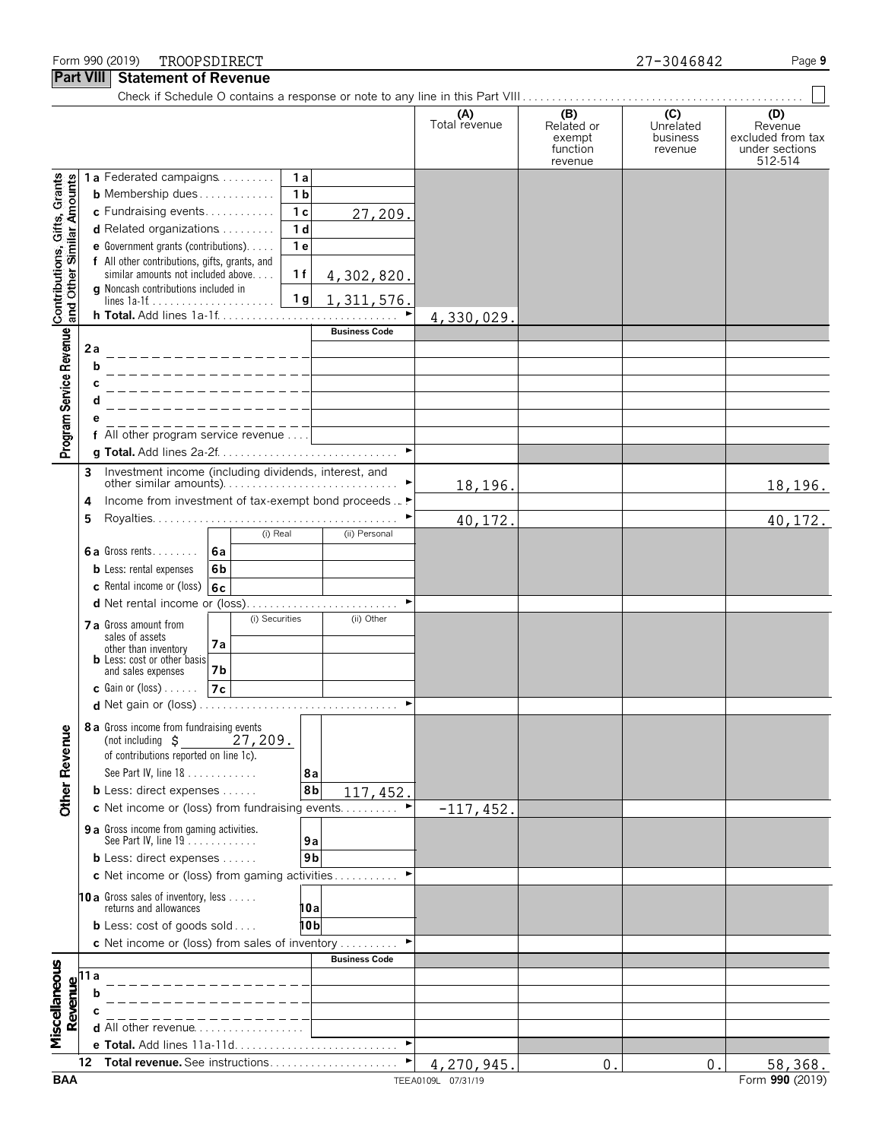#### Form 990 (2019) Page **9** TROOPSDIRECT 27-3046842

**Part VIII Statement of Revenue**

|                                                           | .                                                            | וטוווטווג טו וזטעטו                                               |                                  |                      |                                                    |                                         |                                                                  |
|-----------------------------------------------------------|--------------------------------------------------------------|-------------------------------------------------------------------|----------------------------------|----------------------|----------------------------------------------------|-----------------------------------------|------------------------------------------------------------------|
|                                                           |                                                              |                                                                   |                                  | (A)<br>Total revenue | (B)<br>Related or<br>exempt<br>function<br>revenue | (C)<br>Unrelated<br>business<br>revenue | (D)<br>Revenue<br>excluded from tax<br>under sections<br>512-514 |
|                                                           |                                                              | 1a Federated campaigns                                            | 1a                               |                      |                                                    |                                         |                                                                  |
| Contributions, Gifts, Grants<br>and Other Similar Amounts |                                                              | <b>b</b> Membership dues                                          | 1 <sub>b</sub>                   |                      |                                                    |                                         |                                                                  |
|                                                           |                                                              | c Fundraising events<br>d Related organizations                   | 1 <sub>c</sub><br>27,209.        |                      |                                                    |                                         |                                                                  |
|                                                           |                                                              | e Government grants (contributions).                              | 1 <sub>d</sub><br>1 <sub>e</sub> |                      |                                                    |                                         |                                                                  |
|                                                           |                                                              | f All other contributions, gifts, grants, and                     |                                  |                      |                                                    |                                         |                                                                  |
|                                                           |                                                              | similar amounts not included above.                               | 1f<br>4,302,820.                 |                      |                                                    |                                         |                                                                  |
|                                                           |                                                              | g Noncash contributions included in                               | 1 <sub>g</sub><br>1, 311, 576.   |                      |                                                    |                                         |                                                                  |
|                                                           |                                                              | h Total. Add lines 1a-1f                                          |                                  | 4,330,029.           |                                                    |                                         |                                                                  |
|                                                           |                                                              |                                                                   | <b>Business Code</b>             |                      |                                                    |                                         |                                                                  |
| Program Service Revenue                                   | 2a                                                           |                                                                   |                                  |                      |                                                    |                                         |                                                                  |
|                                                           | b                                                            |                                                                   |                                  |                      |                                                    |                                         |                                                                  |
|                                                           | С                                                            |                                                                   |                                  |                      |                                                    |                                         |                                                                  |
|                                                           | d                                                            |                                                                   |                                  |                      |                                                    |                                         |                                                                  |
|                                                           |                                                              | ______________<br>f All other program service revenue             |                                  |                      |                                                    |                                         |                                                                  |
|                                                           |                                                              |                                                                   | $\blacktriangleright$            |                      |                                                    |                                         |                                                                  |
|                                                           | 3                                                            | Investment income (including dividends, interest, and             |                                  |                      |                                                    |                                         |                                                                  |
|                                                           |                                                              |                                                                   |                                  | 18,196.              |                                                    |                                         | 18,196.                                                          |
|                                                           | 4<br>5                                                       | Income from investment of tax-exempt bond proceeds  ▶             |                                  |                      |                                                    |                                         |                                                                  |
|                                                           |                                                              | (i) Real                                                          | (ii) Personal                    | 40,172.              |                                                    |                                         | 40, 172.                                                         |
|                                                           |                                                              | 6a Gross rents<br>6a                                              |                                  |                      |                                                    |                                         |                                                                  |
|                                                           |                                                              | <b>b</b> Less: rental expenses<br>6b                              |                                  |                      |                                                    |                                         |                                                                  |
|                                                           |                                                              | c Rental income or (loss)<br>6c                                   |                                  |                      |                                                    |                                         |                                                                  |
|                                                           |                                                              |                                                                   | ٠                                |                      |                                                    |                                         |                                                                  |
|                                                           |                                                              | (i) Securities<br><b>7 a</b> Gross amount from<br>sales of assets | (ii) Other                       |                      |                                                    |                                         |                                                                  |
|                                                           |                                                              | 7a<br>other than inventory                                        |                                  |                      |                                                    |                                         |                                                                  |
|                                                           |                                                              | <b>b</b> Less: cost or other basis<br>7b<br>and sales expenses    |                                  |                      |                                                    |                                         |                                                                  |
|                                                           |                                                              | 7c<br><b>c</b> Gain or (loss) $\ldots$ .                          |                                  |                      |                                                    |                                         |                                                                  |
|                                                           |                                                              |                                                                   |                                  |                      |                                                    |                                         |                                                                  |
|                                                           |                                                              | 8 a Gross income from fundraising events                          |                                  |                      |                                                    |                                         |                                                                  |
|                                                           |                                                              | 27,209.<br>(not including $\sharp$                                |                                  |                      |                                                    |                                         |                                                                  |
|                                                           |                                                              | of contributions reported on line 1c).<br>See Part IV, line 18    | 8а                               |                      |                                                    |                                         |                                                                  |
|                                                           |                                                              | <b>b</b> Less: direct expenses $\ldots$ .                         | 8b<br>117, 452.                  |                      |                                                    |                                         |                                                                  |
| <b>Other Revenue</b>                                      |                                                              | c Net income or (loss) from fundraising events                    |                                  | $-117,452.$          |                                                    |                                         |                                                                  |
|                                                           |                                                              | 9 a Gross income from gaming activities.                          |                                  |                      |                                                    |                                         |                                                                  |
|                                                           |                                                              | See Part IV, line $19$                                            | 9а                               |                      |                                                    |                                         |                                                                  |
|                                                           |                                                              | <b>b</b> Less: direct expenses $\ldots$ .                         | 9b                               |                      |                                                    |                                         |                                                                  |
|                                                           |                                                              | c Net income or (loss) from gaming activities                     |                                  |                      |                                                    |                                         |                                                                  |
|                                                           |                                                              | 10 a Gross sales of inventory, less<br>returns and allowances     | 10a                              |                      |                                                    |                                         |                                                                  |
|                                                           |                                                              | <b>b</b> Less: $cost$ of goods $sol$                              | 10 b                             |                      |                                                    |                                         |                                                                  |
|                                                           |                                                              | c Net income or (loss) from sales of inventory                    |                                  |                      |                                                    |                                         |                                                                  |
|                                                           |                                                              |                                                                   | <b>Business Code</b>             |                      |                                                    |                                         |                                                                  |
|                                                           |                                                              |                                                                   |                                  |                      |                                                    |                                         |                                                                  |
|                                                           |                                                              |                                                                   |                                  |                      |                                                    |                                         |                                                                  |
| Miscellaneous                                             | $\begin{array}{c}\n\textbf{Required} \\ \hline\n\end{array}$ | <b>d</b> All other revenue                                        |                                  |                      |                                                    |                                         |                                                                  |
|                                                           |                                                              |                                                                   |                                  |                      |                                                    |                                         |                                                                  |
|                                                           | 12                                                           |                                                                   |                                  | 4,270,945            | $\mathbf{0}$                                       | $\mathbf 0$ .                           | 58,368.                                                          |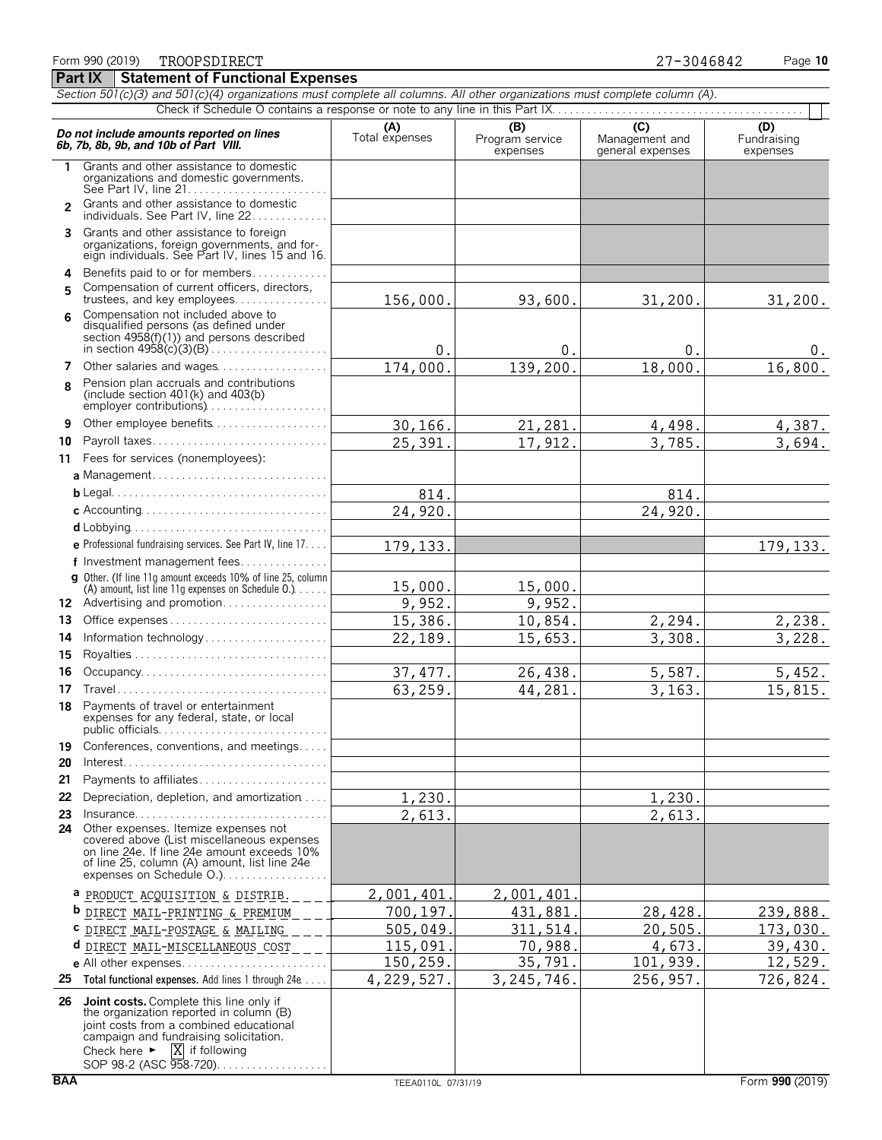|                | Do not include amounts reported on lines<br>6b, 7b, 8b, 9b, and 10b of Part VIII.                                                                                                                                                                          | (A)<br>Total expenses | (B)<br>Program service<br>expenses | $\overline{(\mathsf{C})}$<br>Management and<br>general expenses | (D)<br>Fundraising<br>expenses |
|----------------|------------------------------------------------------------------------------------------------------------------------------------------------------------------------------------------------------------------------------------------------------------|-----------------------|------------------------------------|-----------------------------------------------------------------|--------------------------------|
| 1              | Grants and other assistance to domestic<br>organizations and domestic governments.                                                                                                                                                                         |                       |                                    |                                                                 |                                |
| $\overline{2}$ | Grants and other assistance to domestic<br>individuals. See Part IV, line 22.                                                                                                                                                                              |                       |                                    |                                                                 |                                |
| 3              | Grants and other assistance to foreign<br>organizations, foreign governments, and for-<br>eign individuals. See Part IV, lines 15 and 16.                                                                                                                  |                       |                                    |                                                                 |                                |
| 4              | Benefits paid to or for members                                                                                                                                                                                                                            |                       |                                    |                                                                 |                                |
| 5              | Compensation of current officers, directors,<br>trustees, and key employees                                                                                                                                                                                | 156,000.              | 93,600.                            | 31,200.                                                         | 31,200.                        |
| 6              | Compensation not included above to<br>disqualified persons (as defined under<br>section 4958(f)(1)) and persons described                                                                                                                                  | 0.                    | 0.                                 | 0.                                                              | 0.                             |
| 7              | Other salaries and wages                                                                                                                                                                                                                                   | 174,000.              | 139, 200.                          | 18,000.                                                         | 16,800.                        |
| 8              | Pension plan accruals and contributions<br>(include section $401(k)$ and $403(b)$                                                                                                                                                                          |                       |                                    |                                                                 |                                |
| 9              | Other employee benefits                                                                                                                                                                                                                                    | 30,166.               | 21,281.                            | 4,498.                                                          | 4,387.                         |
| 10             | Payroll taxes                                                                                                                                                                                                                                              | 25,391.               | 17,912.                            | 3,785.                                                          | 3,694.                         |
| 11             | Fees for services (nonemployees):                                                                                                                                                                                                                          |                       |                                    |                                                                 |                                |
|                | a Management                                                                                                                                                                                                                                               |                       |                                    |                                                                 |                                |
|                |                                                                                                                                                                                                                                                            | 814.                  |                                    | 814.                                                            |                                |
|                |                                                                                                                                                                                                                                                            | 24,920.               |                                    | 24,920.                                                         |                                |
|                |                                                                                                                                                                                                                                                            |                       |                                    |                                                                 |                                |
|                | e Professional fundraising services. See Part IV, line 17.                                                                                                                                                                                                 | 179, 133.             |                                    |                                                                 | 179, 133.                      |
|                | f Investment management fees                                                                                                                                                                                                                               |                       |                                    |                                                                 |                                |
|                | g Other. (If line 11q amount exceeds 10% of line 25, column<br>(A) amount, list line 11g expenses on Schedule 0.)                                                                                                                                          | 15,000.               | 15,000.                            |                                                                 |                                |
|                | 12 Advertising and promotion                                                                                                                                                                                                                               | 9,952.                | 9,952.                             |                                                                 |                                |
| 13             |                                                                                                                                                                                                                                                            | 15,386.               | 10,854.                            | 2,294.                                                          | 2,238.                         |
| 14             | Information technology                                                                                                                                                                                                                                     | 22,189.               | 15,653.                            | 3,308.                                                          | 3,228.                         |
| 15             |                                                                                                                                                                                                                                                            |                       |                                    |                                                                 |                                |
| 16             |                                                                                                                                                                                                                                                            | 37, 477.              | 26,438.                            | 5,587.                                                          | 5,452.                         |
| 17             |                                                                                                                                                                                                                                                            | 63,259.               | 44,281.                            | 3, 163.                                                         | 15,815.                        |
| 18             | Payments of travel or entertainment<br>expenses for any federal, state, or local                                                                                                                                                                           |                       |                                    |                                                                 |                                |
| 19<br>20       | Conferences, conventions, and meetings<br>$Interest. \ldots \ldots \ldots \ldots \ldots \ldots \ldots \ldots \ldots \ldots \ldots \ldots \ldots$                                                                                                           |                       |                                    |                                                                 |                                |
| 21             | Payments to affiliates                                                                                                                                                                                                                                     |                       |                                    |                                                                 |                                |
| 22             | Depreciation, depletion, and amortization                                                                                                                                                                                                                  | 1,230.                |                                    | 1,230.                                                          |                                |
|                | 23 Insurance<br>24 Other expenses. Itemize expenses not<br>covered above (List miscellaneous expenses<br>on line 24e. If line 24e amount exceeds 10%<br>of line 25, column (A) amount, list line 24e<br>expenses on Schedule O.)                           | 2,613.                |                                    | 2,613.                                                          |                                |
|                | <b>a</b> PRODUCT ACQUISITION & DISTRIB.                                                                                                                                                                                                                    | 2,001,401             | 2,001,401                          |                                                                 |                                |
|                | <b>b</b> <u>DIRECT MAIL-PRINTING &amp; PREMIUM</u>                                                                                                                                                                                                         | 700,197               | 431,881                            | 28,428                                                          | 239,888.                       |
|                | C DIRECT MAIL-POSTAGE & MAILING                                                                                                                                                                                                                            | 505,049.              | 311, 514.                          | 20,505                                                          | <u>173,030.</u>                |
|                | d<br>DIRECT MAIL-MISCELLANEOUS COST                                                                                                                                                                                                                        | 115,091               | 70,988.                            | 4,673.                                                          | 39,430.                        |
|                | e All other expenses                                                                                                                                                                                                                                       | 150,259.              | 35,791.                            | 101,939.                                                        | 12,529.                        |
|                | 25 Total functional expenses. Add lines 1 through 24e                                                                                                                                                                                                      | 4,229,527.            | 3,245,746.                         | 256,957                                                         | 726,824.                       |
|                | 26 Joint costs. Complete this line only if<br>the organization reported in column (B)<br>joint costs from a combined educational<br>campaign and fundraising solicitation.<br>X if following<br>Check here $\blacktriangleright$<br>SOP 98-2 (ASC 958-720) |                       |                                    |                                                                 |                                |

Form 990 (2019) Page **10** TROOPSDIRECT 27-3046842 **Part IX Statement of Functional Expenses**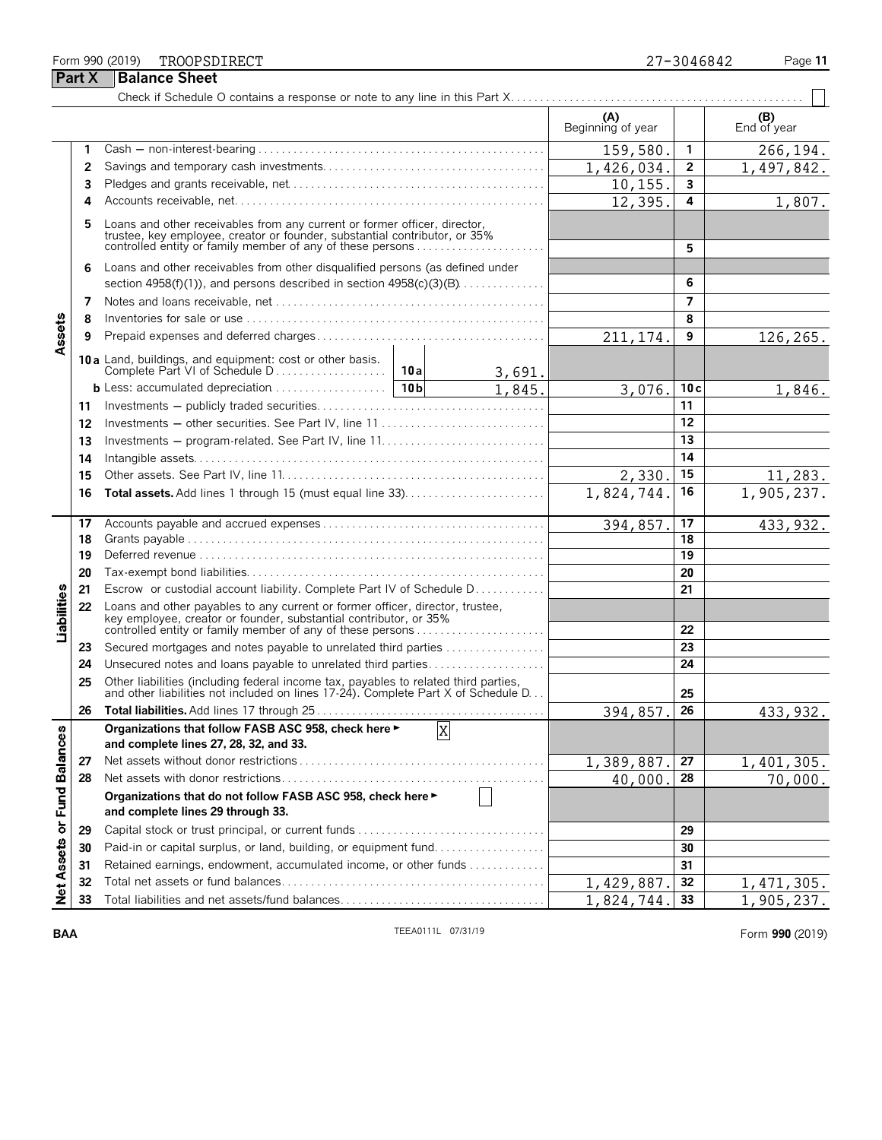#### Form 990 (2019) Page **11** TROOPSDIRECT 27-3046842

|                             |    |                                                                                                                                                                                                                    |        |        | (A)<br>Beginning of year |                | (B)<br>End of year |
|-----------------------------|----|--------------------------------------------------------------------------------------------------------------------------------------------------------------------------------------------------------------------|--------|--------|--------------------------|----------------|--------------------|
|                             | 1  |                                                                                                                                                                                                                    |        |        | 159,580                  | 1              | 266,194.           |
|                             | 2  |                                                                                                                                                                                                                    |        |        | 1,426,034.               | $\mathbf{2}$   | 1,497,842.         |
|                             | 3  |                                                                                                                                                                                                                    |        |        | 10, 155.                 | 3              |                    |
|                             | 4  |                                                                                                                                                                                                                    |        |        | 12,395.                  | 4              | 1,807.             |
|                             | 5  | Loans and other receivables from any current or former officer, director, trustee, key employee, creator or founder, substantial contributor, or 35%<br>controlled entity or family member of any of these persons |        |        |                          | 5              |                    |
|                             | 6  | Loans and other receivables from other disqualified persons (as defined under<br>section $4958(f)(1)$ , and persons described in section $4958(c)(3)(B)$                                                           |        |        | 6                        |                |                    |
|                             | 7  |                                                                                                                                                                                                                    |        |        |                          | $\overline{7}$ |                    |
|                             | 8  |                                                                                                                                                                                                                    |        |        |                          | 8              |                    |
| Assets                      | 9  |                                                                                                                                                                                                                    |        |        | 211, 174.                | 9              | 126,265.           |
|                             |    | 10 a Land, buildings, and equipment: cost or other basis.                                                                                                                                                          | 10 a l | 3,691. |                          |                |                    |
|                             |    | <b>b</b> Less: accumulated depreciation $\ldots \ldots \ldots \ldots \ldots$   10b                                                                                                                                 |        | 1,845. | 3,076.                   | 10c            | 1,846.             |
|                             | 11 |                                                                                                                                                                                                                    |        |        |                          | 11             |                    |
|                             | 12 | Investments - other securities. See Part IV, line 11                                                                                                                                                               |        |        |                          | 12             |                    |
|                             | 13 |                                                                                                                                                                                                                    |        | 13     |                          |                |                    |
|                             | 14 |                                                                                                                                                                                                                    |        |        | 14                       |                |                    |
|                             | 15 |                                                                                                                                                                                                                    |        | 2,330. | 15                       | 11,283.        |                    |
|                             | 16 |                                                                                                                                                                                                                    |        |        | 1,824,744.               | 16             | 1,905,237.         |
|                             | 17 |                                                                                                                                                                                                                    |        |        | 394,857.                 | 17             | 433, 932.          |
|                             | 18 |                                                                                                                                                                                                                    |        |        | $\overline{18}$          |                |                    |
|                             | 19 |                                                                                                                                                                                                                    |        |        |                          | 19             |                    |
|                             | 20 |                                                                                                                                                                                                                    |        |        |                          | 20             |                    |
|                             | 21 | Escrow or custodial account liability. Complete Part IV of Schedule D.                                                                                                                                             |        |        |                          | 21             |                    |
| Liabilities                 | 22 | Loans and other payables to any current or former officer, director, trustee,<br>key employee, creator or founder, substantial contributor, or 35%<br>controlled entity or family member of any of these persons   |        |        |                          | 22             |                    |
|                             | 23 | Secured mortgages and notes payable to unrelated third parties                                                                                                                                                     |        |        |                          | 23             |                    |
|                             | 24 | Unsecured notes and loans payable to unrelated third parties                                                                                                                                                       |        |        |                          | 24             |                    |
|                             | 25 | Other liabilities (including federal income tax, payables to related third parties, and other liabilities not included on lines 17-24). Complete Part X of Schedule D                                              |        |        |                          | 25             |                    |
|                             | 26 |                                                                                                                                                                                                                    |        |        | 394,857.                 | 26             | 433, 932.          |
|                             |    | Organizations that follow FASB ASC 958, check here ►<br>and complete lines 27, 28, 32, and 33.                                                                                                                     |        | X      |                          |                |                    |
|                             | 27 |                                                                                                                                                                                                                    |        |        | 1,389,887.               | 27             | 1,401,305.         |
|                             | 28 |                                                                                                                                                                                                                    |        |        | 40,000.                  | 28             | 70,000.            |
| Net Assets or Fund Balances |    | Organizations that do not follow FASB ASC 958, check here ►<br>and complete lines 29 through 33.                                                                                                                   |        |        |                          |                |                    |
|                             | 29 |                                                                                                                                                                                                                    |        |        |                          | 29             |                    |
|                             | 30 | Paid-in or capital surplus, or land, building, or equipment fund                                                                                                                                                   |        |        |                          | 30             |                    |
|                             | 31 | Retained earnings, endowment, accumulated income, or other funds                                                                                                                                                   |        |        |                          | 31             |                    |
|                             | 32 |                                                                                                                                                                                                                    |        |        | 1,429,887.               | 32             | 1, 471, 305.       |
|                             | 33 |                                                                                                                                                                                                                    |        |        | 1,824,744.               | 33             | 1,905,237.         |

**BAA TEEA0111L** 07/31/19 **TEEA0111L** 07/31/19 **Form 990** (2019)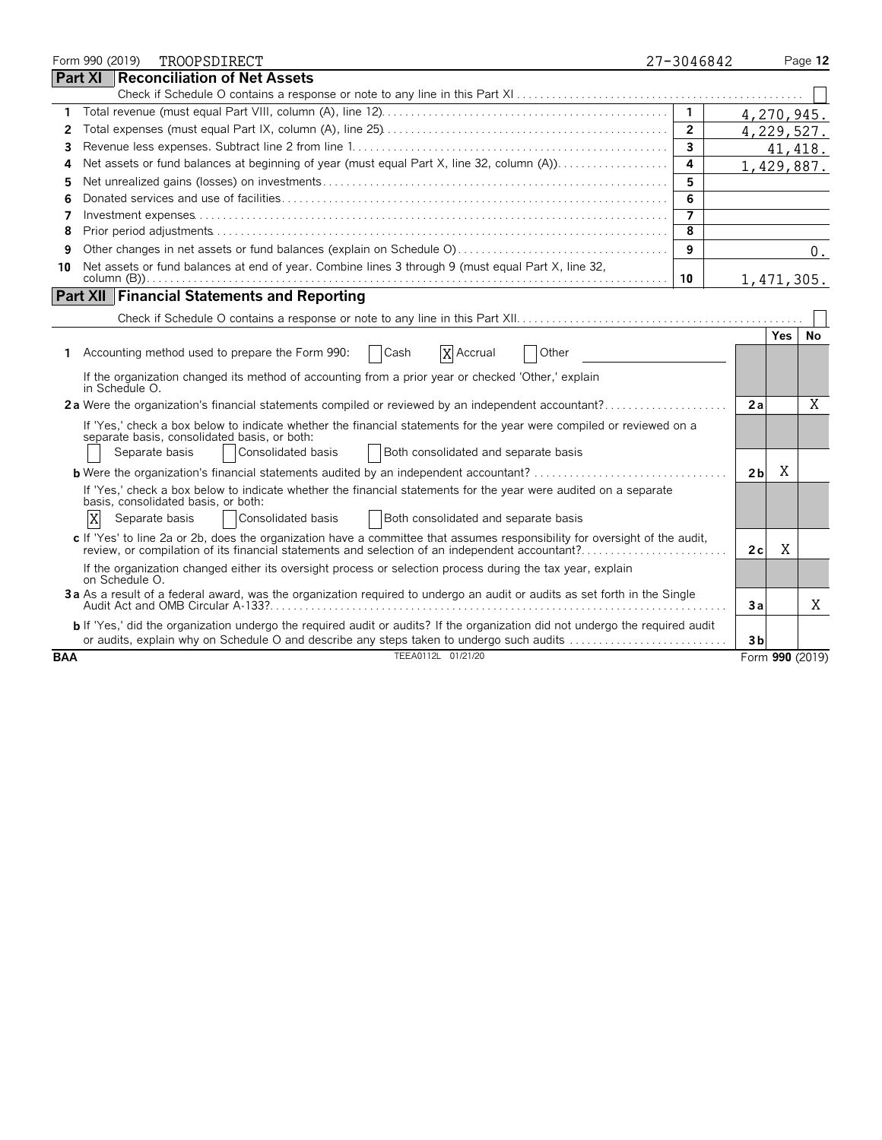|            |                | Form 990 (2019) | TROOPSDIRECT                                                                                                                                                                                                                            | 27-3046842     |                |      | Page 12         |
|------------|----------------|-----------------|-----------------------------------------------------------------------------------------------------------------------------------------------------------------------------------------------------------------------------------------|----------------|----------------|------|-----------------|
|            | <b>Part XI</b> |                 | Reconciliation of Net Assets                                                                                                                                                                                                            |                |                |      |                 |
|            |                |                 |                                                                                                                                                                                                                                         |                |                |      |                 |
| 1          |                |                 |                                                                                                                                                                                                                                         | $\mathbf{1}$   | 4,270,945.     |      |                 |
| 2          |                |                 |                                                                                                                                                                                                                                         | $\overline{2}$ | 4,229,527.     |      |                 |
| 3          |                |                 |                                                                                                                                                                                                                                         | 3              |                |      | 41, 418.        |
| 4          |                |                 | Net assets or fund balances at beginning of year (must equal Part X, line 32, column (A))                                                                                                                                               | $\overline{a}$ | 1,429,887.     |      |                 |
| 5          |                |                 |                                                                                                                                                                                                                                         | 5              |                |      |                 |
| 6          |                |                 |                                                                                                                                                                                                                                         | 6              |                |      |                 |
| 7          |                |                 |                                                                                                                                                                                                                                         | $\overline{7}$ |                |      |                 |
| 8          |                |                 |                                                                                                                                                                                                                                         | 8              |                |      |                 |
| 9          |                |                 |                                                                                                                                                                                                                                         | 9              |                |      | 0.              |
| 10         |                |                 | Net assets or fund balances at end of year. Combine lines 3 through 9 (must equal Part X, line 32,                                                                                                                                      | 10             | 1,471,305.     |      |                 |
|            |                |                 | <b>Part XII   Financial Statements and Reporting</b>                                                                                                                                                                                    |                |                |      |                 |
|            |                |                 |                                                                                                                                                                                                                                         |                |                |      |                 |
|            |                |                 |                                                                                                                                                                                                                                         |                |                | Yes. | No.             |
| 1          |                |                 | Accounting method used to prepare the Form 990:<br>X Accrual<br>Cash<br>Other                                                                                                                                                           |                |                |      |                 |
|            |                | in Schedule O.  | If the organization changed its method of accounting from a prior year or checked 'Other,' explain                                                                                                                                      |                |                |      |                 |
|            |                |                 | 2a Were the organization's financial statements compiled or reviewed by an independent accountant?                                                                                                                                      |                | 2a             |      | X               |
|            |                | Separate basis  | If 'Yes,' check a box below to indicate whether the financial statements for the year were compiled or reviewed on a<br>separate basis, consolidated basis, or both:<br>Both consolidated and separate basis<br>Consolidated basis      |                |                |      |                 |
|            |                |                 | <b>b</b> Were the organization's financial statements audited by an independent accountant?                                                                                                                                             |                | 2 <sub>b</sub> | X    |                 |
|            | X              |                 | If 'Yes,' check a box below to indicate whether the financial statements for the year were audited on a separate<br>basis, consolidated basis, or both:<br>Consolidated basis<br>Both consolidated and separate basis<br>Separate basis |                |                |      |                 |
|            |                |                 | c If 'Yes' to line 2a or 2b, does the organization have a committee that assumes responsibility for oversight of the audit,<br>review, or compilation of its financial statements and selection of an independent accountant?           |                | 2c             | X    |                 |
|            |                | on Schedule O.  | If the organization changed either its oversight process or selection process during the tax year, explain                                                                                                                              |                |                |      |                 |
|            |                |                 | 3a As a result of a federal award, was the organization required to undergo an audit or audits as set forth in the Single                                                                                                               |                | Зa             |      | Χ               |
|            |                |                 | <b>b</b> If 'Yes,' did the organization undergo the required audit or audits? If the organization did not undergo the required audit<br>or audits, explain why on Schedule O and describe any steps taken to undergo such audits        |                | 3 <sub>b</sub> |      |                 |
| <b>BAA</b> |                |                 | TEEA0112L 01/21/20                                                                                                                                                                                                                      |                |                |      | Form 990 (2019) |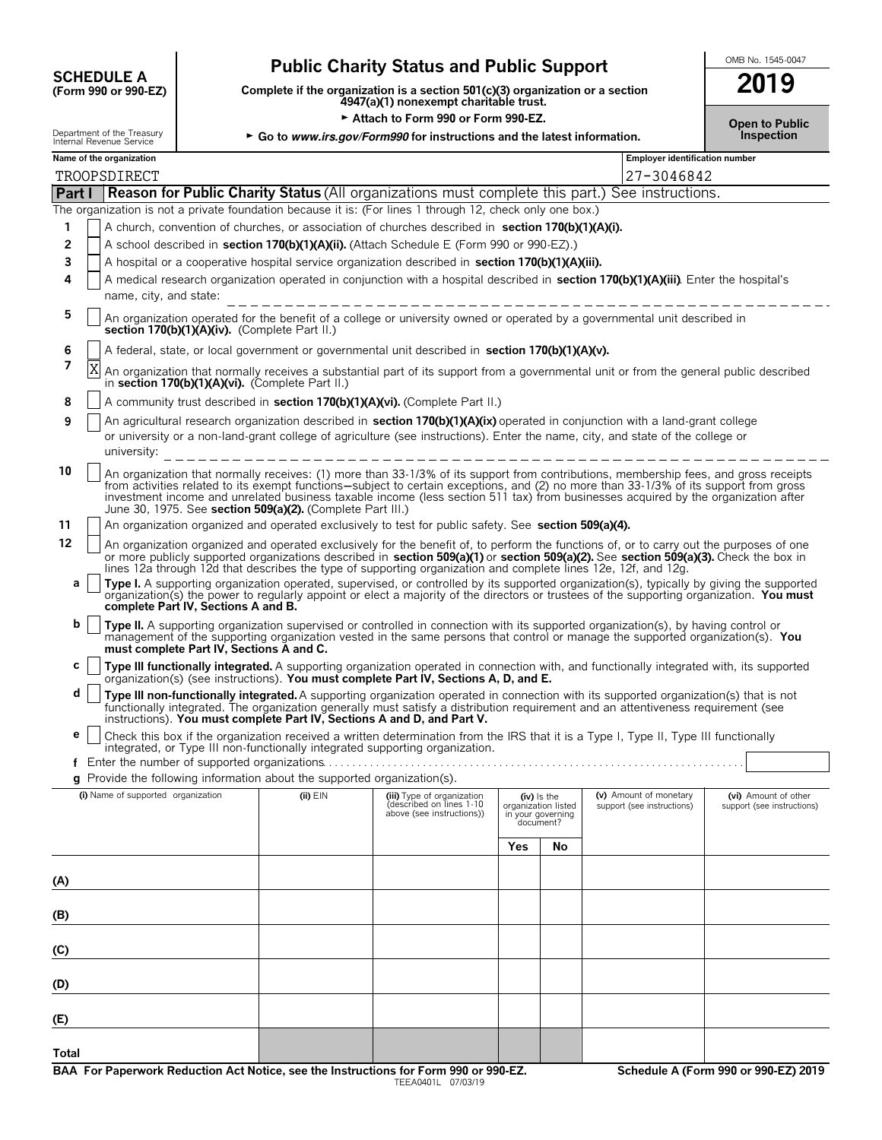# **CHEDULE A** Public Charity Status and Public Support<br>
(Form 990 or 990-EZ) Complete if the organization is a section 501(c)(3) organization or a section

**(Form 990 or 990-EZ) Complete if the organization is a section 501(c)(3) organization or a section 2019 4947(a)(1) nonexempt charitable trust.**

► Attach to Form 990 or Form 990-EZ.<br>gov/Form990 for instructions and the latest information. **Democial condensation** Department of the Treasury **Go to** *www.irs.gov/Form990* **for instructions and the latest information. Internal Revenue Service** 

|                             |  | Name of the organization |  |
|-----------------------------|--|--------------------------|--|
| 111011101110000110000011000 |  |                          |  |

|       | Name of the organization                                                                                                                                                                                                                                                                                                                                                                                                                                                         |  |                                                        |     |                                                       | <b>Employer identification number</b> |                            |  |  |  |
|-------|----------------------------------------------------------------------------------------------------------------------------------------------------------------------------------------------------------------------------------------------------------------------------------------------------------------------------------------------------------------------------------------------------------------------------------------------------------------------------------|--|--------------------------------------------------------|-----|-------------------------------------------------------|---------------------------------------|----------------------------|--|--|--|
|       | TROOPSDIRECT                                                                                                                                                                                                                                                                                                                                                                                                                                                                     |  |                                                        |     |                                                       | 27-3046842                            |                            |  |  |  |
|       | Part I Reason for Public Charity Status (All organizations must complete this part.) See instructions.                                                                                                                                                                                                                                                                                                                                                                           |  |                                                        |     |                                                       |                                       |                            |  |  |  |
|       | The organization is not a private foundation because it is: (For lines 1 through 12, check only one box.)                                                                                                                                                                                                                                                                                                                                                                        |  |                                                        |     |                                                       |                                       |                            |  |  |  |
| 1     | A church, convention of churches, or association of churches described in section 170(b)(1)(A)(i).                                                                                                                                                                                                                                                                                                                                                                               |  |                                                        |     |                                                       |                                       |                            |  |  |  |
| 2     | A school described in section 170(b)(1)(A)(ii). (Attach Schedule E (Form 990 or 990-EZ).)                                                                                                                                                                                                                                                                                                                                                                                        |  |                                                        |     |                                                       |                                       |                            |  |  |  |
| 3     | A hospital or a cooperative hospital service organization described in section 170(b)(1)(A)(iii).                                                                                                                                                                                                                                                                                                                                                                                |  |                                                        |     |                                                       |                                       |                            |  |  |  |
| 4     | A medical research organization operated in conjunction with a hospital described in section 170(b)(1)(A)(iii). Enter the hospital's                                                                                                                                                                                                                                                                                                                                             |  |                                                        |     |                                                       |                                       |                            |  |  |  |
|       | name, city, and state:                                                                                                                                                                                                                                                                                                                                                                                                                                                           |  |                                                        |     |                                                       |                                       |                            |  |  |  |
| 5     | An organization operated for the benefit of a college or university owned or operated by a governmental unit described in<br>section 170(b)(1)(A)(iv). (Complete Part II.)                                                                                                                                                                                                                                                                                                       |  |                                                        |     |                                                       |                                       |                            |  |  |  |
| 6     | A federal, state, or local government or governmental unit described in section 170(b)(1)(A)(v).                                                                                                                                                                                                                                                                                                                                                                                 |  |                                                        |     |                                                       |                                       |                            |  |  |  |
| 7     | An organization that normally receives a substantial part of its support from a governmental unit or from the general public described<br>in section 170(b)(1)(A)(vi). (Complete Part II.)                                                                                                                                                                                                                                                                                       |  |                                                        |     |                                                       |                                       |                            |  |  |  |
| 8     | A community trust described in section 170(b)(1)(A)(vi). (Complete Part II.)                                                                                                                                                                                                                                                                                                                                                                                                     |  |                                                        |     |                                                       |                                       |                            |  |  |  |
| 9     | An agricultural research organization described in section 170(b)(1)(A)(ix) operated in conjunction with a land-grant college                                                                                                                                                                                                                                                                                                                                                    |  |                                                        |     |                                                       |                                       |                            |  |  |  |
|       | or university or a non-land-grant college of agriculture (see instructions). Enter the name, city, and state of the college or                                                                                                                                                                                                                                                                                                                                                   |  |                                                        |     |                                                       |                                       |                            |  |  |  |
|       | university:                                                                                                                                                                                                                                                                                                                                                                                                                                                                      |  |                                                        |     |                                                       |                                       |                            |  |  |  |
| 10    | An organization that normally receives: (1) more than 33-1/3% of its support from contributions, membership fees, and gross receipts<br>from activities related to its exempt functions—subject to certain exceptions, and (2) no more than 33-1/3% of its support from gross<br>investment income and unrelated business taxable income (less section 511 tax) from businesses acquired by the organization after<br>June 30, 1975. See section 509(a)(2). (Complete Part III.) |  |                                                        |     |                                                       |                                       |                            |  |  |  |
| 11    | An organization organized and operated exclusively to test for public safety. See section 509(a)(4).                                                                                                                                                                                                                                                                                                                                                                             |  |                                                        |     |                                                       |                                       |                            |  |  |  |
| 12    | An organization organized and operated exclusively for the benefit of, to perform the functions of, or to carry out the purposes of one<br>or more publicly supported organizations described in section 509(a)(1) or section 509(a)(2). See section 509(a)(3). Check the box in<br>lines 12a through 12d that describes the type of supporting organization and complete lines 12e, 12f, and 12g,                                                                               |  |                                                        |     |                                                       |                                       |                            |  |  |  |
| a     | Type I. A supporting organization operated, supervised, or controlled by its supported organization(s), typically by giving the supported<br>organization(s) the power to regularly appoint or elect a majority of the directors or trustees of the supporting organization. You must<br>complete Part IV, Sections A and B.                                                                                                                                                     |  |                                                        |     |                                                       |                                       |                            |  |  |  |
| b     | Type II. A supporting organization supervised or controlled in connection with its supported organization(s), by having control or                                                                                                                                                                                                                                                                                                                                               |  |                                                        |     |                                                       |                                       |                            |  |  |  |
|       | management of the supporting organization vested in the same persons that control or manage the supported organization(s). You<br>must complete Part IV, Sections A and C.                                                                                                                                                                                                                                                                                                       |  |                                                        |     |                                                       |                                       |                            |  |  |  |
| c     | Type III functionally integrated. A supporting organization operated in connection with, and functionally integrated with, its supported                                                                                                                                                                                                                                                                                                                                         |  |                                                        |     |                                                       |                                       |                            |  |  |  |
| d     | organization(s) (see instructions). You must complete Part IV, Sections A, D, and E.<br>Type III non-functionally integrated. A supporting organization operated in connection with its supported organization(s) that is not<br>functionally integrated. The organization generally must satisfy a distribution requirement and an attentiveness requirement (see                                                                                                               |  |                                                        |     |                                                       |                                       |                            |  |  |  |
| е     | instructions). You must complete Part IV, Sections A and D, and Part V.<br>Check this box if the organization received a written determination from the IRS that it is a Type I, Type II, Type III functionally                                                                                                                                                                                                                                                                  |  |                                                        |     |                                                       |                                       |                            |  |  |  |
|       | integrated, or Type III non-functionally integrated supporting organization.                                                                                                                                                                                                                                                                                                                                                                                                     |  |                                                        |     |                                                       |                                       |                            |  |  |  |
|       | f Enter the number of supported organizations                                                                                                                                                                                                                                                                                                                                                                                                                                    |  |                                                        |     |                                                       |                                       |                            |  |  |  |
|       | g Provide the following information about the supported organization(s).<br>(i) Name of supported organization (ii) EIN (iii) Type of organization (iv) Is the (v) Amount of monetary (vi) Amount of other                                                                                                                                                                                                                                                                       |  |                                                        |     |                                                       |                                       |                            |  |  |  |
|       |                                                                                                                                                                                                                                                                                                                                                                                                                                                                                  |  | (described on lines 1-10)<br>above (see instructions)) |     | organization listed<br>in your governing<br>document? | support (see instructions)            | support (see instructions) |  |  |  |
|       |                                                                                                                                                                                                                                                                                                                                                                                                                                                                                  |  |                                                        | Yes | No                                                    |                                       |                            |  |  |  |
|       |                                                                                                                                                                                                                                                                                                                                                                                                                                                                                  |  |                                                        |     |                                                       |                                       |                            |  |  |  |
| (A)   |                                                                                                                                                                                                                                                                                                                                                                                                                                                                                  |  |                                                        |     |                                                       |                                       |                            |  |  |  |
| (B)   |                                                                                                                                                                                                                                                                                                                                                                                                                                                                                  |  |                                                        |     |                                                       |                                       |                            |  |  |  |
| (C)   |                                                                                                                                                                                                                                                                                                                                                                                                                                                                                  |  |                                                        |     |                                                       |                                       |                            |  |  |  |
| (D)   |                                                                                                                                                                                                                                                                                                                                                                                                                                                                                  |  |                                                        |     |                                                       |                                       |                            |  |  |  |
|       |                                                                                                                                                                                                                                                                                                                                                                                                                                                                                  |  |                                                        |     |                                                       |                                       |                            |  |  |  |
| (E)   |                                                                                                                                                                                                                                                                                                                                                                                                                                                                                  |  |                                                        |     |                                                       |                                       |                            |  |  |  |
| Total |                                                                                                                                                                                                                                                                                                                                                                                                                                                                                  |  |                                                        |     |                                                       |                                       |                            |  |  |  |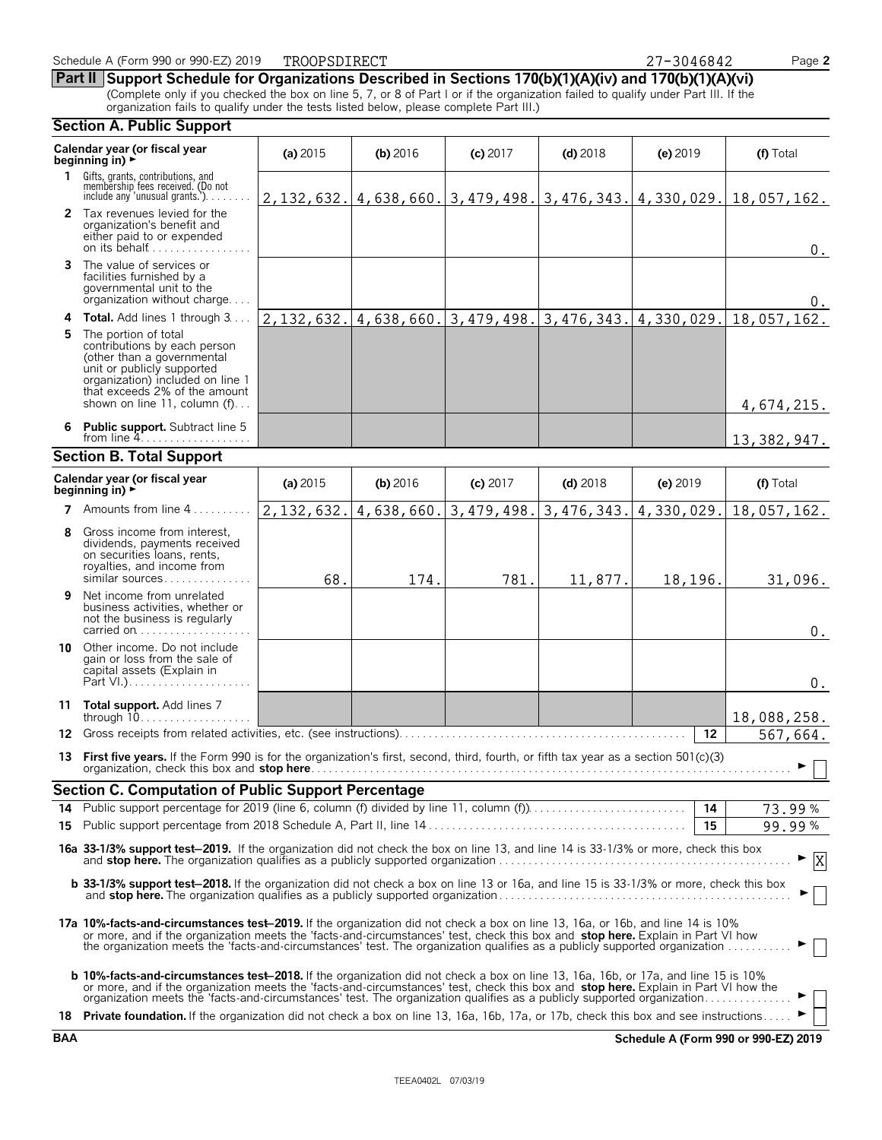**Part II Support Schedule for Organizations Described in Sections 170(b)(1)(A)(iv) and 170(b)(1)(A)(vi)**

(Complete only if you checked the box on line 5, 7, or 8 of Part I or if the organization failed to qualify under Part III. If the organization fails to qualify under the tests listed below, please complete Part III.)

#### **Section A. Public Support Calendar year (or fiscal year (a) 2015 <b>(b)** 2016 **(c) 2017 <b>(d)** 2018 **(e)** 2019 **(f)** Total **beginning in) 1** Gifts, grants, contributions, and<br>membership fees received. (Do not<br>include any 'unusual grants.'). . . . . . . . **2** Tax revenues levied for the organization's benefit and either paid to or expended on its behalf............ **3** The value of services or facilities furnished by a governmental unit to the organization without charge. . . . **4 Total.** Add lines 1 through 3... **5** The portion of total contributions by each person (other than a governmental unit or publicly supported organization) included on line 1 that exceeds 2% of the amount shown on line 11, column (f)... **6 Public support.** Subtract line 5 from line  $4$ . **Section B. Total Support Calendar year (or fiscal year (a) 2015 <b>(b)** 2016 **(c)** 2017 **(d)** 2018 **(e)** 2019 **(f)** Total **beginning in) 7** Amounts from line 4..... **8** Gross income from interest, dividends, payments received on securities loans, rents, royalties, and income from similar sources.... **9** Net income from unrelated business activities, whether or not the business is regularly carried on . . . . . . . . . . . . . . **10** Other income. Do not include gain or loss from the sale of capital assets (Explain in Part  $V.$ )... **11 Total support.** Add lines 7 through 10. . . . . . . . . . . . . . . . . . . **12** Gross receipts from related activities, etc. (see instructions). . . . . . . . . . . . . . . . . . . . . . . . . . . . . . . . . . . . . . . . . . . . . . . . . **12 13 First five vears.** If the Form 990 is for the organization's first, second, third, fourth, or fifth tax year as a section 501(c)(3) organization, check this box and **stop here**. . . . . . . . . . . . . . . . . . . . . . . . . . . . . . . . . . . . . . . . . . . . . . . . . . . . . . . . . . . . . . . . . . . . . . . . . . . . . . . . . . G **Section C. Computation of Public Support Percentage 14** Public support percentage for 2019 (line 6, column (f) divided by line 11, column (f)). . . . . . . . . . . . . . . . . . . . . . . . . . . **14** % **15** Public support percentage from 2018 Schedule A, Part II, line 14 . . . . . . . . . . . . . . . . . . . . . . . . . . . . . . . . . . . . . . . . . . . . **15** % **16a 33-1/3% support test**'**2019.** If the organization did not check the box on line 13, and line 14 is 33-1/3% or more, check this box and **stop here.** The organization qualifies as a publicly supported organization . . . . . . . . . . . . . . . . . . . . . . . . . . . . . . . . . . . . . . . . . . . . . . . . . . G **b 33-1/3% support test-2018.** If the organization did not check a box on line 13 or 16a, and line 15 is 33-1/3% or more, check this box and **stop here.** The organization qualifies as a publicly supported organization . . . . . . . . . . . . . . . . . . . . . . . . . . . . . . . . . . . . . . . . . . . . . . . . . . G **17a 10%-facts-and-circumstances test**'**2019.** If the organization did not check a box on line 13, 16a, or 16b, and line 14 is 10% or more, and if the organization meets the 'facts-and-circumstances' test, check this box and **stop here.** Explain in Part VI how the organization meets the 'facts-and-circumstances' test. The organization qualifies as a publicly supported organization . . . . . . . . . . . G **b 10%-facts-and-circumstances test–2018.** If the organization did not check a box on line 13, 16a, 16b, or 17a, and line 15 is 10% or more, and if the organization meets the 'facts-and-circumstances' test, check this box and stop here. Explain in Part VI how the<br>organization meets the 'facts-and-circumstances' test. The organization qualifies as a pu **18 Private foundation.** If the organization did not check a box on line 13, 16a, 16b, 17a, or 17b, check this box and see instructions. 2,132,632. 4,638,660. 3,479,498. 3,476,343. 4,330,029. 18,057,162. 0. 0. 2,132,632. 4,638,660. 3,479,498. 3,476,343. 4,330,029. 18,057,162. 4,674,215. 13,382,947. 2,132,632. 4,638,660. 3,479,498. 3,476,343. 4,330,029. 18,057,162. 68. 174. 781. 11,877. 18,196. 31,096.  $\boldsymbol{0}$  . 0. 18,088,258. 567,664. 73.99 99.99 X

**BAA Schedule A (Form 990 or 990-EZ) 2019**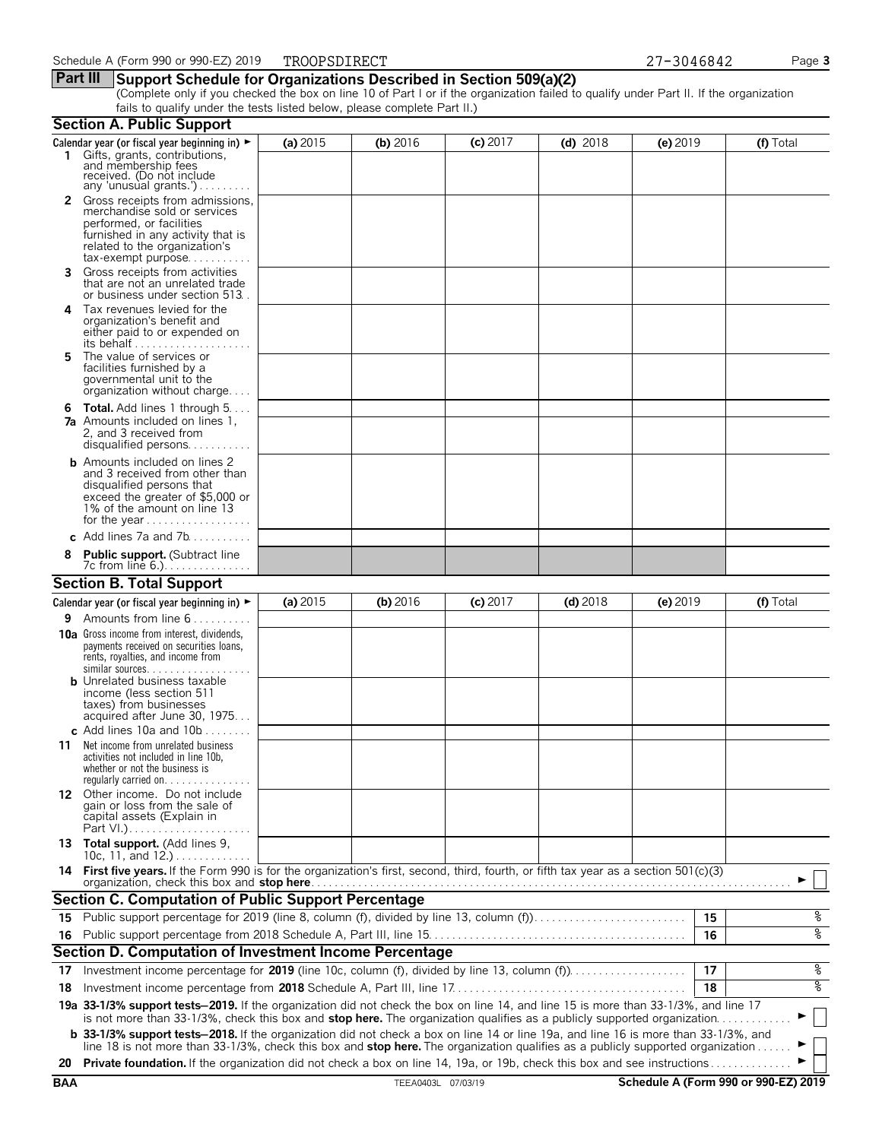#### **Part III Support Schedule for Organizations Described in Section 509(a)(2)**

(Complete only if you checked the box on line 10 of Part I or if the organization failed to qualify under Part II. If the organization fails to qualify under the tests listed below, please complete Part II.)

|            | <b>Section A. Public Support</b>                                                                                                                                                                                                                                              |            |                    |            |            |            |    |                                      |
|------------|-------------------------------------------------------------------------------------------------------------------------------------------------------------------------------------------------------------------------------------------------------------------------------|------------|--------------------|------------|------------|------------|----|--------------------------------------|
|            | Calendar year (or fiscal year beginning in) $\blacktriangleright$                                                                                                                                                                                                             | (a) $2015$ | (b) 2016           | $(c)$ 2017 | $(d)$ 2018 | $(e)$ 2019 |    | (f) Total                            |
|            | 1 Gifts, grants, contributions, and membership fees<br>received. (Do not include<br>any 'unusual grants.')                                                                                                                                                                    |            |                    |            |            |            |    |                                      |
|            | 2 Gross receipts from admissions,<br>merchandise sold or services<br>performed, or facilities<br>furnished in any activity that is<br>related to the organization's                                                                                                           |            |                    |            |            |            |    |                                      |
| 3.         | $tax\text{-}exempt \text{ purpose.} \dots \dots \dots$<br>Gross receipts from activities<br>that are not an unrelated trade<br>or business under section 513.                                                                                                                 |            |                    |            |            |            |    |                                      |
| 4          | Tax revenues levied for the<br>organization's benefit and<br>either paid to or expended on                                                                                                                                                                                    |            |                    |            |            |            |    |                                      |
| 5.         | The value of services or<br>facilities furnished by a<br>governmental unit to the<br>organization without charge                                                                                                                                                              |            |                    |            |            |            |    |                                      |
|            | <b>6 Total.</b> Add lines 1 through $5 \ldots$<br><b>7a</b> Amounts included on lines 1.<br>2, and 3 received from<br>disqualified persons                                                                                                                                    |            |                    |            |            |            |    |                                      |
|            | <b>b</b> Amounts included on lines 2<br>and 3 received from other than<br>disqualified persons that<br>exceed the greater of \$5,000 or<br>1% of the amount on line 13                                                                                                        |            |                    |            |            |            |    |                                      |
|            | c Add lines 7a and 7b                                                                                                                                                                                                                                                         |            |                    |            |            |            |    |                                      |
| 8          | <b>Public support.</b> (Subtract line<br>7c from line 6.).                                                                                                                                                                                                                    |            |                    |            |            |            |    |                                      |
|            | <b>Section B. Total Support</b>                                                                                                                                                                                                                                               |            |                    |            |            |            |    |                                      |
|            | Calendar year (or fiscal year beginning in) $\blacktriangleright$                                                                                                                                                                                                             | (a) $2015$ | (b) 2016           | $(c)$ 2017 | $(d)$ 2018 | $(e)$ 2019 |    | (f) Total                            |
| 9          | Amounts from line 6                                                                                                                                                                                                                                                           |            |                    |            |            |            |    |                                      |
|            | <b>10a</b> Gross income from interest, dividends,<br>payments received on securities loans,<br>rents, royalties, and income from<br>similar sources.<br><b>b</b> Unrelated business taxable<br>income (less section 511<br>taxes) from businesses                             |            |                    |            |            |            |    |                                      |
|            | acquired after June 30, 1975                                                                                                                                                                                                                                                  |            |                    |            |            |            |    |                                      |
|            | c Add lines 10a and $10b$                                                                                                                                                                                                                                                     |            |                    |            |            |            |    |                                      |
| 11         | Net income from unrelated business<br>activities not included in line 10b,<br>whether or not the business is                                                                                                                                                                  |            |                    |            |            |            |    |                                      |
|            | 12 Other income. Do not include<br>gain or loss from the sale of<br>capital assets (Explain in<br>Part VI.)                                                                                                                                                                   |            |                    |            |            |            |    |                                      |
|            | 13 Total support. (Add lines 9,<br>10c, 11, and $12.$ )                                                                                                                                                                                                                       |            |                    |            |            |            |    |                                      |
|            | 14 First five years. If the Form 990 is for the organization's first, second, third, fourth, or fifth tax year as a section 501(c)(3)<br>organization, check this box and stop here.                                                                                          |            |                    |            |            |            |    |                                      |
|            | <b>Section C. Computation of Public Support Percentage</b>                                                                                                                                                                                                                    |            |                    |            |            |            |    |                                      |
|            | 15 Public support percentage for 2019 (line 8, column (f), divided by line 13, column (f)                                                                                                                                                                                     |            |                    |            |            |            | 15 | %                                    |
|            |                                                                                                                                                                                                                                                                               |            |                    |            |            |            | 16 | ०७                                   |
|            | Section D. Computation of Investment Income Percentage                                                                                                                                                                                                                        |            |                    |            |            |            |    |                                      |
| 17         | Investment income percentage for 2019 (line 10c, column (f), divided by line 13, column (f))                                                                                                                                                                                  |            |                    |            |            |            | 17 | %                                    |
| 18         |                                                                                                                                                                                                                                                                               |            |                    |            |            |            | 18 | ०७                                   |
|            | 19a 33-1/3% support tests-2019. If the organization did not check the box on line 14, and line 15 is more than 33-1/3%, and line 17                                                                                                                                           |            |                    |            |            |            |    |                                      |
|            | is not more than 33-1/3%, check this box and stop here. The organization qualifies as a publicly supported organization                                                                                                                                                       |            |                    |            |            |            |    |                                      |
|            | <b>b</b> 33-1/3% support tests-2018. If the organization did not check a box on line 14 or line 19a, and line 16 is more than 33-1/3%, and<br>line 18 is not more than 33-1/3%, check this box and stop here. The organization qualifies as a publicly supported organization |            |                    |            |            |            |    |                                      |
| 20         | Private foundation. If the organization did not check a box on line 14, 19a, or 19b, check this box and see instructions                                                                                                                                                      |            |                    |            |            |            |    |                                      |
| <b>BAA</b> |                                                                                                                                                                                                                                                                               |            | TEEA0403L 07/03/19 |            |            |            |    | Schedule A (Form 990 or 990-EZ) 2019 |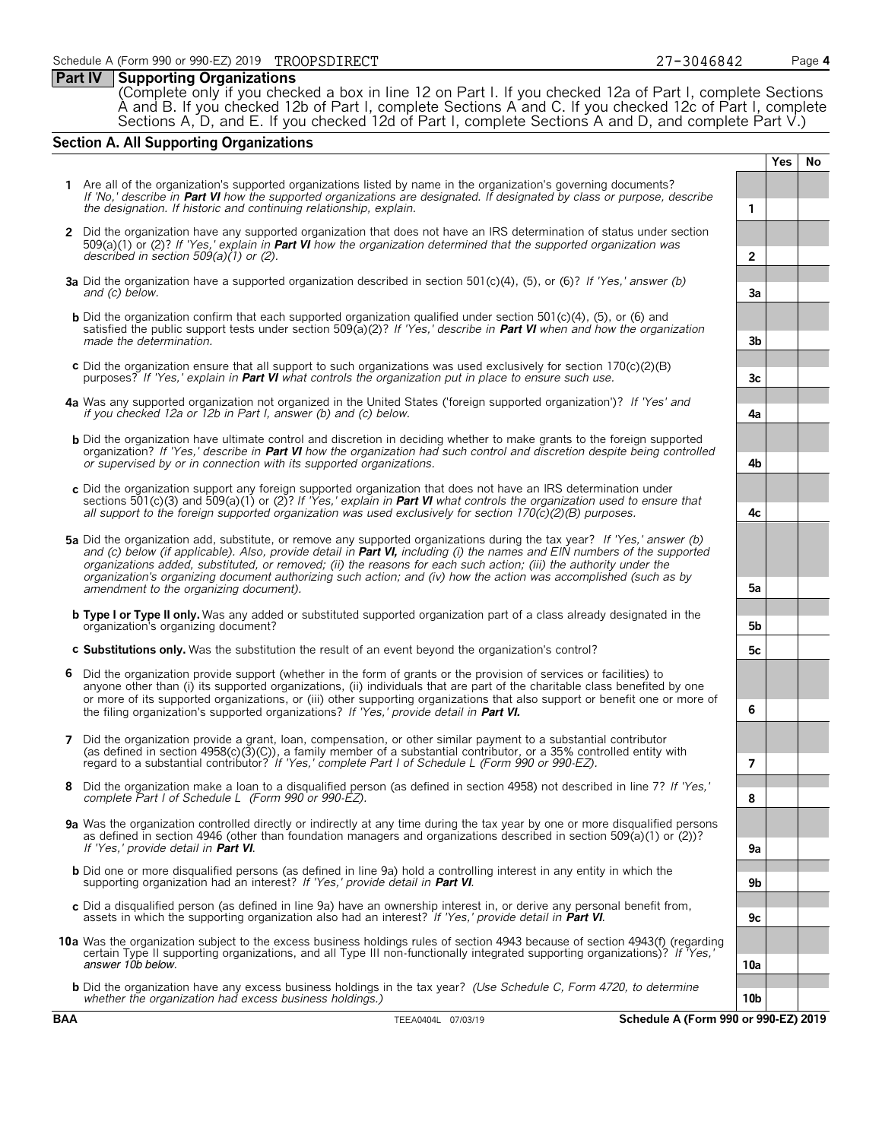#### **Part IV Supporting Organizations**

(Complete only if you checked a box in line 12 on Part I. If you checked 12a of Part I, complete Sections A and B. If you checked 12b of Part I, complete Sections A and C. If you checked 12c of Part I, complete Sections A, D, and E. If you checked 12d of Part I, complete Sections A and D, and complete Part V.)

#### **Section A. All Supporting Organizations**

**1** Are all of the organization's supported organizations listed by name in the organization's governing documents? *If 'No,' describe in* **Part VI** *how the supported organizations are designated. If designated by class or purpose, describe the designation. If historic and continuing relationship, explain.* **1 2** Did the organization have any supported organization that does not have an IRS determination of status under section 509(a)(1) or (2)? *If 'Yes,' explain in* **Part VI** *how the organization determined that the supported organization was described in section 509(a)(1) or (2).* **2 3a** Did the organization have a supported organization described in section 501(c)(4), (5), or (6)? *If 'Yes,' answer (b) and (c) below.* **3a b** Did the organization confirm that each supported organization qualified under section 501(c)(4), (5), or (6) and satisfied the public support tests under section 509(a)(2)? *If 'Yes,' describe in* **Part VI** *when and how the organization made the determination.* **3b c** Did the organization ensure that all support to such organizations was used exclusively for section 170(c)(2)(B) purposes? *If 'Yes,' explain in* **Part VI** *what controls the organization put in place to ensure such use.* **3c 4a** Was any supported organization not organized in the United States ('foreign supported organization')? *If 'Yes' and if you checked 12a or 12b in Part I, answer (b) and (c) below.* **4a b** Did the organization have ultimate control and discretion in deciding whether to make grants to the foreign supported organization? *If 'Yes,' describe in* **Part VI** *how the organization had such control and discretion despite being controlled or supervised by or in connection with its supported organizations.* **4b c** Did the organization support any foreign supported organization that does not have an IRS determination under sections 501(c)(3) and 509(a)(1) or (2)? *If 'Yes,' explain in* **Part VI** *what controls the organization used to ensure that all support to the foreign supported organization was used exclusively for section 170(c)(2)(B) purposes.* **4c 5a** Did the organization add, substitute, or remove any supported organizations during the tax year? *If 'Yes,' answer (b) and (c) below (if applicable). Also, provide detail in* **Part VI,** *including (i) the names and EIN numbers of the supported organizations added, substituted, or removed; (ii) the reasons for each such action; (iii) the authority under the organization's organizing document authorizing such action; and (iv) how the action was accomplished (such as by amendment to the organizing document).* **5a b Type I or Type II only.** Was any added or substituted supported organization part of a class already designated in the organization's organizing document? **5b c Substitutions only.** Was the substitution the result of an event beyond the organization's control? **5c 6** Did the organization provide support (whether in the form of grants or the provision of services or facilities) to anyone other than (i) its supported organizations, (ii) individuals that are part of the charitable class benefited by one or more of its supported organizations, or (iii) other supporting organizations that also support or benefit one or more of the filing organization's supported organizations? *If 'Yes,' provide detail in* **Part VI. 6 7** Did the organization provide a grant, loan, compensation, or other similar payment to a substantial contributor (as defined in section 4958(c)(3)(C)), a family member of a substantial contributor, or a 35% controlled entity with regard to a substantial contributor? *If 'Yes,' complete Part I of Schedule L (Form 990 or 990-EZ).* **7 8** Did the organization make a loan to a disqualified person (as defined in section 4958) not described in line 7? *If 'Yes,' complete Part I of Schedule L (Form 990 or 990-EZ).* **8 9a** Was the organization controlled directly or indirectly at any time during the tax year by one or more disqualified persons as defined in section 4946 (other than foundation managers and organizations described in section 509(a)(1) or (2))? *If 'Yes,' provide detail in* **Part VI**. **9a b** Did one or more disqualified persons (as defined in line 9a) hold a controlling interest in any entity in which the<br>supporting organization had an interest? If 'Yes,' provide detail in **Part VI**. c Did a disqualified person (as defined in line 9a) have an ownership interest in, or derive any personal benefit from,<br>assets in which the supporting organization also had an interest? If 'Yes,' provide detail in Part VI **10a** Was the organization subject to the excess business holdings rules of section 4943 because of section 4943(f) (regarding certain Type II supporting organizations, and all Type III non-functionally integrated supporting organizations)? *If 'Yes,'* answer 10b below. **10a b** Did the organization have any excess business holdings in the tax year? *(Use Schedule C, Form 4720, to determine whether the organization had excess business holdings.)* **10b BAA** TEEA0404L 07/03/19 **Schedule A (Form 990 or 990-EZ) 2019**

**Yes No**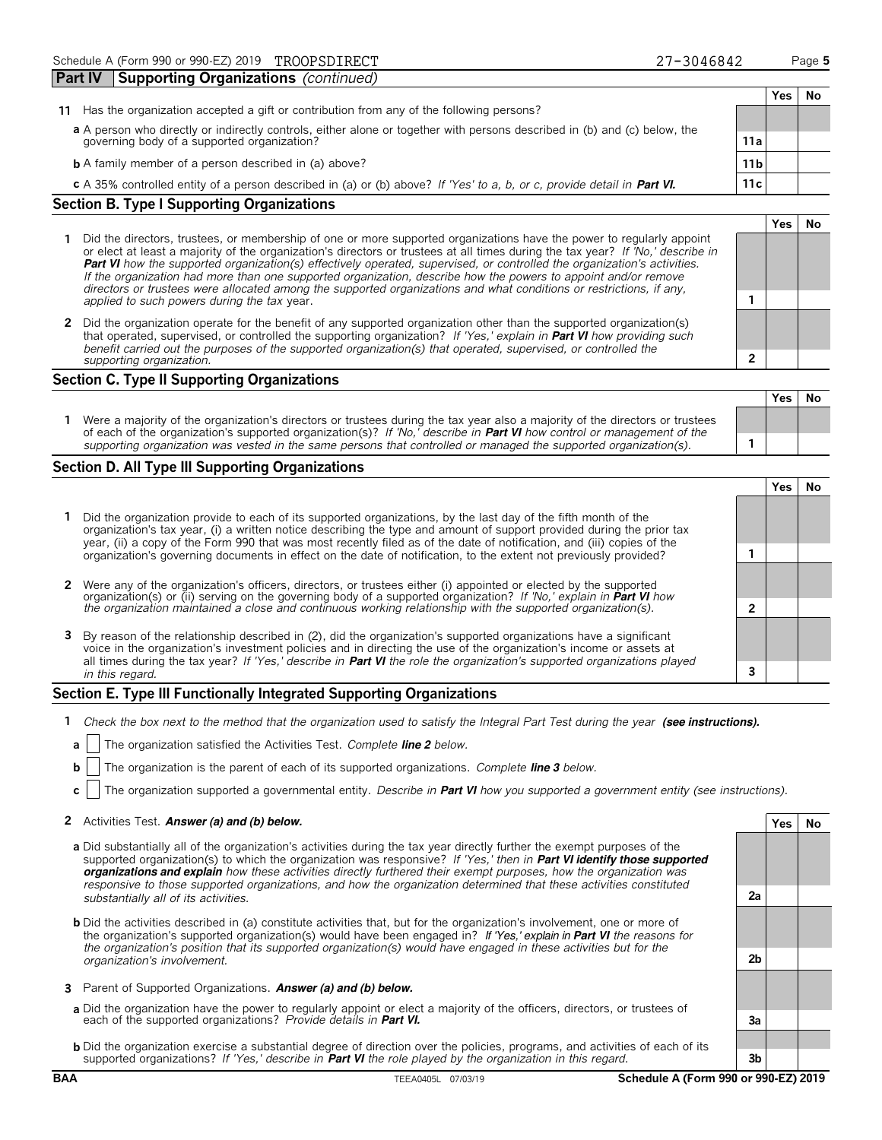| 11                                                | Has the organization accepted a gift or contribution from any of the following persons?                                   |                 |  |  |  |  |
|---------------------------------------------------|---------------------------------------------------------------------------------------------------------------------------|-----------------|--|--|--|--|
|                                                   | a A person who directly or indirectly controls, either alone or together with persons described in (b) and (c) below, the |                 |  |  |  |  |
|                                                   | governing body of a supported organization?                                                                               | 11a             |  |  |  |  |
|                                                   | <b>b</b> A family member of a person described in (a) above?                                                              | 11 <sub>b</sub> |  |  |  |  |
|                                                   | c A 35% controlled entity of a person described in (a) or (b) above? If 'Yes' to a, b, or c, provide detail in Part VI.   | 11c.            |  |  |  |  |
| <b>Section B. Type I Supporting Organizations</b> |                                                                                                                           |                 |  |  |  |  |

- **1** Did the directors, trustees, or membership of one or more supported organizations have the power to regularly appoint or elect at least a majority of the organization's directors or trustees at all times during the tax year? *If 'No,' describe in* **Part VI** *how the supported organization(s) effectively operated, supervised, or controlled the organization's activities. If the organization had more than one supported organization, describe how the powers to appoint and/or remove directors or trustees were allocated among the supported organizations and what conditions or restrictions, if any, applied to such powers during the tax* year. **1**
- **2** Did the organization operate for the benefit of any supported organization other than the supported organization(s) that operated, supervised, or controlled the supporting organization? *If 'Yes,' explain in* **Part VI** *how providing such benefit carried out the purposes of the supported organization(s) that operated, supervised, or controlled the supporting organization.* **2**

#### **Section C. Type II Supporting Organizations**

|                                                                                                                                                                                                                                                               | 153 I IVU |  |
|---------------------------------------------------------------------------------------------------------------------------------------------------------------------------------------------------------------------------------------------------------------|-----------|--|
| Were a majority of the organization's directors or trustees during the tax year also a majority of the directors or trustees<br>of each of the organization's supported organization(s)? If 'No,' describe in <b>Part VI</b> how control or management of the |           |  |
| supporting organization was vested in the same persons that controlled or managed the supported organization(s).                                                                                                                                              |           |  |

#### **Section D. All Type III Supporting Organizations**

|                                                                                                                                                                                                                                                                                                                                                                             |  | res |  |  |  |  |
|-----------------------------------------------------------------------------------------------------------------------------------------------------------------------------------------------------------------------------------------------------------------------------------------------------------------------------------------------------------------------------|--|-----|--|--|--|--|
| 1 Did the organization provide to each of its supported organizations, by the last day of the fifth month of the<br>organization's tax year, (i) a written notice describing the type and amount of support provided during the prior tax<br>year, (ii) a copy of the Form 990 that was most recently filed as of the date of notification, and (iii) copies of the         |  |     |  |  |  |  |
| organization's governing documents in effect on the date of notification, to the extent not previously provided?                                                                                                                                                                                                                                                            |  |     |  |  |  |  |
| 2 Were any of the organization's officers, directors, or trustees either (i) appointed or elected by the supported                                                                                                                                                                                                                                                          |  |     |  |  |  |  |
| organization(s) or (ii) serving on the governing body of a supported organization? If 'No,' explain in <b>Part VI</b> how<br>the organization maintained a close and continuous working relationship with the supported organization(s                                                                                                                                      |  |     |  |  |  |  |
| 3 By reason of the relationship described in (2), did the organization's supported organizations have a significant<br>voice in the organization's investment policies and in directing the use of the organization's income or assets at<br>all times during the tax year? If 'Yes,' describe in <b>Part VI</b> the role the organization's supported organizations played |  |     |  |  |  |  |
| in this regard.                                                                                                                                                                                                                                                                                                                                                             |  |     |  |  |  |  |

#### **Section E. Type III Functionally Integrated Supporting Organizations**

- **1** *Check the box next to the method that the organization used to satisfy the Integral Part Test during the year* (see instructions).
- **a** The organization satisfied the Activities Test. *Complete line 2 below.*
- **b** The organization is the parent of each of its supported organizations. *Complete line 3 below.*
- **c** The organization supported a governmental entity. *Describe in* **Part VI** *how you supported a government entity (see instructions).*

#### **2** Activities Test. **Answer (a) and (b) below. Yes No**

- **a** Did substantially all of the organization's activities during the tax year directly further the exempt purposes of the supported organization(s) to which the organization was responsive? *If 'Yes,' then in* **Part VI identify those supported organizations and explain** *how these activities directly furthered their exempt purposes, how the organization was responsive to those supported organizations, and how the organization determined that these activities constituted substantially all of its activities.* **2a**
- **b** Did the activities described in (a) constitute activities that, but for the organization's involvement, one or more of the organization's supported organization(s) would have been engaged in? If 'Yes,' explain in **Part VI** *the reasons for the organization's position that its supported organization(s) would have engaged in these activities but for the organization's involvement.* **2b**
- **3** Parent of Supported Organizations. **Answer (a) and (b) below.**
- **a** Did the organization have the power to regularly appoint or elect a majority of the officers, directors, or trustees of each of the supported organizations? *Provide details in* **Part VI. 3a**
- **b** Did the organization exercise a substantial degree of direction over the policies, programs, and activities of each of its supported organizations? *If 'Yes,' describe in* **Part VI** *the role played by the organization in this regard.* **3b**

**Yes No**

**Yes No**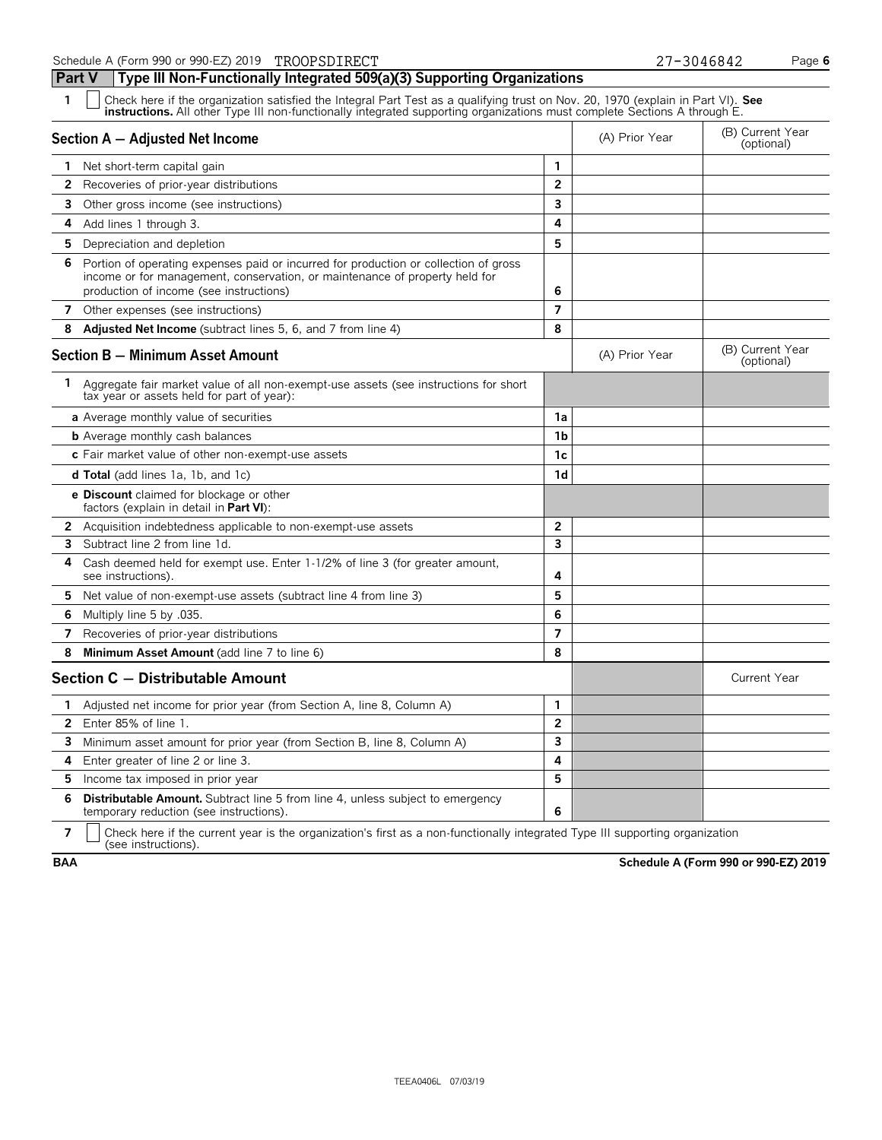**Part V Type III Non-Functionally Integrated 509(a)(3) Supporting Organizations**

| $\mathbf{1}$ | Check here if the organization satisfied the Integral Part Test as a qualifying trust on Nov. 20, 1970 (explain in Part VI). See<br>instructions. All other Type III non-functionally integrated supporting organizations must complete Sections A through E. |                |                                |                                |
|--------------|---------------------------------------------------------------------------------------------------------------------------------------------------------------------------------------------------------------------------------------------------------------|----------------|--------------------------------|--------------------------------|
|              | Section A - Adjusted Net Income                                                                                                                                                                                                                               | (A) Prior Year | (B) Current Year<br>(optional) |                                |
|              | 1 Net short-term capital gain                                                                                                                                                                                                                                 | 1              |                                |                                |
| 2            | Recoveries of prior-year distributions                                                                                                                                                                                                                        | $\overline{2}$ |                                |                                |
| 3            | Other gross income (see instructions)                                                                                                                                                                                                                         | 3              |                                |                                |
| 4            | Add lines 1 through 3.                                                                                                                                                                                                                                        | 4              |                                |                                |
|              | <b>5</b> Depreciation and depletion                                                                                                                                                                                                                           | 5              |                                |                                |
| 6.           | Portion of operating expenses paid or incurred for production or collection of gross<br>income or for management, conservation, or maintenance of property held for<br>production of income (see instructions)                                                | 6              |                                |                                |
|              | 7 Other expenses (see instructions)                                                                                                                                                                                                                           | $\overline{7}$ |                                |                                |
| 8            | <b>Adjusted Net Income</b> (subtract lines 5, 6, and 7 from line 4)                                                                                                                                                                                           | 8              |                                |                                |
|              | <b>Section B - Minimum Asset Amount</b>                                                                                                                                                                                                                       |                | (A) Prior Year                 | (B) Current Year<br>(optional) |
| 1.           | Aggregate fair market value of all non-exempt-use assets (see instructions for short<br>tax year or assets held for part of year):                                                                                                                            |                |                                |                                |
|              | <b>a</b> Average monthly value of securities                                                                                                                                                                                                                  | 1a             |                                |                                |
|              | <b>b</b> Average monthly cash balances                                                                                                                                                                                                                        | 1 <sub>b</sub> |                                |                                |
|              | c Fair market value of other non-exempt-use assets                                                                                                                                                                                                            | 1c             |                                |                                |
|              | <b>d Total</b> (add lines 1a, 1b, and 1c)                                                                                                                                                                                                                     | 1 <sub>d</sub> |                                |                                |
|              | <b>e Discount</b> claimed for blockage or other<br>factors (explain in detail in <b>Part VI</b> ):                                                                                                                                                            |                |                                |                                |
| 2            | Acquisition indebtedness applicable to non-exempt-use assets                                                                                                                                                                                                  | $\overline{2}$ |                                |                                |
| 3.           | Subtract line 2 from line 1d.                                                                                                                                                                                                                                 | 3              |                                |                                |
| 4            | Cash deemed held for exempt use. Enter 1-1/2% of line 3 (for greater amount,<br>see instructions).                                                                                                                                                            | 4              |                                |                                |
|              | 5 Net value of non-exempt-use assets (subtract line 4 from line 3)                                                                                                                                                                                            | 5              |                                |                                |
| 6.           | .035. Multiply line 5 by                                                                                                                                                                                                                                      | 6              |                                |                                |
| 7            | Recoveries of prior-year distributions                                                                                                                                                                                                                        | $\overline{7}$ |                                |                                |
| 8            | Minimum Asset Amount (add line 7 to line 6)                                                                                                                                                                                                                   | 8              |                                |                                |
|              | Section C - Distributable Amount                                                                                                                                                                                                                              |                |                                | <b>Current Year</b>            |
| 1.           | Adjusted net income for prior year (from Section A, line 8, Column A)                                                                                                                                                                                         | 1              |                                |                                |
| 2            | Enter 85% of line 1.                                                                                                                                                                                                                                          | $\overline{2}$ |                                |                                |
| 3.           | Minimum asset amount for prior year (from Section B, line 8, Column A)                                                                                                                                                                                        | 3              |                                |                                |
| 4            | Enter greater of line 2 or line 3.                                                                                                                                                                                                                            | 4              |                                |                                |
| 5.           | Income tax imposed in prior year                                                                                                                                                                                                                              | 5              |                                |                                |
| 6            | <b>Distributable Amount.</b> Subtract line 5 from line 4, unless subject to emergency<br>temporary reduction (see instructions).                                                                                                                              | 6              |                                |                                |

**7**  $\Box$  Check here if the current year is the organization's first as a non-functionally integrated Type III supporting organization (see instructions).

**BAA Schedule A (Form 990 or 990-EZ) 2019**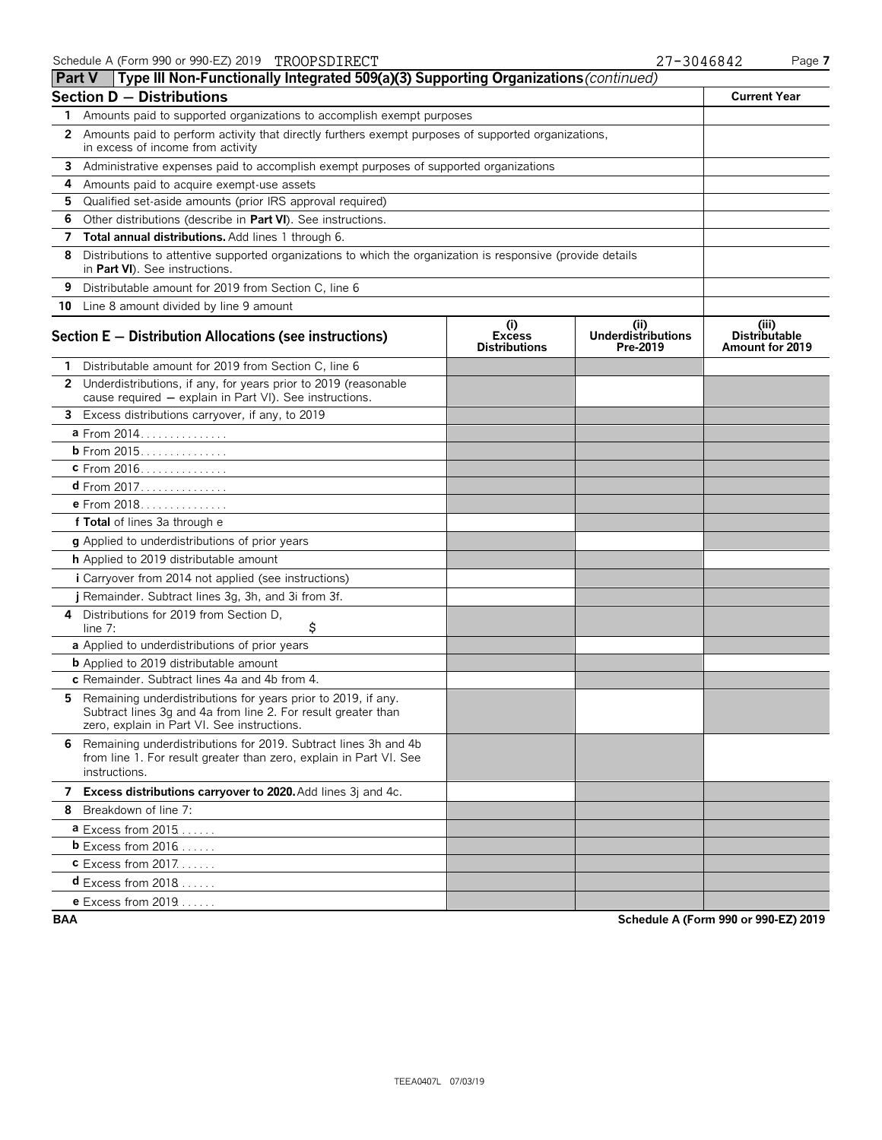**Part V** Type III Non-Functionally Integrated 509(a)(3) Supporting Organizations (continued)

| Section $D -$ Distributions                                                                           | <b>Current Year</b>                                                                                                                                                           |                                              |                                               |                                                         |  |  |  |  |  |
|-------------------------------------------------------------------------------------------------------|-------------------------------------------------------------------------------------------------------------------------------------------------------------------------------|----------------------------------------------|-----------------------------------------------|---------------------------------------------------------|--|--|--|--|--|
| 1 Amounts paid to supported organizations to accomplish exempt purposes                               |                                                                                                                                                                               |                                              |                                               |                                                         |  |  |  |  |  |
| 2 Amounts paid to perform activity that directly furthers exempt purposes of supported organizations, |                                                                                                                                                                               |                                              |                                               |                                                         |  |  |  |  |  |
|                                                                                                       | in excess of income from activity<br>3 Administrative expenses paid to accomplish exempt purposes of supported organizations                                                  |                                              |                                               |                                                         |  |  |  |  |  |
| 4                                                                                                     | Amounts paid to acquire exempt-use assets                                                                                                                                     |                                              |                                               |                                                         |  |  |  |  |  |
| 5                                                                                                     | Qualified set-aside amounts (prior IRS approval required)                                                                                                                     |                                              |                                               |                                                         |  |  |  |  |  |
| 6                                                                                                     | Other distributions (describe in Part VI). See instructions.                                                                                                                  |                                              |                                               |                                                         |  |  |  |  |  |
| 7                                                                                                     | Total annual distributions. Add lines 1 through 6.                                                                                                                            |                                              |                                               |                                                         |  |  |  |  |  |
| 8                                                                                                     |                                                                                                                                                                               |                                              |                                               |                                                         |  |  |  |  |  |
| 9                                                                                                     | Distributable amount for 2019 from Section C, line 6                                                                                                                          |                                              |                                               |                                                         |  |  |  |  |  |
|                                                                                                       | 10 Line 8 amount divided by line 9 amount                                                                                                                                     |                                              |                                               |                                                         |  |  |  |  |  |
|                                                                                                       | Section E - Distribution Allocations (see instructions)                                                                                                                       | (i)<br><b>Excess</b><br><b>Distributions</b> | (ii)<br><b>Underdistributions</b><br>Pre-2019 | (iii)<br><b>Distributable</b><br><b>Amount for 2019</b> |  |  |  |  |  |
| 1.                                                                                                    | Distributable amount for 2019 from Section C, line 6                                                                                                                          |                                              |                                               |                                                         |  |  |  |  |  |
|                                                                                                       | 2 Underdistributions, if any, for years prior to 2019 (reasonable<br>cause required - explain in Part VI). See instructions.                                                  |                                              |                                               |                                                         |  |  |  |  |  |
|                                                                                                       | 3 Excess distributions carryover, if any, to 2019                                                                                                                             |                                              |                                               |                                                         |  |  |  |  |  |
|                                                                                                       | a From 2014.                                                                                                                                                                  |                                              |                                               |                                                         |  |  |  |  |  |
|                                                                                                       | <b>b</b> From 2015.                                                                                                                                                           |                                              |                                               |                                                         |  |  |  |  |  |
|                                                                                                       | c From 2016.                                                                                                                                                                  |                                              |                                               |                                                         |  |  |  |  |  |
|                                                                                                       | d From 2017. <u>.</u>                                                                                                                                                         |                                              |                                               |                                                         |  |  |  |  |  |
|                                                                                                       | e From 2018.                                                                                                                                                                  |                                              |                                               |                                                         |  |  |  |  |  |
|                                                                                                       | f Total of lines 3a through e                                                                                                                                                 |                                              |                                               |                                                         |  |  |  |  |  |
|                                                                                                       | g Applied to underdistributions of prior years                                                                                                                                |                                              |                                               |                                                         |  |  |  |  |  |
|                                                                                                       | h Applied to 2019 distributable amount                                                                                                                                        |                                              |                                               |                                                         |  |  |  |  |  |
|                                                                                                       | <i>i</i> Carryover from 2014 not applied (see instructions)                                                                                                                   |                                              |                                               |                                                         |  |  |  |  |  |
|                                                                                                       | j Remainder. Subtract lines 3g, 3h, and 3i from 3f.                                                                                                                           |                                              |                                               |                                                         |  |  |  |  |  |
| 4                                                                                                     | Distributions for 2019 from Section D,<br>\$<br>$line 7$ :                                                                                                                    |                                              |                                               |                                                         |  |  |  |  |  |
|                                                                                                       | a Applied to underdistributions of prior years                                                                                                                                |                                              |                                               |                                                         |  |  |  |  |  |
|                                                                                                       | <b>b</b> Applied to 2019 distributable amount                                                                                                                                 |                                              |                                               |                                                         |  |  |  |  |  |
|                                                                                                       | c Remainder. Subtract lines 4a and 4b from 4.                                                                                                                                 |                                              |                                               |                                                         |  |  |  |  |  |
| 5.                                                                                                    | Remaining underdistributions for years prior to 2019, if any.<br>Subtract lines 3g and 4a from line 2. For result greater than<br>zero, explain in Part VI. See instructions. |                                              |                                               |                                                         |  |  |  |  |  |
| 6                                                                                                     | Remaining underdistributions for 2019. Subtract lines 3h and 4b<br>from line 1. For result greater than zero, explain in Part VI. See<br>instructions.                        |                                              |                                               |                                                         |  |  |  |  |  |
|                                                                                                       | 7 Excess distributions carryover to 2020. Add lines 3j and 4c.                                                                                                                |                                              |                                               |                                                         |  |  |  |  |  |
| 8                                                                                                     | Breakdown of line 7:                                                                                                                                                          |                                              |                                               |                                                         |  |  |  |  |  |
|                                                                                                       | <b>a</b> Excess from 2015                                                                                                                                                     |                                              |                                               |                                                         |  |  |  |  |  |
|                                                                                                       | <b>b</b> Excess from $2016$                                                                                                                                                   |                                              |                                               |                                                         |  |  |  |  |  |
|                                                                                                       | <b>C</b> Excess from $2017$                                                                                                                                                   |                                              |                                               |                                                         |  |  |  |  |  |
|                                                                                                       | $d$ Excess from 2018                                                                                                                                                          |                                              |                                               |                                                         |  |  |  |  |  |

**e** Excess from 2019. . . . . . .

**BAA Schedule A (Form 990 or 990-EZ) 2019**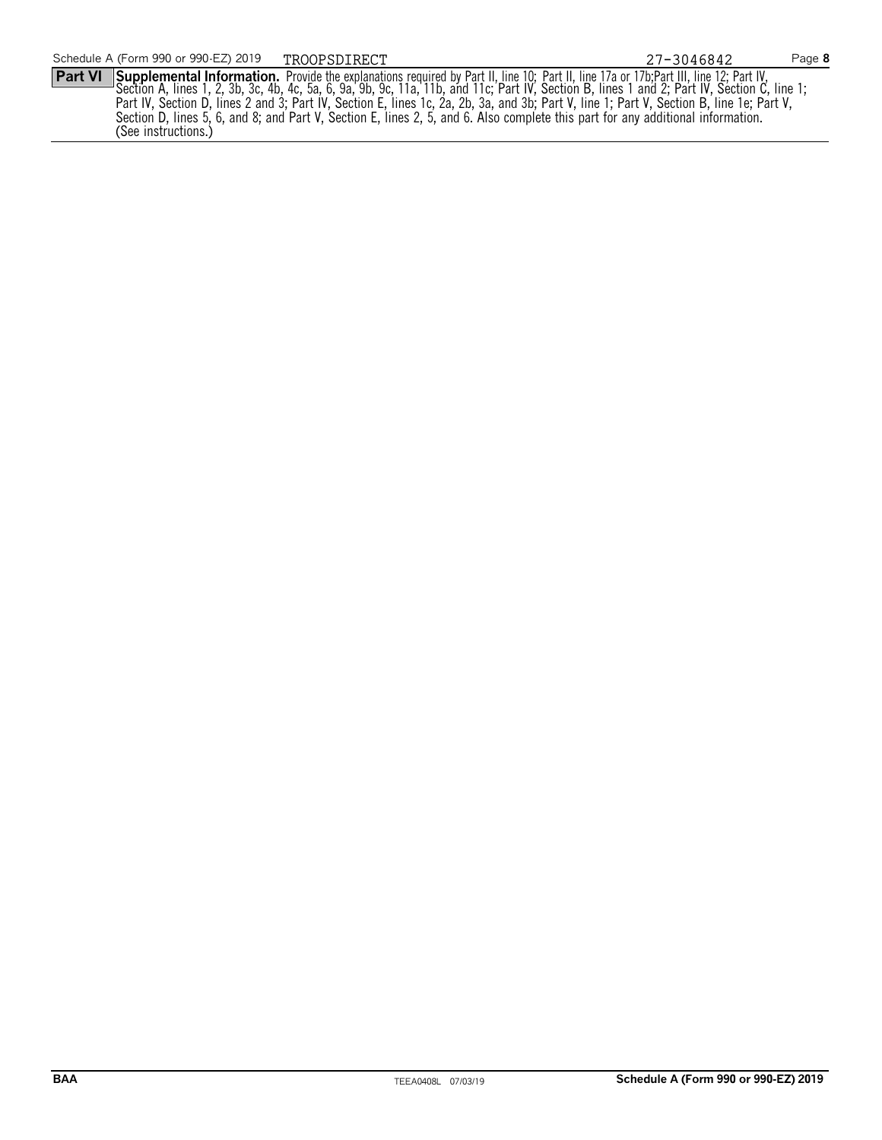**Part VI** Supplemental Information. Provide the explanations required by Part II, line 10; Part II, line 17a or 17b;Part III, line 12; Part IV, Section A, lines 1, 2, 3b, 3c, 4b, 4c, 5a, 6, 9a, 9b, 9c, 11a, 11b, and 11c; Part IV, Section B, lines 1 and 2; Part IV, Section C, line 1; Part IV, Section D, lines 2 and 3; Part IV, Section E, lines 1c, 2a, 2b, 3a, and 3b; Part V, line 1; Part V, Section B, line 1e; Part V, Section D, lines 5, 6, and 8; and Part V, Section E, lines 2, 5, and 6. Also complete this part for any additional information. (See instructions.)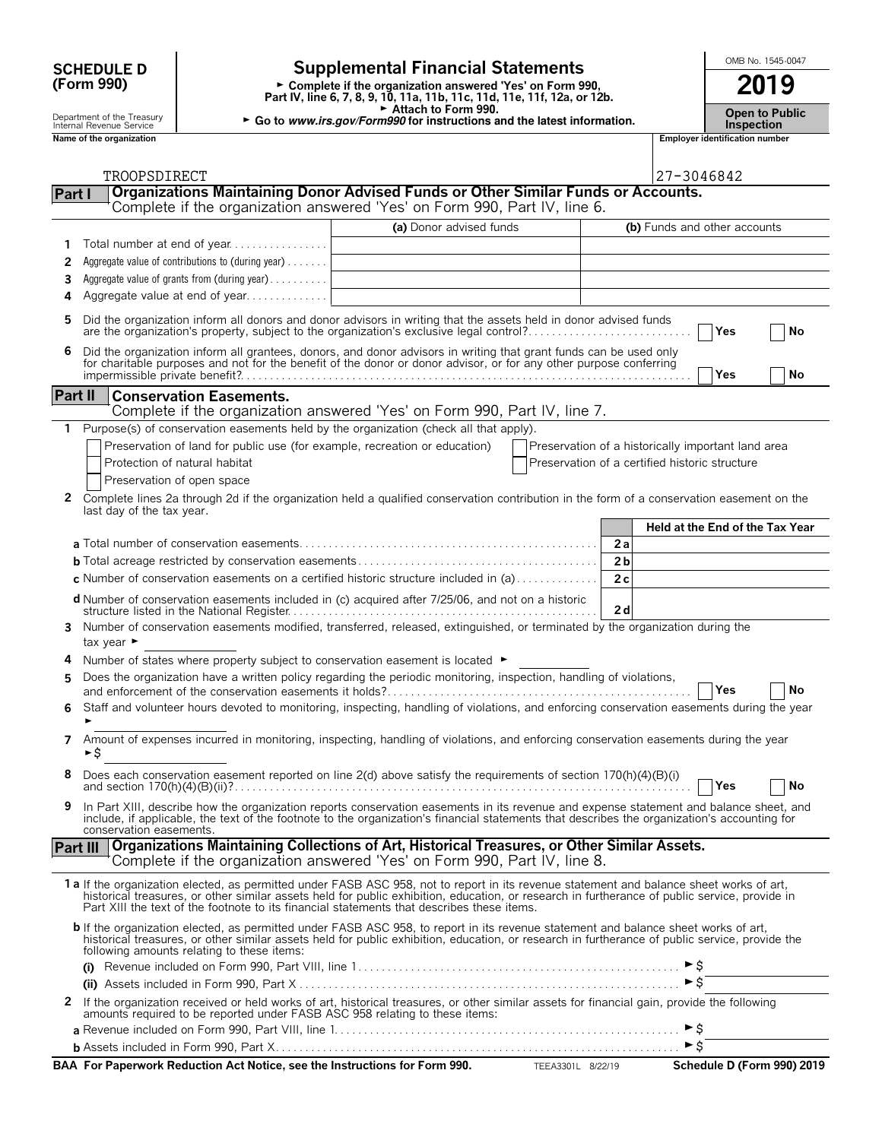## **(Form 990)**

### **SCHEDULE D**  $\begin{bmatrix} \text{OMB No. 1545-0047} \\ \text{OMB No. 1545-0047} \end{bmatrix}$

**Part IV, line 6, 7, 8, 9, 10, 11a, 11b, 11c, 11d, 11e, 11f, 12a, or 12b.**<br>
Part IV, line 6, 7, 8, 9, 10, 11a, 11b, 11c, 11d, 11e, 11f, 12a, or 12b.

G **Attach to Form 990.**

Department of the Treasury **Constant of the Treasury <b>Constant Constant Constant Constant Constant Constant Const<br>Internal Revenue Service <b>Inspection** 

|            | <b>Open to Publi</b> |
|------------|----------------------|
|            |                      |
| Incnoction |                      |

|              | Name of the organization                                                                                                                                                                                                                                                                                                                                                                |                         |                                                    |                                 | <b>Employer identification number</b> |    |
|--------------|-----------------------------------------------------------------------------------------------------------------------------------------------------------------------------------------------------------------------------------------------------------------------------------------------------------------------------------------------------------------------------------------|-------------------------|----------------------------------------------------|---------------------------------|---------------------------------------|----|
|              |                                                                                                                                                                                                                                                                                                                                                                                         |                         |                                                    |                                 |                                       |    |
|              | TROOPSDIRECT<br>Organizations Maintaining Donor Advised Funds or Other Similar Funds or Accounts.                                                                                                                                                                                                                                                                                       |                         |                                                    | 27-3046842                      |                                       |    |
| Part I       | Complete if the organization answered 'Yes' on Form 990, Part IV, line 6.                                                                                                                                                                                                                                                                                                               |                         |                                                    |                                 |                                       |    |
|              |                                                                                                                                                                                                                                                                                                                                                                                         | (a) Donor advised funds |                                                    | (b) Funds and other accounts    |                                       |    |
| 1.           |                                                                                                                                                                                                                                                                                                                                                                                         |                         |                                                    |                                 |                                       |    |
| 2            | Aggregate value of contributions to (during year)                                                                                                                                                                                                                                                                                                                                       |                         |                                                    |                                 |                                       |    |
| 3            | Aggregate value of grants from (during year)                                                                                                                                                                                                                                                                                                                                            |                         |                                                    |                                 |                                       |    |
| 4            | Aggregate value at end of year                                                                                                                                                                                                                                                                                                                                                          |                         |                                                    |                                 |                                       |    |
| 5            | Did the organization inform all donors and donor advisors in writing that the assets held in donor advised funds<br>are the organization's property, subject to the organization's exclusive legal control?                                                                                                                                                                             |                         |                                                    |                                 | Yes                                   | No |
| 6            | Did the organization inform all grantees, donors, and donor advisors in writing that grant funds can be used only<br>for charitable purposes and not for the benefit of the donor or donor advisor, or for any other purpose conferring                                                                                                                                                 |                         |                                                    |                                 | Yes                                   | No |
| Part II      | <b>Conservation Easements.</b>                                                                                                                                                                                                                                                                                                                                                          |                         |                                                    |                                 |                                       |    |
|              | Complete if the organization answered 'Yes' on Form 990, Part IV, line 7.                                                                                                                                                                                                                                                                                                               |                         |                                                    |                                 |                                       |    |
| 1            | Purpose(s) of conservation easements held by the organization (check all that apply).                                                                                                                                                                                                                                                                                                   |                         |                                                    |                                 |                                       |    |
|              | Preservation of land for public use (for example, recreation or education)                                                                                                                                                                                                                                                                                                              |                         | Preservation of a historically important land area |                                 |                                       |    |
|              | Protection of natural habitat                                                                                                                                                                                                                                                                                                                                                           |                         | Preservation of a certified historic structure     |                                 |                                       |    |
|              | Preservation of open space                                                                                                                                                                                                                                                                                                                                                              |                         |                                                    |                                 |                                       |    |
| $\mathbf{2}$ | Complete lines 2a through 2d if the organization held a qualified conservation contribution in the form of a conservation easement on the<br>last day of the tax year.                                                                                                                                                                                                                  |                         |                                                    |                                 |                                       |    |
|              |                                                                                                                                                                                                                                                                                                                                                                                         |                         |                                                    | Held at the End of the Tax Year |                                       |    |
|              |                                                                                                                                                                                                                                                                                                                                                                                         |                         |                                                    | 2a                              |                                       |    |
|              |                                                                                                                                                                                                                                                                                                                                                                                         |                         |                                                    | 2 <sub>b</sub>                  |                                       |    |
|              | c Number of conservation easements on a certified historic structure included in $(a)$                                                                                                                                                                                                                                                                                                  |                         |                                                    | 2c                              |                                       |    |
|              | <b>d</b> Number of conservation easements included in (c) acquired after 7/25/06, and not on a historic                                                                                                                                                                                                                                                                                 |                         |                                                    | 2d                              |                                       |    |
| 3            | Number of conservation easements modified, transferred, released, extinguished, or terminated by the organization during the<br>tax year ►                                                                                                                                                                                                                                              |                         |                                                    |                                 |                                       |    |
| 4            | Number of states where property subject to conservation easement is located $\blacktriangleright$                                                                                                                                                                                                                                                                                       |                         |                                                    |                                 |                                       |    |
| 5.           | Does the organization have a written policy regarding the periodic monitoring, inspection, handling of violations,                                                                                                                                                                                                                                                                      |                         |                                                    |                                 | Yes                                   | No |
| 6            | Staff and volunteer hours devoted to monitoring, inspecting, handling of violations, and enforcing conservation easements during the year                                                                                                                                                                                                                                               |                         |                                                    |                                 |                                       |    |
| 7            | Amount of expenses incurred in monitoring, inspecting, handling of violations, and enforcing conservation easements during the year<br>►\$                                                                                                                                                                                                                                              |                         |                                                    |                                 |                                       |    |
|              | Does each conservation easement reported on line $2(d)$ above satisfy the requirements of section 170(h)(4)(B)(i)                                                                                                                                                                                                                                                                       |                         |                                                    |                                 | Yes                                   | No |
| 9            | In Part XIII, describe how the organization reports conservation easements in its revenue and expense statement and balance sheet, and<br>include, if applicable, the text of the footnote to the organization's financial statements that describes the organization's accounting for<br>conservation easements.                                                                       |                         |                                                    |                                 |                                       |    |
| Part III     | Organizations Maintaining Collections of Art, Historical Treasures, or Other Similar Assets.<br>Complete if the organization answered 'Yes' on Form 990, Part IV, line 8.                                                                                                                                                                                                               |                         |                                                    |                                 |                                       |    |
|              | 1 a If the organization elected, as permitted under FASB ASC 958, not to report in its revenue statement and balance sheet works of art,<br>historical treasures, or other similar assets held for public exhibition, education, or research in furtherance of public service, provide in<br>Part XIII the text of the footnote to its financial statements that describes these items. |                         |                                                    |                                 |                                       |    |
|              | b If the organization elected, as permitted under FASB ASC 958, to report in its revenue statement and balance sheet works of art,<br>historical treasures, or other similar assets held for public exhibition, education, or research in furtherance of public service, provide the<br>following amounts relating to these items:                                                      |                         |                                                    |                                 |                                       |    |
|              |                                                                                                                                                                                                                                                                                                                                                                                         |                         |                                                    | ►s                              |                                       |    |
|              |                                                                                                                                                                                                                                                                                                                                                                                         |                         |                                                    | $\triangleright$ \$             |                                       |    |
| 2            | If the organization received or held works of art, historical treasures, or other similar assets for financial gain, provide the following<br>amounts required to be reported under FASB ASC 958 relating to these items:                                                                                                                                                               |                         |                                                    |                                 |                                       |    |

**<sup>a</sup>** Revenue included on Form 990, Part VIII, line 1. . . . . . . . . . . . . . . . . . . . . . . . . . . . . . . . . . . . . . . . . . . . . . . . . . . . . . . . . . . G\$ **<sup>b</sup>** Assets included in Form 990, Part X. . . . . . . . . . . . . . . . . . . . . . . . . . . . . . . . . . . . . . . . . . . . . . . . . . . . . . . . . . . . . . . . . . . . . G\$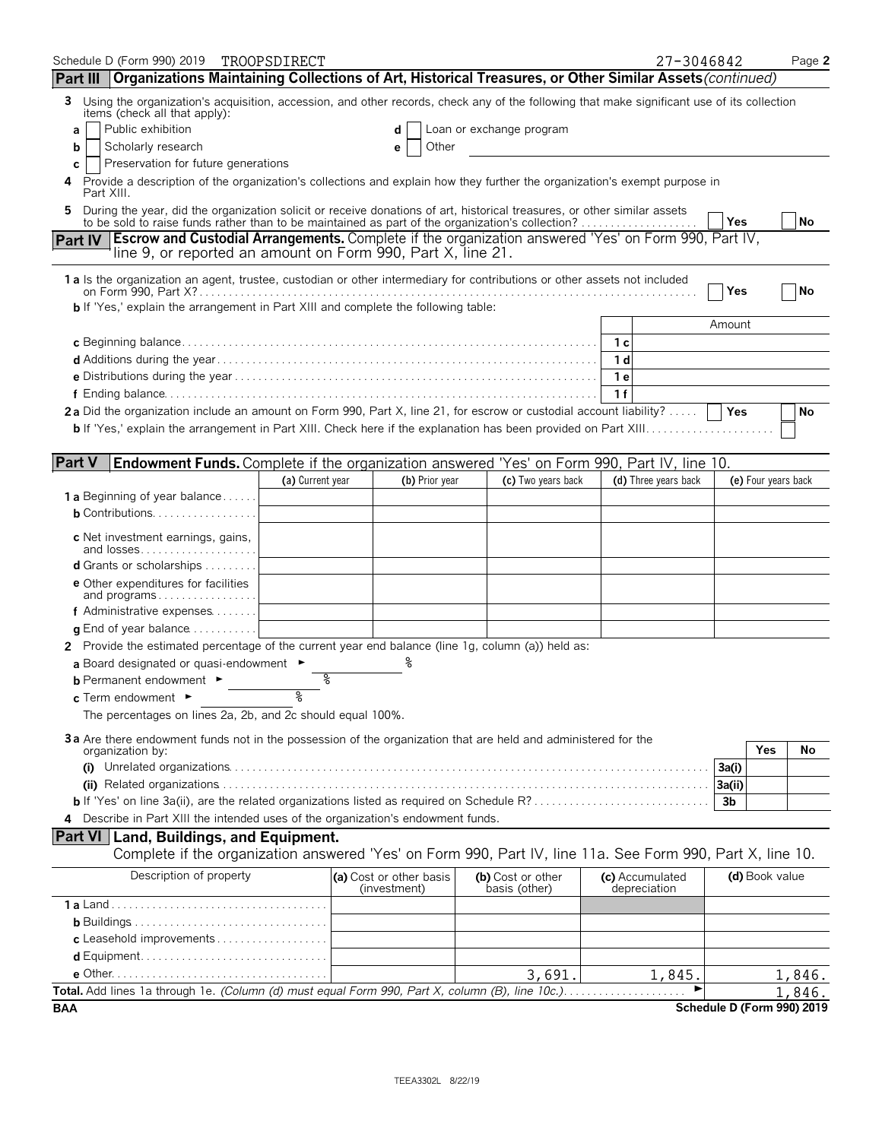| Schedule D (Form 990) 2019 TROOPSDIRECT<br>Part III   Organizations Maintaining Collections of Art, Historical Treasures, or Other Similar Assets (continued)                             |                  |                                         |                                    |                | 27-3046842                      |            |                     | Page 2                     |
|-------------------------------------------------------------------------------------------------------------------------------------------------------------------------------------------|------------------|-----------------------------------------|------------------------------------|----------------|---------------------------------|------------|---------------------|----------------------------|
| Using the organization's acquisition, accession, and other records, check any of the following that make significant use of its collection<br>3                                           |                  |                                         |                                    |                |                                 |            |                     |                            |
| items (check all that apply):                                                                                                                                                             |                  |                                         |                                    |                |                                 |            |                     |                            |
| Public exhibition<br>a                                                                                                                                                                    |                  | d                                       | Loan or exchange program           |                |                                 |            |                     |                            |
| Scholarly research<br>b                                                                                                                                                                   |                  | Other<br>е                              |                                    |                |                                 |            |                     |                            |
| Preservation for future generations<br>C.<br>Provide a description of the organization's collections and explain how they further the organization's exempt purpose in<br>4<br>Part XIII. |                  |                                         |                                    |                |                                 |            |                     |                            |
| During the year, did the organization solicit or receive donations of art, historical treasures, or other similar assets<br>5                                                             |                  |                                         |                                    |                |                                 |            |                     |                            |
| to be sold to raise funds rather than to be maintained as part of the organization's collection?                                                                                          |                  |                                         |                                    |                |                                 | <b>Yes</b> |                     | No                         |
| Part IV Escrow and Custodial Arrangements. Complete if the organization answered 'Yes' on Form 990, Part IV,<br>line 9, or reported an amount on Form 990, Part X, line 21.               |                  |                                         |                                    |                |                                 |            |                     |                            |
| 1 a Is the organization an agent, trustee, custodian or other intermediary for contributions or other assets not included                                                                 |                  |                                         |                                    |                |                                 | Yes        |                     | No                         |
| b If 'Yes,' explain the arrangement in Part XIII and complete the following table:                                                                                                        |                  |                                         |                                    |                |                                 |            |                     |                            |
|                                                                                                                                                                                           |                  |                                         |                                    |                |                                 | Amount     |                     |                            |
|                                                                                                                                                                                           |                  |                                         |                                    |                |                                 |            |                     |                            |
|                                                                                                                                                                                           |                  |                                         |                                    | 1 <sub>d</sub> |                                 |            |                     |                            |
|                                                                                                                                                                                           |                  |                                         |                                    | 1е             |                                 |            |                     |                            |
|                                                                                                                                                                                           |                  |                                         |                                    | 1f             |                                 |            |                     |                            |
| 2a Did the organization include an amount on Form 990, Part X, line 21, for escrow or custodial account liability?                                                                        |                  |                                         |                                    |                |                                 |            |                     | No                         |
|                                                                                                                                                                                           |                  |                                         |                                    |                |                                 |            |                     |                            |
| <b>Part V</b><br><b>Endowment Funds.</b> Complete if the organization answered 'Yes' on Form 990, Part IV, line 10.                                                                       |                  |                                         |                                    |                |                                 |            |                     |                            |
|                                                                                                                                                                                           | (a) Current year | (b) Prior year                          | (c) Two years back                 |                | (d) Three years back            |            | (e) Four years back |                            |
| <b>1 a</b> Beginning of year balance                                                                                                                                                      |                  |                                         |                                    |                |                                 |            |                     |                            |
| <b>b</b> Contributions. $\ldots \ldots \ldots \ldots \ldots$                                                                                                                              |                  |                                         |                                    |                |                                 |            |                     |                            |
|                                                                                                                                                                                           |                  |                                         |                                    |                |                                 |            |                     |                            |
| <b>c</b> Net investment earnings, gains,<br>and losses                                                                                                                                    |                  |                                         |                                    |                |                                 |            |                     |                            |
| d Grants or scholarships                                                                                                                                                                  |                  |                                         |                                    |                |                                 |            |                     |                            |
| <b>e</b> Other expenditures for facilities                                                                                                                                                |                  |                                         |                                    |                |                                 |            |                     |                            |
| and programs<br>f Administrative expenses                                                                                                                                                 |                  |                                         |                                    |                |                                 |            |                     |                            |
| <b>q</b> End of year balance $\dots\dots\dots\dots$                                                                                                                                       |                  |                                         |                                    |                |                                 |            |                     |                            |
| Provide the estimated percentage of the current year end balance (line 1g, column (a)) held as:                                                                                           |                  |                                         |                                    |                |                                 |            |                     |                            |
| a Board designated or quasi-endowment $\blacktriangleright$                                                                                                                               |                  | ిం                                      |                                    |                |                                 |            |                     |                            |
| <b>b</b> Permanent endowment ►                                                                                                                                                            | %                |                                         |                                    |                |                                 |            |                     |                            |
| c Term endowment ►                                                                                                                                                                        | ٩                |                                         |                                    |                |                                 |            |                     |                            |
| The percentages on lines 2a, 2b, and 2c should equal 100%.                                                                                                                                |                  |                                         |                                    |                |                                 |            |                     |                            |
| 3a Are there endowment funds not in the possession of the organization that are held and administered for the                                                                             |                  |                                         |                                    |                |                                 |            |                     |                            |
| organization by:                                                                                                                                                                          |                  |                                         |                                    |                |                                 |            | Yes                 | No                         |
|                                                                                                                                                                                           |                  |                                         |                                    |                |                                 | 3a(i)      |                     |                            |
|                                                                                                                                                                                           |                  |                                         |                                    |                |                                 | 3a(ii)     |                     |                            |
|                                                                                                                                                                                           |                  |                                         |                                    |                |                                 | 3b         |                     |                            |
| 4 Describe in Part XIII the intended uses of the organization's endowment funds.                                                                                                          |                  |                                         |                                    |                |                                 |            |                     |                            |
| <b>Part VI   Land, Buildings, and Equipment.</b><br>Complete if the organization answered 'Yes' on Form 990, Part IV, line 11a. See Form 990, Part X, line 10.                            |                  |                                         |                                    |                |                                 |            |                     |                            |
| Description of property                                                                                                                                                                   |                  | (a) Cost or other basis<br>(investment) | (b) Cost or other<br>basis (other) |                | (c) Accumulated<br>depreciation |            | (d) Book value      |                            |
|                                                                                                                                                                                           |                  |                                         |                                    |                |                                 |            |                     |                            |
|                                                                                                                                                                                           |                  |                                         |                                    |                |                                 |            |                     |                            |
| c Leasehold improvements                                                                                                                                                                  |                  |                                         |                                    |                |                                 |            |                     |                            |
|                                                                                                                                                                                           |                  |                                         |                                    |                |                                 |            |                     |                            |
|                                                                                                                                                                                           |                  |                                         | 3,691.                             |                | 1,845.                          |            |                     | 1,846.                     |
| Total. Add lines 1a through 1e. (Column (d) must equal Form 990, Part X, column (B), line 10c.)                                                                                           |                  |                                         |                                    |                |                                 |            |                     | 1,846.                     |
| BAA                                                                                                                                                                                       |                  |                                         |                                    |                |                                 |            |                     | Schedule D (Form 990) 2019 |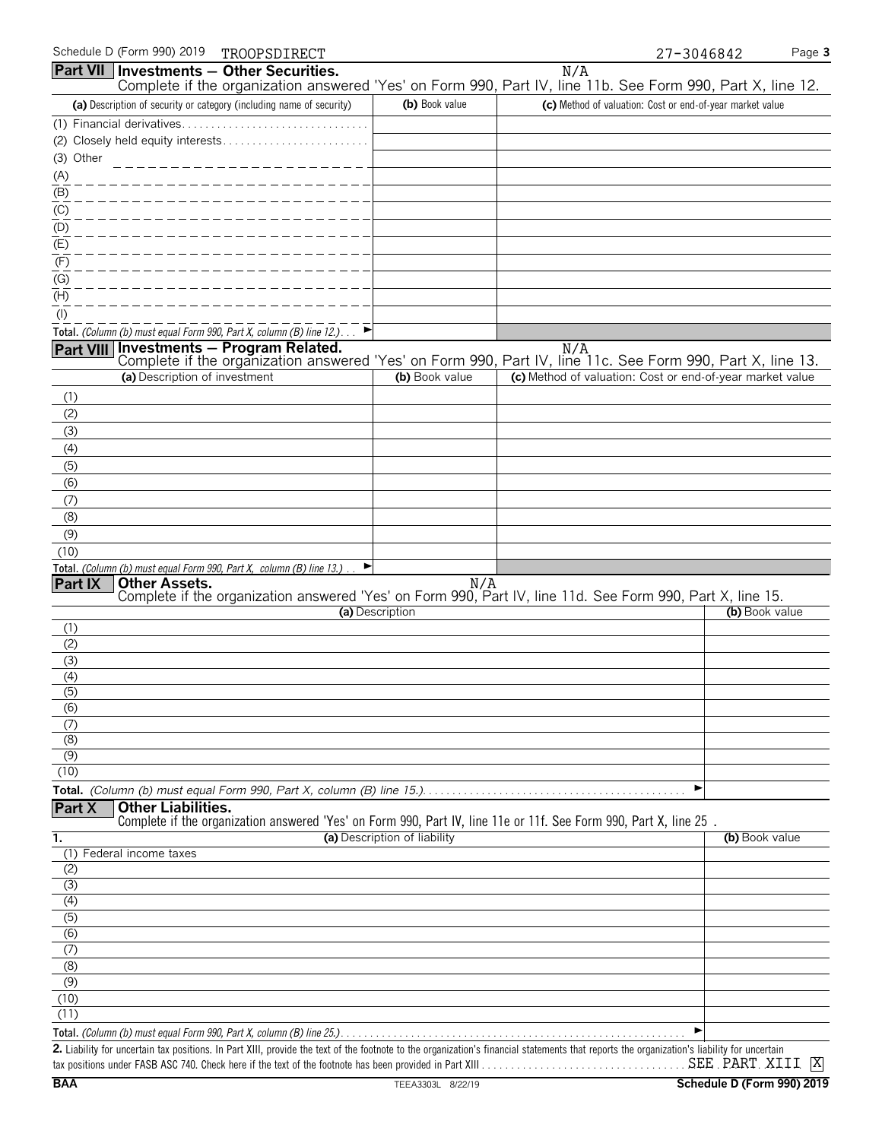| Complete if the organization answered 'Yes' on Form 990, Part IV, line 11b. See Form 990, Part X, line 12.<br>(c) Method of valuation: Cost or end-of-year market value<br>Complete if the organization answered 'Yes' on Form 990, Part IV, line 11c. See Form 990, Part X, line 13.<br>(c) Method of valuation: Cost or end-of-year market value |                                                                                                                                                                                                                                                                           |
|----------------------------------------------------------------------------------------------------------------------------------------------------------------------------------------------------------------------------------------------------------------------------------------------------------------------------------------------------|---------------------------------------------------------------------------------------------------------------------------------------------------------------------------------------------------------------------------------------------------------------------------|
|                                                                                                                                                                                                                                                                                                                                                    |                                                                                                                                                                                                                                                                           |
|                                                                                                                                                                                                                                                                                                                                                    |                                                                                                                                                                                                                                                                           |
|                                                                                                                                                                                                                                                                                                                                                    |                                                                                                                                                                                                                                                                           |
|                                                                                                                                                                                                                                                                                                                                                    |                                                                                                                                                                                                                                                                           |
|                                                                                                                                                                                                                                                                                                                                                    |                                                                                                                                                                                                                                                                           |
|                                                                                                                                                                                                                                                                                                                                                    |                                                                                                                                                                                                                                                                           |
|                                                                                                                                                                                                                                                                                                                                                    |                                                                                                                                                                                                                                                                           |
|                                                                                                                                                                                                                                                                                                                                                    |                                                                                                                                                                                                                                                                           |
|                                                                                                                                                                                                                                                                                                                                                    |                                                                                                                                                                                                                                                                           |
|                                                                                                                                                                                                                                                                                                                                                    |                                                                                                                                                                                                                                                                           |
|                                                                                                                                                                                                                                                                                                                                                    |                                                                                                                                                                                                                                                                           |
|                                                                                                                                                                                                                                                                                                                                                    |                                                                                                                                                                                                                                                                           |
|                                                                                                                                                                                                                                                                                                                                                    |                                                                                                                                                                                                                                                                           |
|                                                                                                                                                                                                                                                                                                                                                    |                                                                                                                                                                                                                                                                           |
|                                                                                                                                                                                                                                                                                                                                                    |                                                                                                                                                                                                                                                                           |
|                                                                                                                                                                                                                                                                                                                                                    |                                                                                                                                                                                                                                                                           |
|                                                                                                                                                                                                                                                                                                                                                    |                                                                                                                                                                                                                                                                           |
|                                                                                                                                                                                                                                                                                                                                                    |                                                                                                                                                                                                                                                                           |
|                                                                                                                                                                                                                                                                                                                                                    |                                                                                                                                                                                                                                                                           |
|                                                                                                                                                                                                                                                                                                                                                    |                                                                                                                                                                                                                                                                           |
|                                                                                                                                                                                                                                                                                                                                                    |                                                                                                                                                                                                                                                                           |
|                                                                                                                                                                                                                                                                                                                                                    |                                                                                                                                                                                                                                                                           |
|                                                                                                                                                                                                                                                                                                                                                    |                                                                                                                                                                                                                                                                           |
|                                                                                                                                                                                                                                                                                                                                                    |                                                                                                                                                                                                                                                                           |
|                                                                                                                                                                                                                                                                                                                                                    |                                                                                                                                                                                                                                                                           |
|                                                                                                                                                                                                                                                                                                                                                    |                                                                                                                                                                                                                                                                           |
|                                                                                                                                                                                                                                                                                                                                                    |                                                                                                                                                                                                                                                                           |
|                                                                                                                                                                                                                                                                                                                                                    |                                                                                                                                                                                                                                                                           |
|                                                                                                                                                                                                                                                                                                                                                    |                                                                                                                                                                                                                                                                           |
|                                                                                                                                                                                                                                                                                                                                                    |                                                                                                                                                                                                                                                                           |
|                                                                                                                                                                                                                                                                                                                                                    |                                                                                                                                                                                                                                                                           |
|                                                                                                                                                                                                                                                                                                                                                    |                                                                                                                                                                                                                                                                           |
|                                                                                                                                                                                                                                                                                                                                                    |                                                                                                                                                                                                                                                                           |
|                                                                                                                                                                                                                                                                                                                                                    |                                                                                                                                                                                                                                                                           |
|                                                                                                                                                                                                                                                                                                                                                    |                                                                                                                                                                                                                                                                           |
|                                                                                                                                                                                                                                                                                                                                                    |                                                                                                                                                                                                                                                                           |
|                                                                                                                                                                                                                                                                                                                                                    |                                                                                                                                                                                                                                                                           |
|                                                                                                                                                                                                                                                                                                                                                    |                                                                                                                                                                                                                                                                           |
|                                                                                                                                                                                                                                                                                                                                                    |                                                                                                                                                                                                                                                                           |
| (b) Book value                                                                                                                                                                                                                                                                                                                                     |                                                                                                                                                                                                                                                                           |
|                                                                                                                                                                                                                                                                                                                                                    |                                                                                                                                                                                                                                                                           |
|                                                                                                                                                                                                                                                                                                                                                    |                                                                                                                                                                                                                                                                           |
|                                                                                                                                                                                                                                                                                                                                                    |                                                                                                                                                                                                                                                                           |
|                                                                                                                                                                                                                                                                                                                                                    |                                                                                                                                                                                                                                                                           |
|                                                                                                                                                                                                                                                                                                                                                    |                                                                                                                                                                                                                                                                           |
|                                                                                                                                                                                                                                                                                                                                                    |                                                                                                                                                                                                                                                                           |
|                                                                                                                                                                                                                                                                                                                                                    |                                                                                                                                                                                                                                                                           |
|                                                                                                                                                                                                                                                                                                                                                    |                                                                                                                                                                                                                                                                           |
|                                                                                                                                                                                                                                                                                                                                                    |                                                                                                                                                                                                                                                                           |
|                                                                                                                                                                                                                                                                                                                                                    |                                                                                                                                                                                                                                                                           |
| 2. Liability for uncertain tax positions. In Part XIII, provide the text of the footnote to the organization's financial statements that reports the organization's liability for uncertain                                                                                                                                                        |                                                                                                                                                                                                                                                                           |
|                                                                                                                                                                                                                                                                                                                                                    | <b>Other Assets.</b><br>Complete if the organization answered 'Yes' on Form 990, Part IV, line 11d. See Form 990, Part X, line 15.<br>(b) Book value<br>Complete if the organization answered 'Yes' on Form 990, Part IV, line 11e or 11f. See Form 990, Part X, line 25. |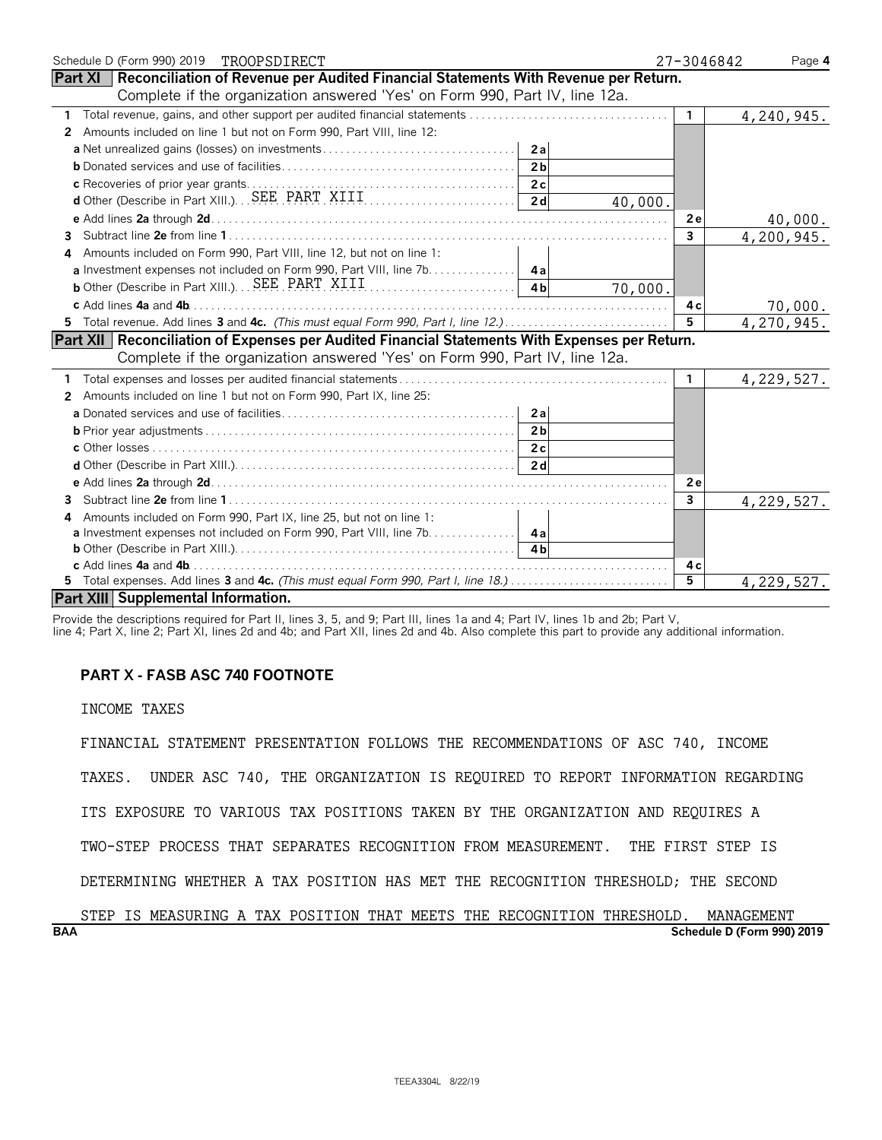| Schedule D (Form 990) 2019 TROOPSDIRECT                                                              | 27-3046842     | Page 4                     |
|------------------------------------------------------------------------------------------------------|----------------|----------------------------|
| <b>Part XI</b>   Reconciliation of Revenue per Audited Financial Statements With Revenue per Return. |                |                            |
| Complete if the organization answered 'Yes' on Form 990, Part IV, line 12a.                          |                |                            |
|                                                                                                      | $\mathbf{1}$   | 4,240,945.                 |
| Amounts included on line 1 but not on Form 990, Part VIII, line 12:<br>$\mathbf{2}$                  |                |                            |
|                                                                                                      |                |                            |
| 2 <sub>b</sub>                                                                                       |                |                            |
|                                                                                                      |                |                            |
| 40,000.                                                                                              |                |                            |
|                                                                                                      | 2e             | 40,000.                    |
| 3.                                                                                                   | $\overline{3}$ | $\overline{4}$ , 200, 945. |
| Amounts included on Form 990, Part VIII, line 12, but not on line 1:                                 |                |                            |
| a Investment expenses not included on Form 990, Part VIII, line 7b. 4a                               |                |                            |
| 4 <sub>h</sub><br>70,000.                                                                            |                |                            |
| c Add lines 4a and 4b.                                                                               | 4 c            | 70,000.                    |
|                                                                                                      | 5              | 4,270,945.                 |
| Part XII   Reconciliation of Expenses per Audited Financial Statements With Expenses per Return.     |                |                            |
| Complete if the organization answered 'Yes' on Form 990, Part IV, line 12a.                          |                |                            |
|                                                                                                      | $\mathbf{1}$   | 4, 229, 527.               |
| Amounts included on line 1 but not on Form 990, Part IX, line 25:<br>$\mathbf{2}^-$                  |                |                            |
| 2a                                                                                                   |                |                            |
| 2 <sub>b</sub>                                                                                       |                |                            |
|                                                                                                      |                |                            |
|                                                                                                      |                |                            |
|                                                                                                      | 2 e            |                            |
| 3                                                                                                    | 3              | 4,229,527.                 |
| Amounts included on Form 990, Part IX, line 25, but not on line 1:<br>4                              |                |                            |
| a Investment expenses not included on Form 990, Part VIII, line 7b. 4a                               |                |                            |
|                                                                                                      |                |                            |
| c Add lines 4a and 4b.                                                                               | 4 c            |                            |
| 5 Total expenses. Add lines 3 and 4c. (This must equal Form 990, Part I, line 18.)                   | 5              | 4,229,527.                 |
| <b>Part XIII Supplemental Information.</b>                                                           |                |                            |

Provide the descriptions required for Part II, lines 3, 5, and 9; Part III, lines 1a and 4; Part IV, lines 1b and 2b; Part V,

line 4; Part X, line 2; Part XI, lines 2d and 4b; and Part XII, lines 2d and 4b. Also complete this part to provide any additional information.

### **PART X - FASB ASC 740 FOOTNOTE**

INCOME TAXES

FINANCIAL STATEMENT PRESENTATION FOLLOWS THE RECOMMENDATIONS OF ASC 740, INCOME TAXES. UNDER ASC 740, THE ORGANIZATION IS REQUIRED TO REPORT INFORMATION REGARDING ITS EXPOSURE TO VARIOUS TAX POSITIONS TAKEN BY THE ORGANIZATION AND REQUIRES A TWO-STEP PROCESS THAT SEPARATES RECOGNITION FROM MEASUREMENT. THE FIRST STEP IS DETERMINING WHETHER A TAX POSITION HAS MET THE RECOGNITION THRESHOLD; THE SECOND

**BAA Schedule D (Form 990) 2019** STEP IS MEASURING A TAX POSITION THAT MEETS THE RECOGNITION THRESHOLD. MANAGEMENT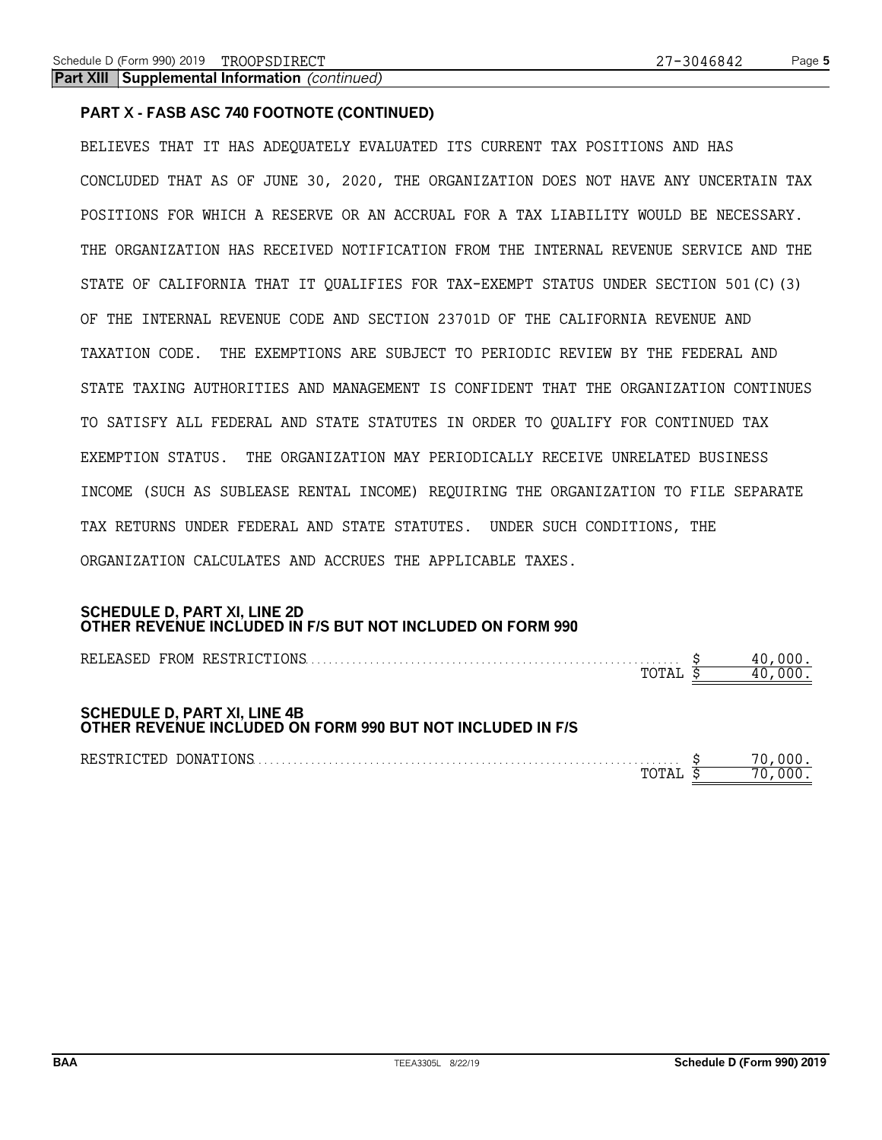### **PART X - FASB ASC 740 FOOTNOTE (CONTINUED)**

BELIEVES THAT IT HAS ADEQUATELY EVALUATED ITS CURRENT TAX POSITIONS AND HAS CONCLUDED THAT AS OF JUNE 30, 2020, THE ORGANIZATION DOES NOT HAVE ANY UNCERTAIN TAX POSITIONS FOR WHICH A RESERVE OR AN ACCRUAL FOR A TAX LIABILITY WOULD BE NECESSARY. THE ORGANIZATION HAS RECEIVED NOTIFICATION FROM THE INTERNAL REVENUE SERVICE AND THE STATE OF CALIFORNIA THAT IT QUALIFIES FOR TAX-EXEMPT STATUS UNDER SECTION 501(C)(3) OF THE INTERNAL REVENUE CODE AND SECTION 23701D OF THE CALIFORNIA REVENUE AND TAXATION CODE. THE EXEMPTIONS ARE SUBJECT TO PERIODIC REVIEW BY THE FEDERAL AND STATE TAXING AUTHORITIES AND MANAGEMENT IS CONFIDENT THAT THE ORGANIZATION CONTINUES TO SATISFY ALL FEDERAL AND STATE STATUTES IN ORDER TO QUALIFY FOR CONTINUED TAX EXEMPTION STATUS. THE ORGANIZATION MAY PERIODICALLY RECEIVE UNRELATED BUSINESS INCOME (SUCH AS SUBLEASE RENTAL INCOME) REQUIRING THE ORGANIZATION TO FILE SEPARATE TAX RETURNS UNDER FEDERAL AND STATE STATUTES. UNDER SUCH CONDITIONS, THE ORGANIZATION CALCULATES AND ACCRUES THE APPLICABLE TAXES.

#### **SCHEDULE D, PART XI, LINE 2D OTHER REVENUE INCLUDED IN F/S BUT NOT INCLUDED ON FORM 990**

|                                                                                                   | TOTAL |  |
|---------------------------------------------------------------------------------------------------|-------|--|
| <b>SCHEDULE D, PART XI, LINE 4B</b><br>OTHER REVENUE INCLUDED ON FORM 990 BUT NOT INCLUDED IN F/S |       |  |
| RESTRICTED DONATIONS                                                                              | ™TAL  |  |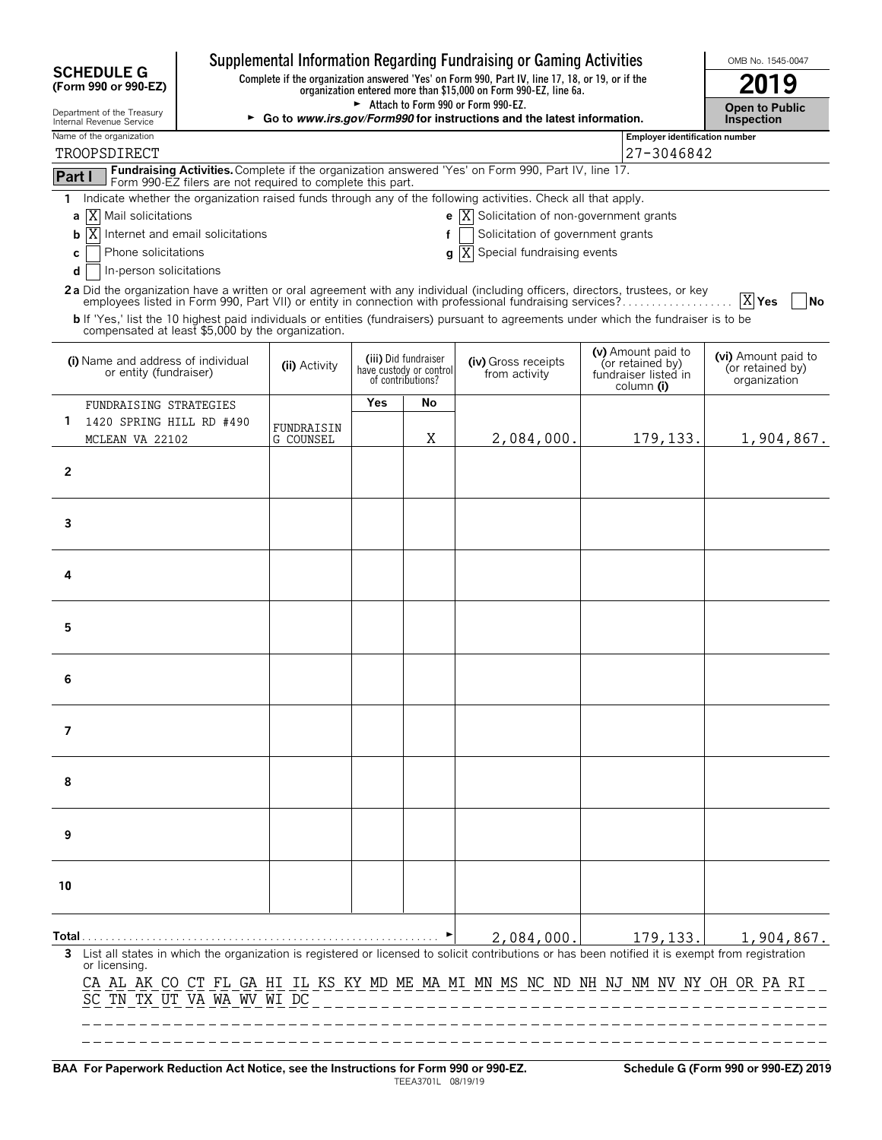| <b>SCHEDULE G</b>                                            |                                                                          |                                            |            |                                                                      | Supplemental Information Regarding Fundraising or Gaming Activities<br>Complete if the organization answered 'Yes' on Form 990, Part IV, line 17, 18, or 19, or if the                                                                           |                                                                              | OMB No. 1545-0047                                       |
|--------------------------------------------------------------|--------------------------------------------------------------------------|--------------------------------------------|------------|----------------------------------------------------------------------|--------------------------------------------------------------------------------------------------------------------------------------------------------------------------------------------------------------------------------------------------|------------------------------------------------------------------------------|---------------------------------------------------------|
| (Form 990 or 990-EZ)                                         |                                                                          | 2019                                       |            |                                                                      |                                                                                                                                                                                                                                                  |                                                                              |                                                         |
| Department of the Treasury<br>Internal Revenue Service       | ► Go to www.irs.gov/Form990 for instructions and the latest information. | <b>Open to Public</b><br><b>Inspection</b> |            |                                                                      |                                                                                                                                                                                                                                                  |                                                                              |                                                         |
| Name of the organization<br>TROOPSDIRECT                     |                                                                          |                                            |            |                                                                      |                                                                                                                                                                                                                                                  | Employer identification number<br>27-3046842                                 |                                                         |
| Part I                                                       |                                                                          |                                            |            |                                                                      | Fundraising Activities. Complete if the organization answered 'Yes' on Form 990, Part IV, line 17.                                                                                                                                               |                                                                              |                                                         |
| 1.                                                           | Form 990-EZ filers are not required to complete this part.               |                                            |            |                                                                      | Indicate whether the organization raised funds through any of the following activities. Check all that apply.                                                                                                                                    |                                                                              |                                                         |
| X Mail solicitations<br>a                                    |                                                                          |                                            |            |                                                                      | <b>e</b> $ X $ Solicitation of non-government grants                                                                                                                                                                                             |                                                                              |                                                         |
| X.<br>b                                                      | Internet and email solicitations                                         |                                            |            | f                                                                    | Solicitation of government grants                                                                                                                                                                                                                |                                                                              |                                                         |
| Phone solicitations<br>c<br>In-person solicitations<br>d     |                                                                          |                                            |            |                                                                      | Special fundraising events<br>g X                                                                                                                                                                                                                |                                                                              |                                                         |
|                                                              |                                                                          |                                            |            |                                                                      | 2a Did the organization have a written or oral agreement with any individual (including officers, directors, trustees, or key                                                                                                                    |                                                                              |                                                         |
|                                                              |                                                                          |                                            |            |                                                                      | employees listed in Form 990, Part VII) or entity in connection with professional fundraising services?<br>b If 'Yes,' list the 10 highest paid individuals or entities (fundraisers) pursuant to agreements under which the fundraiser is to be |                                                                              | $X$ Yes<br>  No                                         |
| compensated at least \$5,000 by the organization.            |                                                                          |                                            |            |                                                                      |                                                                                                                                                                                                                                                  |                                                                              |                                                         |
| (i) Name and address of individual<br>or entity (fundraiser) |                                                                          | (ii) Activity                              |            | (iii) Did fundraiser<br>have custody or control<br>of contributions? | (iv) Gross receipts<br>from activity                                                                                                                                                                                                             | (v) Amount paid to<br>(or retained by)<br>fundraiser listed in<br>column (i) | (vi) Amount paid to<br>(or retained by)<br>organization |
| FUNDRAISING STRATEGIES                                       |                                                                          |                                            | <b>Yes</b> | No                                                                   |                                                                                                                                                                                                                                                  |                                                                              |                                                         |
| 1.<br>1420 SPRING HILL RD #490<br>MCLEAN VA 22102            |                                                                          | FUNDRAISIN<br>G COUNSEL                    |            | Χ                                                                    | 2,084,000.                                                                                                                                                                                                                                       | 179, 133.                                                                    | 1,904,867.                                              |
| $\overline{2}$                                               |                                                                          |                                            |            |                                                                      |                                                                                                                                                                                                                                                  |                                                                              |                                                         |
| 3                                                            |                                                                          |                                            |            |                                                                      |                                                                                                                                                                                                                                                  |                                                                              |                                                         |
| 4                                                            |                                                                          |                                            |            |                                                                      |                                                                                                                                                                                                                                                  |                                                                              |                                                         |
| 5                                                            |                                                                          |                                            |            |                                                                      |                                                                                                                                                                                                                                                  |                                                                              |                                                         |
| 6                                                            |                                                                          |                                            |            |                                                                      |                                                                                                                                                                                                                                                  |                                                                              |                                                         |
| 7                                                            |                                                                          |                                            |            |                                                                      |                                                                                                                                                                                                                                                  |                                                                              |                                                         |
| 8                                                            |                                                                          |                                            |            |                                                                      |                                                                                                                                                                                                                                                  |                                                                              |                                                         |
| 9                                                            |                                                                          |                                            |            |                                                                      |                                                                                                                                                                                                                                                  |                                                                              |                                                         |
| 10                                                           |                                                                          |                                            |            |                                                                      |                                                                                                                                                                                                                                                  |                                                                              |                                                         |
|                                                              |                                                                          |                                            |            |                                                                      | 2,084,000.                                                                                                                                                                                                                                       | 179, 133.                                                                    | 1,904,867.                                              |
| 3<br>or licensing.<br>SC TN TX UT VA WA WV WI DC             |                                                                          |                                            |            |                                                                      | List all states in which the organization is registered or licensed to solicit contributions or has been notified it is exempt from registration<br>CA AL AK CO CT FL GA HI IL KS KY MD ME MA MI MN MS NC ND NH NJ NM NV NY OH OR PA RI          |                                                                              |                                                         |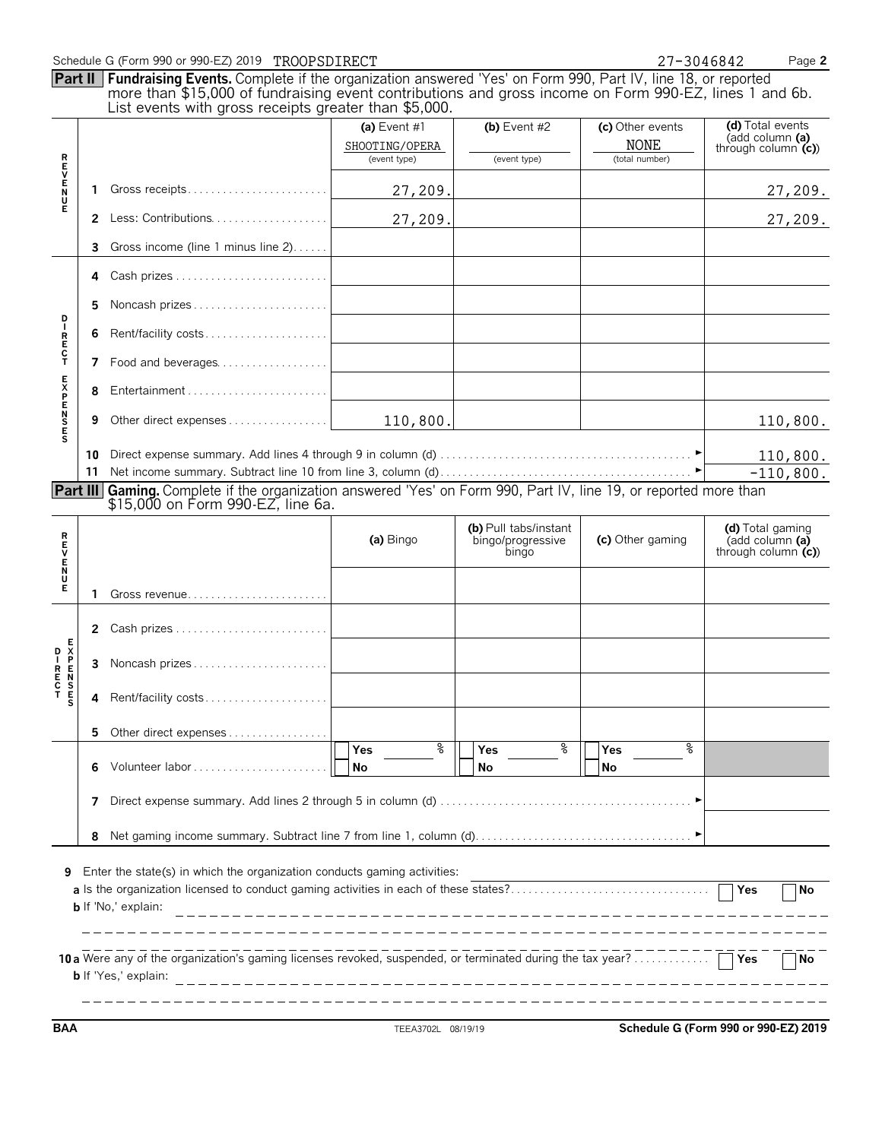|                 |    | Part II Fundraising Events. Complete if the organization answered 'Yes' on Form 990, Part IV, line 18, or reported<br>more than \$15,000 of fundraising event contributions and gross income on Form 990-EZ, lines 1 and 6b.<br>List events with gross receipts greater than \$5,000. |                                                |                                                     |                                                   |                                                             |
|-----------------|----|---------------------------------------------------------------------------------------------------------------------------------------------------------------------------------------------------------------------------------------------------------------------------------------|------------------------------------------------|-----------------------------------------------------|---------------------------------------------------|-------------------------------------------------------------|
|                 |    |                                                                                                                                                                                                                                                                                       | (a) Event #1<br>SHOOTING/OPERA<br>(event type) | (b) Event $#2$<br>(event type)                      | (c) Other events<br><b>NONE</b><br>(total number) | (d) Total events<br>(add column (a)<br>through column $(c)$ |
| トロンドリア          | 1  |                                                                                                                                                                                                                                                                                       | 27,209.                                        |                                                     |                                                   | 27,209.                                                     |
|                 | 2  | Less: Contributions                                                                                                                                                                                                                                                                   | 27,209.                                        |                                                     |                                                   | 27,209.                                                     |
|                 | 3  | Gross income (line 1 minus line 2)                                                                                                                                                                                                                                                    |                                                |                                                     |                                                   |                                                             |
|                 | 4  |                                                                                                                                                                                                                                                                                       |                                                |                                                     |                                                   |                                                             |
|                 | 5  | Noncash prizes                                                                                                                                                                                                                                                                        |                                                |                                                     |                                                   |                                                             |
| D<br>IRECT      |    | Rent/facility costs                                                                                                                                                                                                                                                                   |                                                |                                                     |                                                   |                                                             |
|                 | 7  | Food and beverages                                                                                                                                                                                                                                                                    |                                                |                                                     |                                                   |                                                             |
| <b>EXPENSES</b> | 8  |                                                                                                                                                                                                                                                                                       |                                                |                                                     |                                                   |                                                             |
|                 | 9  |                                                                                                                                                                                                                                                                                       | 110,800.                                       |                                                     |                                                   | 110,800.                                                    |
|                 | 11 |                                                                                                                                                                                                                                                                                       |                                                |                                                     |                                                   | 110,800.<br>$-110,800.$                                     |
|                 |    | <b>Part III</b> Gaming. Complete if the organization answered 'Yes' on Form 990, Part IV, line 19, or reported more than<br>\$15,000 on Form 990-EZ, line 6a.                                                                                                                         |                                                |                                                     |                                                   |                                                             |
| <b>REVENU</b>   |    |                                                                                                                                                                                                                                                                                       | (a) Bingo                                      | (b) Pull tabs/instant<br>bingo/progressive<br>bingo | (c) Other gaming                                  | (d) Total gaming<br>(add column (a)<br>through column $(c)$ |
| Е               | 1  |                                                                                                                                                                                                                                                                                       |                                                |                                                     |                                                   |                                                             |
|                 |    | 2 Cash prizes                                                                                                                                                                                                                                                                         |                                                |                                                     |                                                   |                                                             |
| Е               | 3  | Noncash prizes                                                                                                                                                                                                                                                                        |                                                |                                                     |                                                   |                                                             |
|                 | 4  | Rent/facility costs                                                                                                                                                                                                                                                                   |                                                |                                                     |                                                   |                                                             |
|                 | 5  | Other direct expenses                                                                                                                                                                                                                                                                 |                                                |                                                     |                                                   |                                                             |
|                 | 6  |                                                                                                                                                                                                                                                                                       | ႜ<br>Yes<br>No                                 | ႜ<br>Yes<br>No                                      | °≈<br>Yes<br><b>No</b>                            |                                                             |
|                 | 7  |                                                                                                                                                                                                                                                                                       |                                                |                                                     |                                                   |                                                             |
|                 | 8  |                                                                                                                                                                                                                                                                                       |                                                |                                                     |                                                   |                                                             |
| 9               |    | Enter the state(s) in which the organization conducts gaming activities:<br>a Is the organization licensed to conduct gaming activities in each of these states?<br><b>b</b> If 'No,' explain:                                                                                        | ____________________________________           |                                                     |                                                   | Yes<br><b>No</b>                                            |

**BAA** TEEA3702L 08/19/19 **Schedule G (Form 990 or 990-EZ) 2019**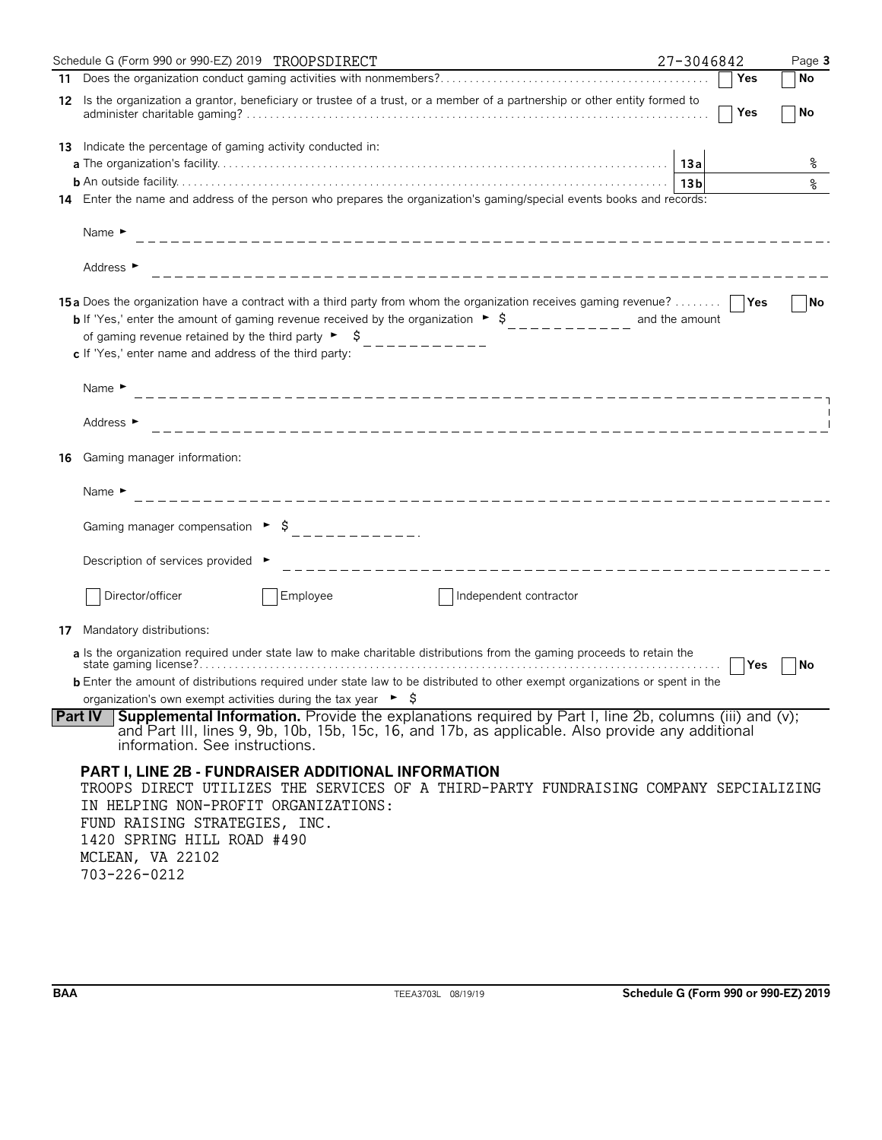|    | Schedule G (Form 990 or 990-EZ) 2019 TROOPSDIRECT                                                                                                                                                                                                                                                                                                                                                            | 27-3046842 |     | Page 3    |
|----|--------------------------------------------------------------------------------------------------------------------------------------------------------------------------------------------------------------------------------------------------------------------------------------------------------------------------------------------------------------------------------------------------------------|------------|-----|-----------|
|    |                                                                                                                                                                                                                                                                                                                                                                                                              |            | Yes | l No      |
|    | 12 Is the organization a grantor, beneficiary or trustee of a trust, or a member of a partnership or other entity formed to                                                                                                                                                                                                                                                                                  |            | Yes | <b>No</b> |
|    | <b>13</b> Indicate the percentage of gaming activity conducted in:                                                                                                                                                                                                                                                                                                                                           |            |     |           |
|    |                                                                                                                                                                                                                                                                                                                                                                                                              |            |     | နွ        |
|    | 14 Enter the name and address of the person who prepares the organization's gaming/special events books and records:                                                                                                                                                                                                                                                                                         |            |     |           |
|    | Name $\blacktriangleright$                                                                                                                                                                                                                                                                                                                                                                                   |            |     |           |
|    | Address ►                                                                                                                                                                                                                                                                                                                                                                                                    |            |     |           |
|    | 15a Does the organization have a contract with a third party from whom the organization receives gaming revenue?      Yes<br><b>b</b> If 'Yes,' enter the amount of gaming revenue received by the organization $\rightarrow$ \$__________ and the amount<br>of gaming revenue retained by the third party $\begin{bmatrix} 5 \\ -2 \end{bmatrix}$<br>c If 'Yes,' enter name and address of the third party: |            |     | No        |
|    | Name $\blacktriangleright$                                                                                                                                                                                                                                                                                                                                                                                   |            |     |           |
|    | Address ►                                                                                                                                                                                                                                                                                                                                                                                                    |            |     |           |
| 16 | Gaming manager information:                                                                                                                                                                                                                                                                                                                                                                                  |            |     |           |
|    | Name $\blacktriangleright$                                                                                                                                                                                                                                                                                                                                                                                   |            |     |           |
|    |                                                                                                                                                                                                                                                                                                                                                                                                              |            |     |           |
|    | Description of services provided                                                                                                                                                                                                                                                                                                                                                                             |            |     |           |
|    | Director/officer<br>Employee<br>Independent contractor                                                                                                                                                                                                                                                                                                                                                       |            |     |           |
| 17 | Mandatory distributions:                                                                                                                                                                                                                                                                                                                                                                                     |            |     |           |
|    | a Is the organization required under state law to make charitable distributions from the gaming proceeds to retain the                                                                                                                                                                                                                                                                                       |            | Yes | No        |
|    | <b>b</b> Enter the amount of distributions required under state law to be distributed to other exempt organizations or spent in the                                                                                                                                                                                                                                                                          |            |     |           |
|    | organization's own exempt activities during the tax year $\triangleright$ $\sharp$                                                                                                                                                                                                                                                                                                                           |            |     |           |
|    | Supplemental Information. Provide the explanations required by Part I, line 2b, columns (iii) and (v);<br><b>Part IV</b><br>and Part III, lines 9, 9b, 10b, 15b, 15c, 16, and 17b, as applicable. Also provide any additional<br>information. See instructions.                                                                                                                                              |            |     |           |
|    | <b>PART I, LINE 2B - FUNDRAISER ADDITIONAL INFORMATION</b><br>TROOPS DIRECT UTILIZES THE SERVICES OF A THIRD-PARTY FUNDRAISING COMPANY SEPCIALIZING<br>IN HELPING NON-PROFIT ORGANIZATIONS:<br>FUND RAISING STRATEGIES, INC.<br>1420 SPRING HILL ROAD #490<br>MCLEAN, VA 22102<br>703-226-0212                                                                                                               |            |     |           |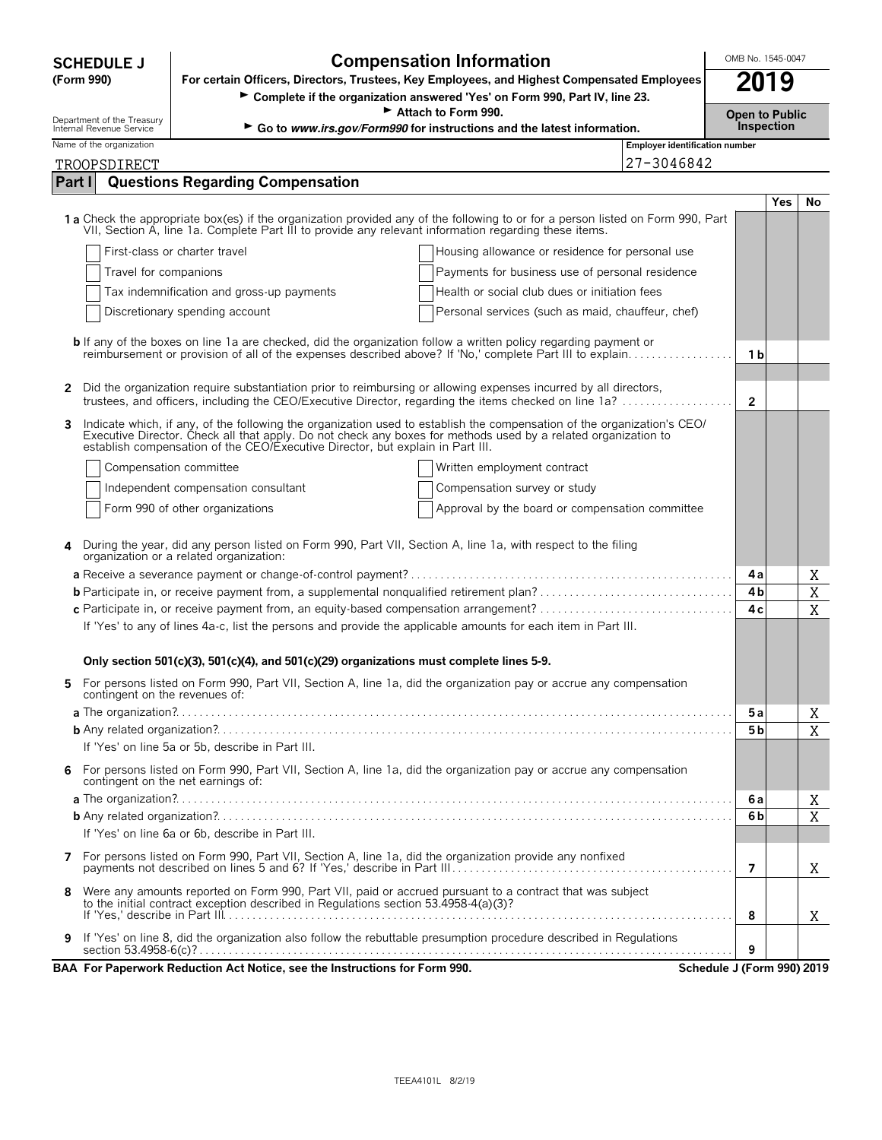| <b>SCHEDULE J</b>                                 | <b>Compensation Information</b>                                                                                                                                                                                                                                                                                          |                                       |                |                                     | OMB No. 1545-0047 |  |  |  |
|---------------------------------------------------|--------------------------------------------------------------------------------------------------------------------------------------------------------------------------------------------------------------------------------------------------------------------------------------------------------------------------|---------------------------------------|----------------|-------------------------------------|-------------------|--|--|--|
| (Form 990)                                        | For certain Officers, Directors, Trustees, Key Employees, and Highest Compensated Employees<br>Complete if the organization answered 'Yes' on Form 990, Part IV, line 23.                                                                                                                                                |                                       | 2019           |                                     |                   |  |  |  |
| Attach to Form 990.<br>Department of the Treasury |                                                                                                                                                                                                                                                                                                                          |                                       |                | <b>Open to Public</b><br>Inspection |                   |  |  |  |
| Internal Revenue Service                          | Go to www.irs.gov/Form990 for instructions and the latest information.                                                                                                                                                                                                                                                   | <b>Employer identification number</b> |                |                                     |                   |  |  |  |
| Name of the organization<br>TROOPSDIRECT          | 27-3046842                                                                                                                                                                                                                                                                                                               |                                       |                |                                     |                   |  |  |  |
| Part I                                            | <b>Questions Regarding Compensation</b>                                                                                                                                                                                                                                                                                  |                                       |                |                                     |                   |  |  |  |
|                                                   |                                                                                                                                                                                                                                                                                                                          |                                       |                | <b>Yes</b>                          | No                |  |  |  |
|                                                   | 1a Check the appropriate box(es) if the organization provided any of the following to or for a person listed on Form 990, Part<br>VII. Section A. line 1a. Complete Part III to provide any relevant information regarding these items.                                                                                  |                                       |                |                                     |                   |  |  |  |
|                                                   | First-class or charter travel<br>Housing allowance or residence for personal use                                                                                                                                                                                                                                         |                                       |                |                                     |                   |  |  |  |
| Travel for companions                             | Payments for business use of personal residence                                                                                                                                                                                                                                                                          |                                       |                |                                     |                   |  |  |  |
|                                                   | Tax indemnification and gross-up payments<br>Health or social club dues or initiation fees                                                                                                                                                                                                                               |                                       |                |                                     |                   |  |  |  |
|                                                   | Discretionary spending account<br>Personal services (such as maid, chauffeur, chef)                                                                                                                                                                                                                                      |                                       |                |                                     |                   |  |  |  |
|                                                   | <b>b</b> If any of the boxes on line 1a are checked, did the organization follow a written policy regarding payment or<br>reimbursement or provision of all of the expenses described above? If 'No,' complete Part III to explain                                                                                       |                                       | 1 b            |                                     |                   |  |  |  |
| 2                                                 | Did the organization require substantiation prior to reimbursing or allowing expenses incurred by all directors,<br>trustees, and officers, including the CEO/Executive Director, regarding the items checked on line 1a?                                                                                                |                                       | $\overline{2}$ |                                     |                   |  |  |  |
| 3                                                 | Indicate which, if any, of the following the organization used to establish the compensation of the organization's CEO/<br>Executive Director. Check all that apply. Do not check any boxes for methods used by a related organization to establish compensation of the CEO/Executive Director, but explain in Part III. |                                       |                |                                     |                   |  |  |  |
|                                                   | Compensation committee<br>Written employment contract                                                                                                                                                                                                                                                                    |                                       |                |                                     |                   |  |  |  |
|                                                   | Independent compensation consultant<br>Compensation survey or study                                                                                                                                                                                                                                                      |                                       |                |                                     |                   |  |  |  |
|                                                   | Form 990 of other organizations<br>Approval by the board or compensation committee                                                                                                                                                                                                                                       |                                       |                |                                     |                   |  |  |  |
| 4                                                 | During the year, did any person listed on Form 990, Part VII, Section A, line 1a, with respect to the filing<br>organization or a related organization:                                                                                                                                                                  |                                       |                |                                     |                   |  |  |  |
|                                                   |                                                                                                                                                                                                                                                                                                                          |                                       | 4a             |                                     | Χ                 |  |  |  |
|                                                   |                                                                                                                                                                                                                                                                                                                          |                                       | 4b             |                                     | X                 |  |  |  |
|                                                   | If 'Yes' to any of lines 4a-c, list the persons and provide the applicable amounts for each item in Part III.                                                                                                                                                                                                            |                                       | 4 c            |                                     | X                 |  |  |  |
|                                                   |                                                                                                                                                                                                                                                                                                                          |                                       |                |                                     |                   |  |  |  |
|                                                   | Only section 501(c)(3), 501(c)(4), and 501(c)(29) organizations must complete lines 5-9.                                                                                                                                                                                                                                 |                                       |                |                                     |                   |  |  |  |
| contingent on the revenues of:                    | For persons listed on Form 990, Part VII, Section A, line 1a, did the organization pay or accrue any compensation                                                                                                                                                                                                        |                                       |                |                                     |                   |  |  |  |
|                                                   |                                                                                                                                                                                                                                                                                                                          |                                       | 5a             |                                     | Χ                 |  |  |  |
|                                                   | If 'Yes' on line 5a or 5b, describe in Part III.                                                                                                                                                                                                                                                                         |                                       | 5 <sub>b</sub> |                                     | X                 |  |  |  |
| 6                                                 | For persons listed on Form 990, Part VII, Section A, line 1a, did the organization pay or accrue any compensation<br>contingent on the net earnings of:                                                                                                                                                                  |                                       |                |                                     |                   |  |  |  |
|                                                   |                                                                                                                                                                                                                                                                                                                          |                                       | 6 a            |                                     | Χ                 |  |  |  |
|                                                   |                                                                                                                                                                                                                                                                                                                          |                                       | 6b             |                                     | X                 |  |  |  |
|                                                   | If 'Yes' on line 6a or 6b, describe in Part III.                                                                                                                                                                                                                                                                         |                                       |                |                                     |                   |  |  |  |
| 7                                                 | For persons listed on Form 990, Part VII, Section A, line 1a, did the organization provide any nonfixed                                                                                                                                                                                                                  |                                       | 7              |                                     | X                 |  |  |  |
| 8                                                 | Were any amounts reported on Form 990, Part VII, paid or accrued pursuant to a contract that was subject<br>to the initial contract exception described in Regulations section 53.4958-4(a)(3)?                                                                                                                          |                                       |                |                                     |                   |  |  |  |
|                                                   |                                                                                                                                                                                                                                                                                                                          |                                       | 8              |                                     | X                 |  |  |  |
| 9                                                 | If 'Yes' on line 8, did the organization also follow the rebuttable presumption procedure described in Regulations                                                                                                                                                                                                       |                                       | 9              |                                     |                   |  |  |  |
|                                                   | BAA For Paperwork Reduction Act Notice, see the Instructions for Form 990.                                                                                                                                                                                                                                               | Schedule J (Form 990) 2019            |                |                                     |                   |  |  |  |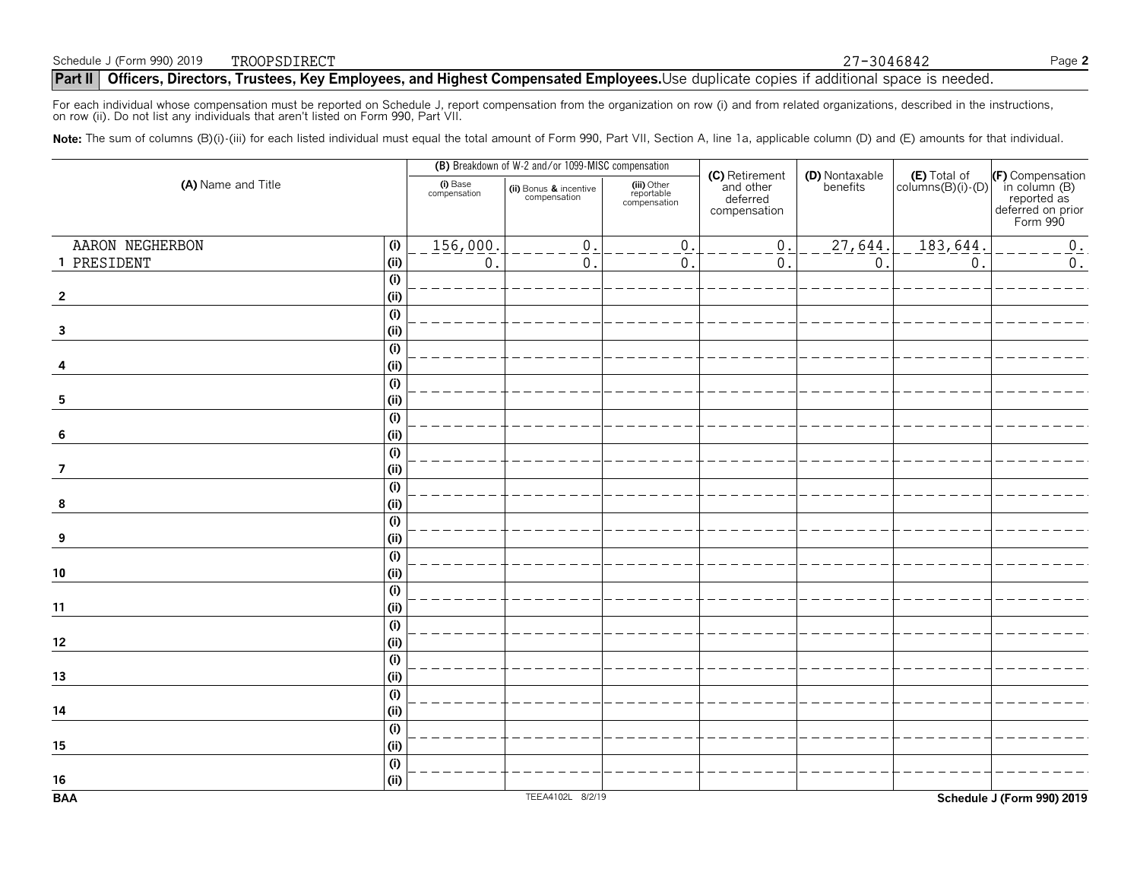### **Part II Officers, Directors, Trustees, Key Employees, and Highest Compensated Employees.** Use duplicate copies if additional space is needed.  $\frac{T}{T}$  27-3046842

For each individual whose compensation must be reported on Schedule J, report compensation from the organization on row (i) and from related organizations, described in the instructions,<br>on row (ii). Do not list any indivi

Note: The sum of columns (B)(i)-(iii) for each listed individual must equal the total amount of Form 990, Part VII, Section A, line 1a, applicable column (D) and (E) amounts for that individual.

|                        |                          | (B) Breakdown of W-2 and/or 1099-MISC compensation |                                           |                                                         |                            |                                     |                                                                                   |
|------------------------|--------------------------|----------------------------------------------------|-------------------------------------------|---------------------------------------------------------|----------------------------|-------------------------------------|-----------------------------------------------------------------------------------|
| (A) Name and Title     | (i) Base<br>compensation | (ii) Bonus & incentive<br>compensation             | (iii) Other<br>reportable<br>compensation | (C) Retirement<br>and other<br>deferred<br>compensation | (D) Nontaxable<br>benefits | $(E)$ Total of<br>columns(B)(i)-(D) | (F) Compensation<br>in column (B)<br>reported as<br>deferred on prior<br>Form 990 |
| AARON NEGHERBON<br>(i) | 156,000.                 | $\mathbf 0$                                        | $\mathbf{0}$                              | $\mathbf{0}$                                            | 27, 644.                   | 183,644                             | $0_{.}$                                                                           |
| 1 PRESIDENT<br>(i)     | $\mathbf 0$              | $\mathbf 0$ .                                      | $\mathbf{0}$                              | $\mathbf{0}$                                            | $0$ .                      | $\mathbf 0$                         | $0$ .                                                                             |
| (i)                    |                          |                                                    |                                           |                                                         |                            |                                     |                                                                                   |
| (i)<br>$\overline{2}$  |                          |                                                    |                                           |                                                         |                            |                                     |                                                                                   |
| (i)                    |                          |                                                    |                                           |                                                         |                            |                                     |                                                                                   |
| (i)<br>$\mathbf{3}$    |                          |                                                    |                                           |                                                         |                            |                                     |                                                                                   |
| (i)                    |                          |                                                    |                                           |                                                         |                            |                                     |                                                                                   |
| (i)<br>4               |                          |                                                    |                                           |                                                         |                            |                                     |                                                                                   |
| (i)                    |                          |                                                    |                                           |                                                         |                            |                                     |                                                                                   |
| (i)<br>$\sqrt{5}$      |                          |                                                    |                                           |                                                         |                            |                                     |                                                                                   |
| (i)                    |                          |                                                    |                                           |                                                         |                            |                                     |                                                                                   |
| (i)<br>6               |                          |                                                    |                                           |                                                         |                            |                                     |                                                                                   |
| (i)                    |                          |                                                    |                                           |                                                         |                            |                                     |                                                                                   |
| $\overline{7}$<br>(i)  |                          |                                                    |                                           |                                                         |                            |                                     |                                                                                   |
| (i)                    |                          |                                                    |                                           |                                                         |                            |                                     |                                                                                   |
| (i)<br>8               |                          |                                                    |                                           |                                                         |                            |                                     |                                                                                   |
| (i)                    |                          |                                                    |                                           |                                                         |                            |                                     |                                                                                   |
| (i)<br>9               |                          |                                                    |                                           |                                                         |                            |                                     |                                                                                   |
| (i)                    |                          |                                                    |                                           |                                                         |                            |                                     |                                                                                   |
| (i)<br>$10$            |                          |                                                    |                                           |                                                         |                            |                                     |                                                                                   |
| (i)                    |                          |                                                    |                                           |                                                         |                            |                                     |                                                                                   |
| (i)<br>11              |                          |                                                    |                                           |                                                         |                            |                                     |                                                                                   |
| (i)                    |                          |                                                    |                                           |                                                         |                            |                                     |                                                                                   |
| (i)<br>12              |                          |                                                    |                                           |                                                         |                            |                                     |                                                                                   |
| (i)<br>(i)<br>13       |                          |                                                    |                                           |                                                         |                            |                                     |                                                                                   |
| (i)                    |                          |                                                    |                                           |                                                         |                            |                                     |                                                                                   |
| (i)<br>14              |                          |                                                    |                                           |                                                         |                            |                                     |                                                                                   |
| (i)                    |                          |                                                    |                                           |                                                         |                            |                                     |                                                                                   |
| (i)<br>15              |                          |                                                    |                                           |                                                         |                            |                                     |                                                                                   |
| (i)                    |                          |                                                    |                                           |                                                         |                            |                                     |                                                                                   |
| (i)<br>$16\,$          |                          |                                                    |                                           |                                                         |                            |                                     |                                                                                   |
| <b>BAA</b>             |                          | TEEA4102L 8/2/19                                   |                                           |                                                         |                            |                                     | Schedule J (Form 990) 2019                                                        |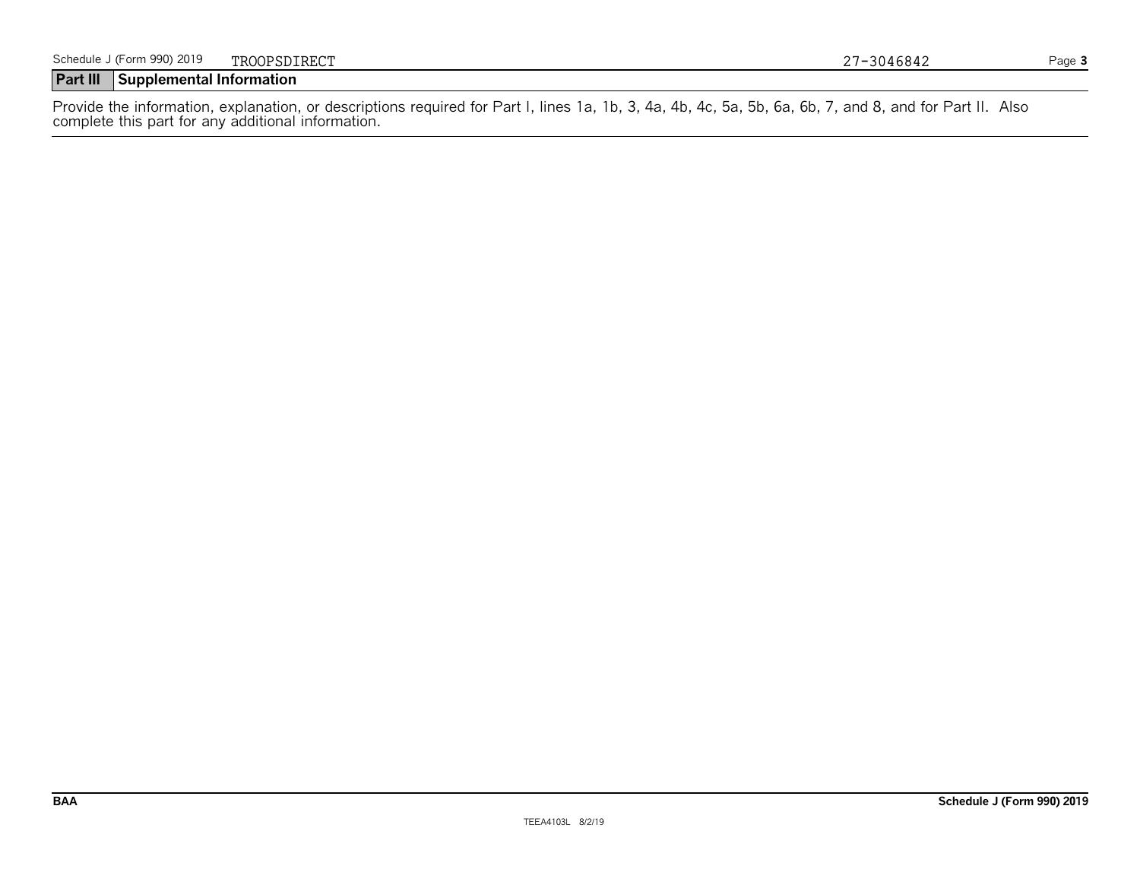Provide the information, explanation, or descriptions required for Part I, lines 1a, 1b, 3, 4a, 4b, 4c, 5a, 5b, 6a, 6b, 7, and 8, and for Part II. Also complete this part for any additional information.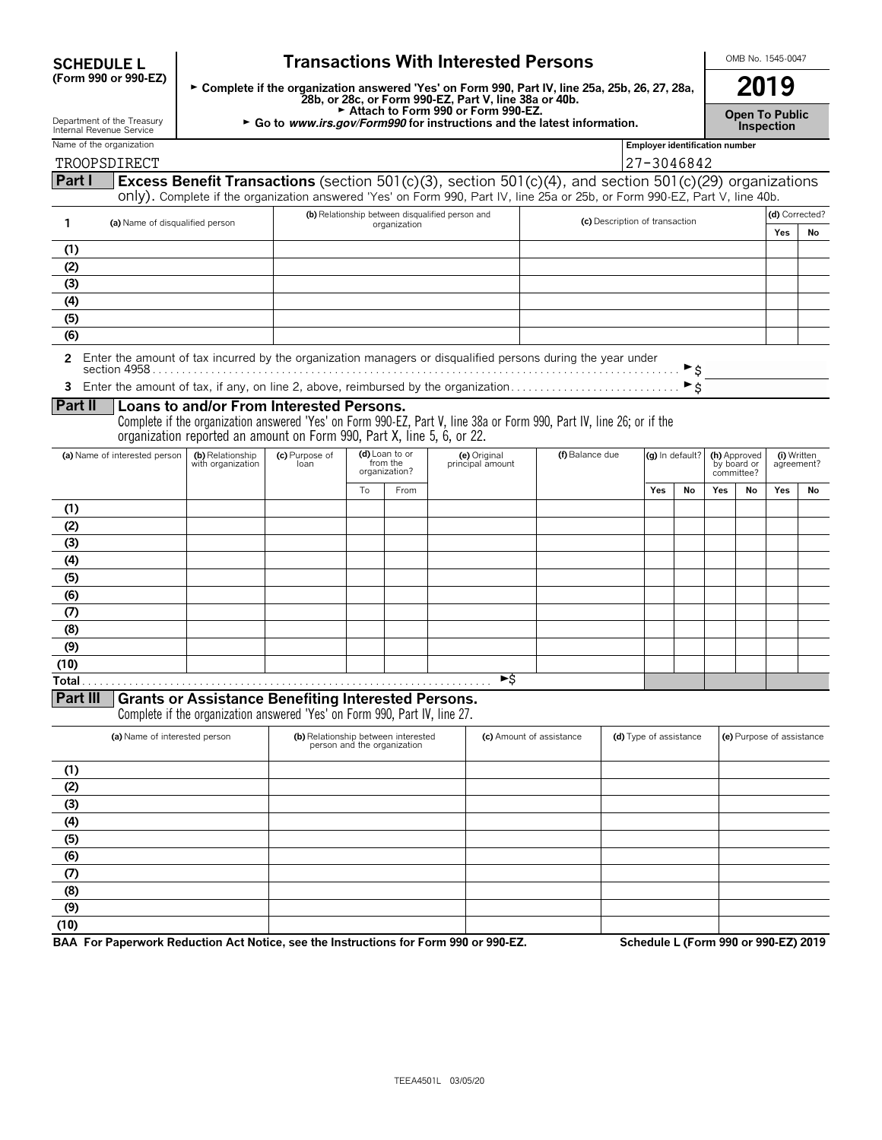| <b>SCHEDULE L</b>                                      | <b>Transactions With Interested Persons</b>                                                                                                              |                        |                                             |              |                                                                                     |                                                                                                                                                                                                                                        |                                       |                                  |                                           | OMB No. 1545-0047 |                           |    |  |  |
|--------------------------------------------------------|----------------------------------------------------------------------------------------------------------------------------------------------------------|------------------------|---------------------------------------------|--------------|-------------------------------------------------------------------------------------|----------------------------------------------------------------------------------------------------------------------------------------------------------------------------------------------------------------------------------------|---------------------------------------|----------------------------------|-------------------------------------------|-------------------|---------------------------|----|--|--|
| (Form 990 or 990-EZ)                                   | ► Complete if the organization answered 'Yes' on Form 990, Part IV, line 25a, 25b, 26, 27, 28a,<br>28b, or 28c, or Form 990-EZ, Part V, line 38a or 40b. |                        |                                             |              |                                                                                     |                                                                                                                                                                                                                                        |                                       |                                  | 2019                                      |                   |                           |    |  |  |
| Department of the Treasury<br>Internal Revenue Service |                                                                                                                                                          |                        |                                             |              | Attach to Form 990 or Form 990-EZ.                                                  | $\triangleright$ Go to <i>www.irs.gov/Form990</i> for instructions and the latest information.                                                                                                                                         |                                       |                                  | <b>Open To Public</b><br>Inspection       |                   |                           |    |  |  |
| Name of the organization                               |                                                                                                                                                          |                        |                                             |              |                                                                                     |                                                                                                                                                                                                                                        | <b>Employer identification number</b> |                                  |                                           |                   |                           |    |  |  |
| TROOPSDIRECT                                           |                                                                                                                                                          |                        |                                             |              |                                                                                     |                                                                                                                                                                                                                                        | 27-3046842                            |                                  |                                           |                   |                           |    |  |  |
| Part I                                                 |                                                                                                                                                          |                        |                                             |              |                                                                                     | Excess Benefit Transactions (section 501(c)(3), section 501(c)(4), and section 501(c)(29) organizations<br>only). Complete if the organization answered 'Yes' on Form 990, Part IV, line 25a or 25b, or Form 990-EZ, Part V, line 40b. |                                       |                                  |                                           |                   |                           |    |  |  |
|                                                        |                                                                                                                                                          |                        |                                             |              | (b) Relationship between disqualified person and                                    |                                                                                                                                                                                                                                        |                                       |                                  |                                           |                   | (d) Corrected?            |    |  |  |
| 1                                                      | (a) Name of disqualified person                                                                                                                          |                        |                                             | organization |                                                                                     | (c) Description of transaction                                                                                                                                                                                                         |                                       |                                  |                                           |                   | Yes                       | No |  |  |
| (1)                                                    |                                                                                                                                                          |                        |                                             |              |                                                                                     |                                                                                                                                                                                                                                        |                                       |                                  |                                           |                   |                           |    |  |  |
| (2)                                                    |                                                                                                                                                          |                        |                                             |              |                                                                                     |                                                                                                                                                                                                                                        |                                       |                                  |                                           |                   |                           |    |  |  |
| (3)                                                    |                                                                                                                                                          |                        |                                             |              |                                                                                     |                                                                                                                                                                                                                                        |                                       |                                  |                                           |                   |                           |    |  |  |
| (4)                                                    |                                                                                                                                                          |                        |                                             |              |                                                                                     |                                                                                                                                                                                                                                        |                                       |                                  |                                           |                   |                           |    |  |  |
| (5)                                                    |                                                                                                                                                          |                        |                                             |              |                                                                                     |                                                                                                                                                                                                                                        |                                       |                                  |                                           |                   |                           |    |  |  |
| (6)                                                    |                                                                                                                                                          |                        |                                             |              |                                                                                     |                                                                                                                                                                                                                                        |                                       |                                  |                                           |                   |                           |    |  |  |
|                                                        |                                                                                                                                                          |                        |                                             |              | 3 Enter the amount of tax, if any, on line 2, above, reimbursed by the organization | 2 Enter the amount of tax incurred by the organization managers or disqualified persons during the year under                                                                                                                          |                                       | ► \$<br>$\blacktriangleright$ \$ |                                           |                   |                           |    |  |  |
| Part II                                                | Loans to and/or From Interested Persons.                                                                                                                 |                        |                                             |              |                                                                                     | Complete if the organization answered 'Yes' on Form 990-EZ, Part V, line 38a or Form 990, Part IV, line 26; or if the                                                                                                                  |                                       |                                  |                                           |                   |                           |    |  |  |
| (a) Name of interested person                          | organization reported an amount on Form 990, Part X, line 5, 6, or 22.<br>(b) Relationship<br>with organization                                          | (c) Purpose of<br>loan | (d) Loan to or<br>from the<br>organization? |              | (e) Original<br>principal amount                                                    | (f) Balance due                                                                                                                                                                                                                        |                                       | (g) In default?                  | (h) Approved<br>by board or<br>committee? |                   | (i) Written<br>agreement? |    |  |  |
|                                                        |                                                                                                                                                          |                        | To                                          | From         |                                                                                     |                                                                                                                                                                                                                                        | Yes                                   | No                               | Yes                                       | No                | Yes                       | No |  |  |
| (1)                                                    |                                                                                                                                                          |                        |                                             |              |                                                                                     |                                                                                                                                                                                                                                        |                                       |                                  |                                           |                   |                           |    |  |  |
| (2)                                                    |                                                                                                                                                          |                        |                                             |              |                                                                                     |                                                                                                                                                                                                                                        |                                       |                                  |                                           |                   |                           |    |  |  |
| (3)                                                    |                                                                                                                                                          |                        |                                             |              |                                                                                     |                                                                                                                                                                                                                                        |                                       |                                  |                                           |                   |                           |    |  |  |
| (4)                                                    |                                                                                                                                                          |                        |                                             |              |                                                                                     |                                                                                                                                                                                                                                        |                                       |                                  |                                           |                   |                           |    |  |  |
| (5)                                                    |                                                                                                                                                          |                        |                                             |              |                                                                                     |                                                                                                                                                                                                                                        |                                       |                                  |                                           |                   |                           |    |  |  |
| (6)                                                    |                                                                                                                                                          |                        |                                             |              |                                                                                     |                                                                                                                                                                                                                                        |                                       |                                  |                                           |                   |                           |    |  |  |
| (7)                                                    |                                                                                                                                                          |                        |                                             |              |                                                                                     |                                                                                                                                                                                                                                        |                                       |                                  |                                           |                   |                           |    |  |  |
| (8)                                                    |                                                                                                                                                          |                        |                                             |              |                                                                                     |                                                                                                                                                                                                                                        |                                       |                                  |                                           |                   |                           |    |  |  |
| (9)                                                    |                                                                                                                                                          |                        |                                             |              |                                                                                     |                                                                                                                                                                                                                                        |                                       |                                  |                                           |                   |                           |    |  |  |
| (10)                                                   |                                                                                                                                                          |                        |                                             |              | ►\$                                                                                 |                                                                                                                                                                                                                                        |                                       |                                  |                                           |                   |                           |    |  |  |

Complete if the organization answered 'Yes' on Form 990, Part IV, line 27.

|      | (a) Name of interested person | (b) Relationship between interested<br>person and the organization | (c) Amount of assistance | (d) Type of assistance | (e) Purpose of assistance |
|------|-------------------------------|--------------------------------------------------------------------|--------------------------|------------------------|---------------------------|
| (1)  |                               |                                                                    |                          |                        |                           |
| (2)  |                               |                                                                    |                          |                        |                           |
| (3)  |                               |                                                                    |                          |                        |                           |
| (4)  |                               |                                                                    |                          |                        |                           |
| (5)  |                               |                                                                    |                          |                        |                           |
| (6)  |                               |                                                                    |                          |                        |                           |
| (7)  |                               |                                                                    |                          |                        |                           |
| (8)  |                               |                                                                    |                          |                        |                           |
| (9)  |                               |                                                                    |                          |                        |                           |
| (10) |                               |                                                                    |                          |                        |                           |

**BAA For Paperwork Reduction Act Notice, see the Instructions for Form 990 or 990-EZ. Schedule L (Form 990 or 990-EZ) 2019**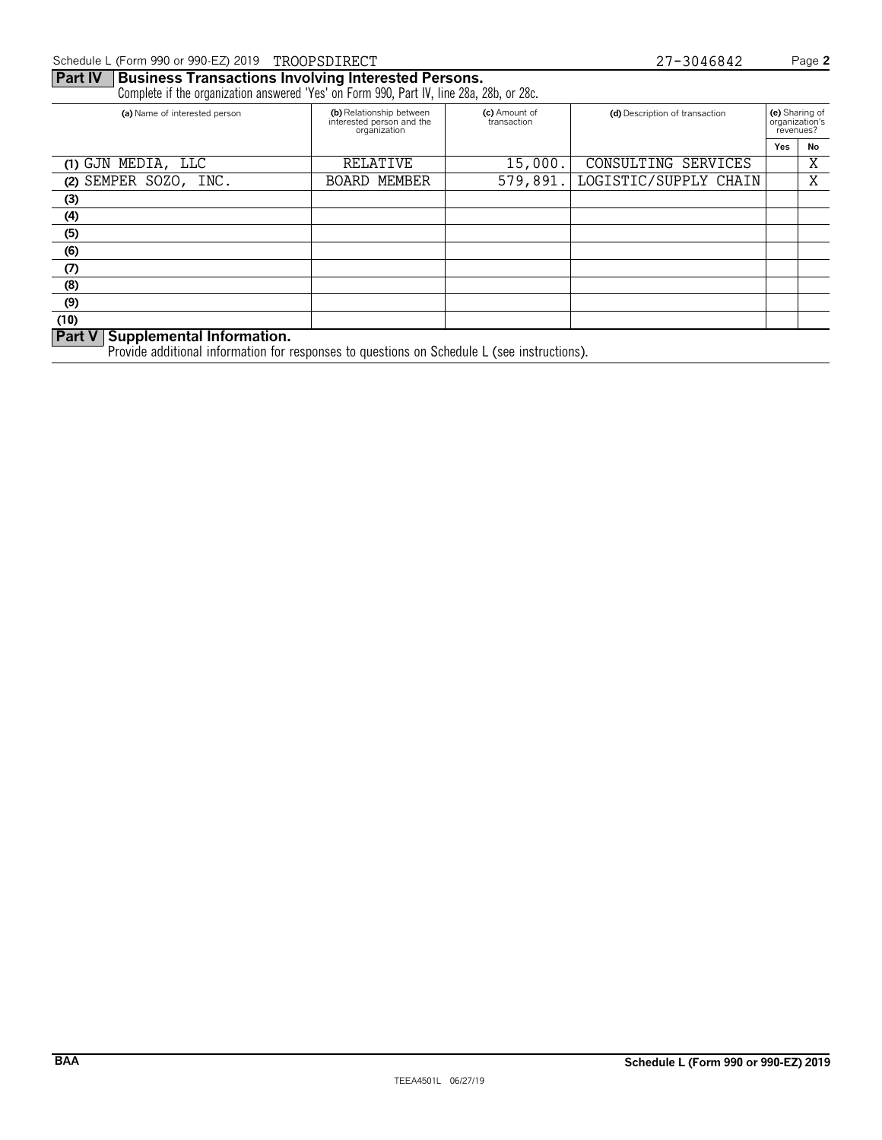Complete if the organization answered 'Yes' on Form 990, Part IV, line 28a, 28b, or 28c.

| (a) Name of interested person  | (b) Relationship between<br>interested person and the<br>organization | (c) Amount of<br>transaction | (d) Description of transaction | (e) Sharing of<br>organization's<br>revenues? |    |
|--------------------------------|-----------------------------------------------------------------------|------------------------------|--------------------------------|-----------------------------------------------|----|
|                                |                                                                       |                              |                                | Yes                                           | No |
| (1) GJN MEDIA, LLC             | RELATIVE                                                              | 15,000.                      | CONSULTING SERVICES            |                                               | Χ  |
| SEMPER SOZO, INC.<br>(2)       | <b>BOARD MEMBER</b>                                                   | 579,891.                     | LOGISTIC/SUPPLY CHAIN          |                                               | Χ  |
| (3)                            |                                                                       |                              |                                |                                               |    |
| (4)                            |                                                                       |                              |                                |                                               |    |
| (5)                            |                                                                       |                              |                                |                                               |    |
| (6)                            |                                                                       |                              |                                |                                               |    |
| (7)                            |                                                                       |                              |                                |                                               |    |
| (8)                            |                                                                       |                              |                                |                                               |    |
| (9)                            |                                                                       |                              |                                |                                               |    |
| (10)                           |                                                                       |                              |                                |                                               |    |
| Day V Supplemental Information |                                                                       |                              |                                |                                               |    |

**Part V Supplemental Information.**

Provide additional information for responses to questions on Schedule L (see instructions).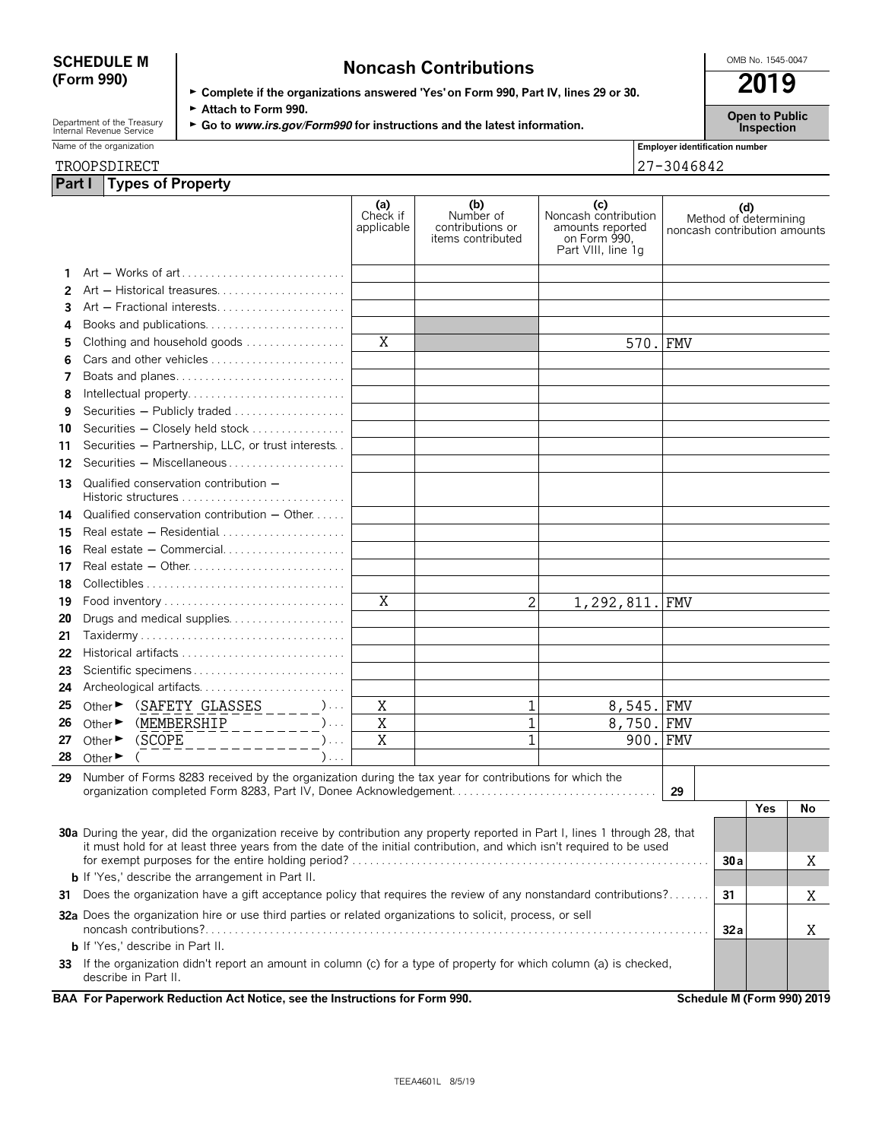| <b>SCHEDULE M</b> | <b>Noncash Contributions</b>                                                         | OMB No. 1545-0047 |  |  |
|-------------------|--------------------------------------------------------------------------------------|-------------------|--|--|
| (Form 990)        | ► Complete if the organizations answered 'Yes' on Form 990, Part IV, lines 29 or 30. | 2019              |  |  |
|                   | $\sim$ A.H. $\Gamma$ 000                                                             |                   |  |  |

Department of the Treasury **Capen to Public**<br>
Internal Revenue Service **Capen to Public**<br> **Co to** *www.irs.gov/Form990* **for instructions and the latest information. Inspection** 

| Name<br>organization<br>the. | <br><b>Employer identification</b><br>number |
|------------------------------|----------------------------------------------|
|                              |                                              |

| 1100101101               |  |
|--------------------------|--|
| Part I Types of Property |  |

|    | TROOPSDIRECT                |                                                                                                                                              |                  |                               |                                                           |                                                                                       |      | 27-3046842                   |                              |     |                            |
|----|-----------------------------|----------------------------------------------------------------------------------------------------------------------------------------------|------------------|-------------------------------|-----------------------------------------------------------|---------------------------------------------------------------------------------------|------|------------------------------|------------------------------|-----|----------------------------|
|    |                             | Part I   Types of Property                                                                                                                   |                  |                               |                                                           |                                                                                       |      |                              |                              |     |                            |
|    |                             |                                                                                                                                              |                  | (a)<br>Check if<br>applicable | (b)<br>Number of<br>contributions or<br>items contributed | (c)<br>Noncash contribution<br>amounts reported<br>on Form 990,<br>Part VIII, line 1q |      | noncash contribution amounts | (d)<br>Method of determining |     |                            |
|    |                             |                                                                                                                                              |                  |                               |                                                           |                                                                                       |      |                              |                              |     |                            |
| 2  |                             | Art - Historical treasures                                                                                                                   |                  |                               |                                                           |                                                                                       |      |                              |                              |     |                            |
| 3  |                             | Art - Fractional interests                                                                                                                   |                  |                               |                                                           |                                                                                       |      |                              |                              |     |                            |
| 4  |                             | Books and publications                                                                                                                       |                  |                               |                                                           |                                                                                       |      |                              |                              |     |                            |
| 5  |                             | Clothing and household goods                                                                                                                 |                  | X                             |                                                           |                                                                                       | 570. | <b>FMV</b>                   |                              |     |                            |
| 6  |                             | Cars and other vehicles                                                                                                                      |                  |                               |                                                           |                                                                                       |      |                              |                              |     |                            |
| 7  |                             | Boats and planes                                                                                                                             |                  |                               |                                                           |                                                                                       |      |                              |                              |     |                            |
| 8  |                             | Intellectual property                                                                                                                        |                  |                               |                                                           |                                                                                       |      |                              |                              |     |                            |
| 9  |                             | Securities - Publicly traded                                                                                                                 |                  |                               |                                                           |                                                                                       |      |                              |                              |     |                            |
| 10 |                             | Securities - Closely held stock                                                                                                              |                  |                               |                                                           |                                                                                       |      |                              |                              |     |                            |
| 11 |                             | Securities - Partnership, LLC, or trust interests                                                                                            |                  |                               |                                                           |                                                                                       |      |                              |                              |     |                            |
| 12 |                             | Securities - Miscellaneous                                                                                                                   |                  |                               |                                                           |                                                                                       |      |                              |                              |     |                            |
| 13 |                             | Qualified conservation contribution -                                                                                                        |                  |                               |                                                           |                                                                                       |      |                              |                              |     |                            |
| 14 |                             | Qualified conservation contribution $-$ Other $\dots$ .                                                                                      |                  |                               |                                                           |                                                                                       |      |                              |                              |     |                            |
| 15 |                             |                                                                                                                                              |                  |                               |                                                           |                                                                                       |      |                              |                              |     |                            |
| 16 |                             | Real estate - Commercial                                                                                                                     |                  |                               |                                                           |                                                                                       |      |                              |                              |     |                            |
| 17 |                             |                                                                                                                                              |                  |                               |                                                           |                                                                                       |      |                              |                              |     |                            |
| 18 |                             |                                                                                                                                              |                  |                               |                                                           |                                                                                       |      |                              |                              |     |                            |
| 19 |                             |                                                                                                                                              |                  | X                             | 2                                                         | 1,292,811.                                                                            |      | <b>FMV</b>                   |                              |     |                            |
| 20 |                             | Drugs and medical supplies                                                                                                                   |                  |                               |                                                           |                                                                                       |      |                              |                              |     |                            |
| 21 |                             |                                                                                                                                              |                  |                               |                                                           |                                                                                       |      |                              |                              |     |                            |
| 22 |                             |                                                                                                                                              |                  |                               |                                                           |                                                                                       |      |                              |                              |     |                            |
| 23 |                             |                                                                                                                                              |                  |                               |                                                           |                                                                                       |      |                              |                              |     |                            |
| 24 |                             | Archeological artifacts                                                                                                                      |                  |                               |                                                           |                                                                                       |      |                              |                              |     |                            |
| 25 |                             | Other $\triangleright$ (SAFETY GLASSES _____)                                                                                                |                  | Χ                             | 1                                                         | 8,545.                                                                                |      | <b>FMV</b>                   |                              |     |                            |
| 26 |                             | Other $\triangleright$ (MEMBERSHIP _________)                                                                                                |                  | $\rm X$                       | $\mathbf 1$                                               | 8,750.                                                                                |      | <b>FMV</b>                   |                              |     |                            |
| 27 | Other $\blacktriangleright$ |                                                                                                                                              | $\sum_{i=1}^{n}$ | $\overline{\mathrm{X}}$       | $\overline{1}$                                            |                                                                                       | 900. | <b>FMV</b>                   |                              |     |                            |
| 28 |                             | (SCOPE _ _ _ _ _ _ _ _ _ _ _                                                                                                                 | ).               |                               |                                                           |                                                                                       |      |                              |                              |     |                            |
|    | Other $\blacktriangleright$ |                                                                                                                                              |                  |                               |                                                           |                                                                                       |      |                              |                              |     |                            |
| 29 |                             | Number of Forms 8283 received by the organization during the tax year for contributions for which the                                        |                  |                               |                                                           |                                                                                       |      | 29                           |                              |     |                            |
|    |                             |                                                                                                                                              |                  |                               |                                                           |                                                                                       |      |                              |                              | Yes | No                         |
|    |                             |                                                                                                                                              |                  |                               |                                                           |                                                                                       |      |                              |                              |     |                            |
|    |                             | <b>30a</b> During the year, did the organization receive by contribution any property reported in Part I, lines 1 through 28, that           |                  |                               |                                                           |                                                                                       |      |                              |                              |     |                            |
|    |                             | it must hold for at least three years from the date of the initial contribution, and which isn't required to be used                         |                  |                               |                                                           |                                                                                       |      |                              | 30a                          |     | Χ                          |
|    |                             | <b>b</b> If 'Yes,' describe the arrangement in Part II.                                                                                      |                  |                               |                                                           |                                                                                       |      |                              |                              |     |                            |
| 31 |                             | Does the organization have a gift acceptance policy that requires the review of any nonstandard contributions?                               |                  |                               |                                                           |                                                                                       |      |                              | 31                           |     |                            |
|    |                             |                                                                                                                                              |                  |                               |                                                           |                                                                                       |      |                              |                              |     | Χ                          |
|    |                             | 32a Does the organization hire or use third parties or related organizations to solicit, process, or sell                                    |                  |                               |                                                           |                                                                                       |      |                              | 32 a                         |     | Χ                          |
|    |                             | <b>b</b> If 'Yes,' describe in Part II.                                                                                                      |                  |                               |                                                           |                                                                                       |      |                              |                              |     |                            |
|    |                             | 33 If the organization didn't report an amount in column (c) for a type of property for which column (a) is checked,<br>describe in Part II. |                  |                               |                                                           |                                                                                       |      |                              |                              |     |                            |
|    |                             | BAA For Paperwork Reduction Act Notice, see the Instructions for Form 990.                                                                   |                  |                               |                                                           |                                                                                       |      |                              |                              |     | Schedule M (Form 990) 2019 |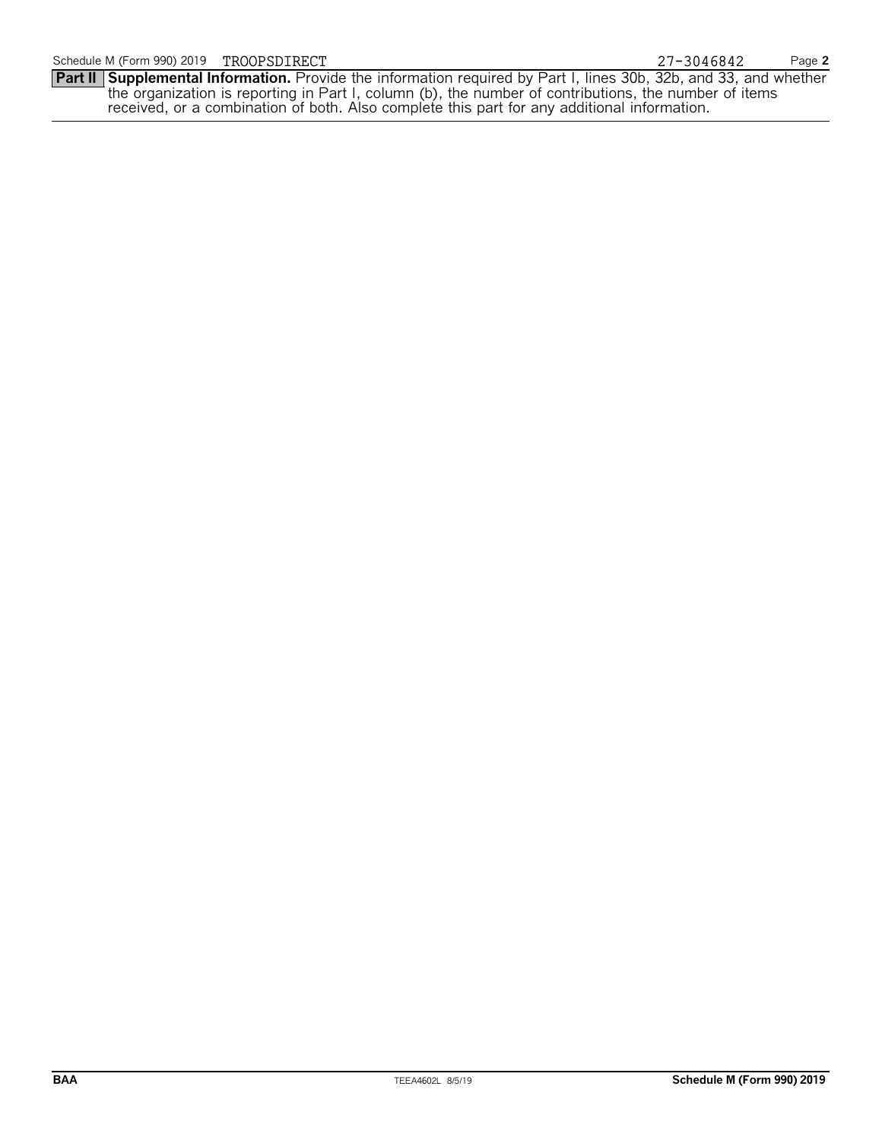**Part II Supplemental Information.** Provide the information required by Part I, lines 30b, 32b, and 33, and whether the organization is reporting in Part I, column (b), the number of contributions, the number of items received, or a combination of both. Also complete this part for any additional information.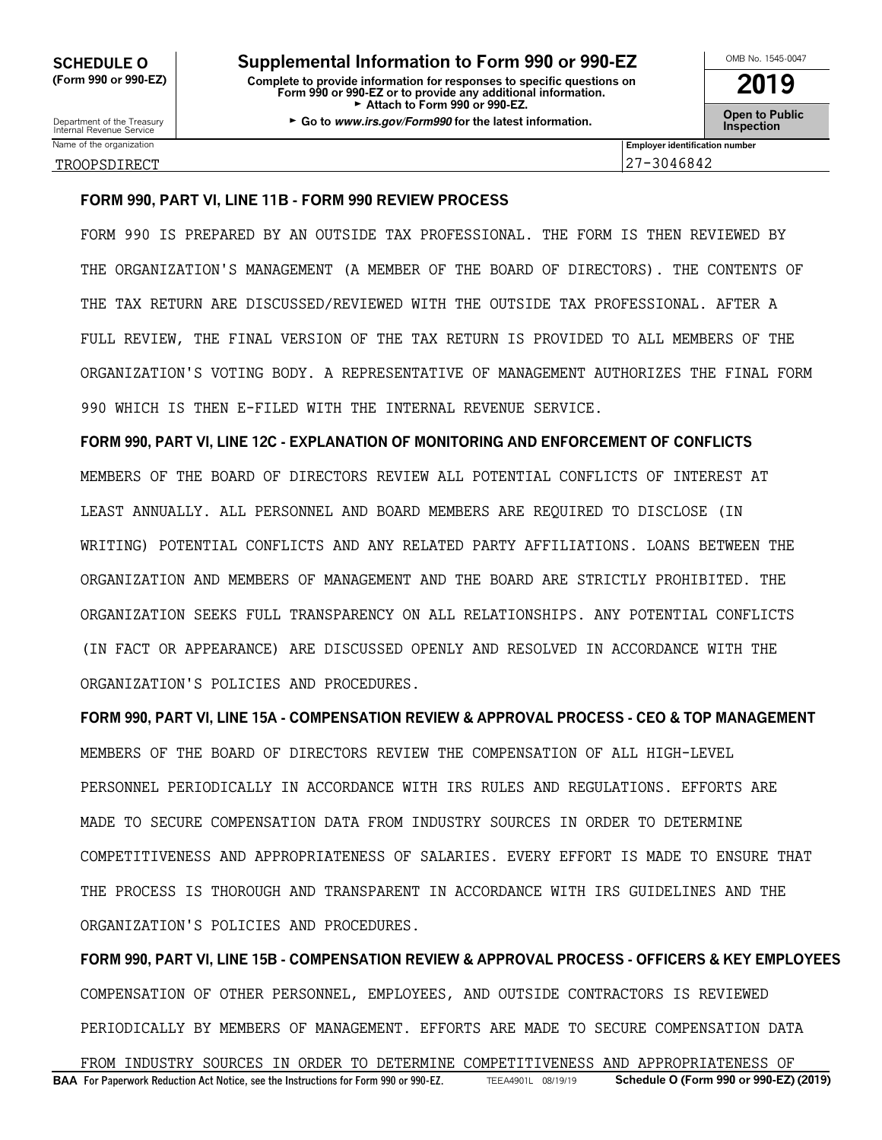SCHEDULE O **No. 25 Supplemental Information to Form 990 or 990-EZ (Form 990 or 990-EZ) Complete to provide information for responses to specific questions on Form 990 or 990-EZ or to provide any additional information. 2019** Attach to Form 990 or 990-EZ. Department of the Treasury **GGO to Sublic**<br>Internal Revenue Service **Inspection**<br>Internal Revenue Service

| OMB No. 1545-0047                    |
|--------------------------------------|
| 2019                                 |
| <b>Open to Public<br/>Inspection</b> |

Name of the organization **Employer identification number** TROOPSDIRECT 27-3046842

#### **FORM 990, PART VI, LINE 11B - FORM 990 REVIEW PROCESS**

FORM 990 IS PREPARED BY AN OUTSIDE TAX PROFESSIONAL. THE FORM IS THEN REVIEWED BY THE ORGANIZATION'S MANAGEMENT (A MEMBER OF THE BOARD OF DIRECTORS). THE CONTENTS OF THE TAX RETURN ARE DISCUSSED/REVIEWED WITH THE OUTSIDE TAX PROFESSIONAL. AFTER A FULL REVIEW, THE FINAL VERSION OF THE TAX RETURN IS PROVIDED TO ALL MEMBERS OF THE ORGANIZATION'S VOTING BODY. A REPRESENTATIVE OF MANAGEMENT AUTHORIZES THE FINAL FORM 990 WHICH IS THEN E-FILED WITH THE INTERNAL REVENUE SERVICE.

**FORM 990, PART VI, LINE 12C - EXPLANATION OF MONITORING AND ENFORCEMENT OF CONFLICTS** MEMBERS OF THE BOARD OF DIRECTORS REVIEW ALL POTENTIAL CONFLICTS OF INTEREST AT LEAST ANNUALLY. ALL PERSONNEL AND BOARD MEMBERS ARE REQUIRED TO DISCLOSE (IN WRITING) POTENTIAL CONFLICTS AND ANY RELATED PARTY AFFILIATIONS. LOANS BETWEEN THE ORGANIZATION AND MEMBERS OF MANAGEMENT AND THE BOARD ARE STRICTLY PROHIBITED. THE ORGANIZATION SEEKS FULL TRANSPARENCY ON ALL RELATIONSHIPS. ANY POTENTIAL CONFLICTS (IN FACT OR APPEARANCE) ARE DISCUSSED OPENLY AND RESOLVED IN ACCORDANCE WITH THE ORGANIZATION'S POLICIES AND PROCEDURES.

**FORM 990, PART VI, LINE 15A - COMPENSATION REVIEW & APPROVAL PROCESS - CEO & TOP MANAGEMENT** MEMBERS OF THE BOARD OF DIRECTORS REVIEW THE COMPENSATION OF ALL HIGH-LEVEL PERSONNEL PERIODICALLY IN ACCORDANCE WITH IRS RULES AND REGULATIONS. EFFORTS ARE MADE TO SECURE COMPENSATION DATA FROM INDUSTRY SOURCES IN ORDER TO DETERMINE COMPETITIVENESS AND APPROPRIATENESS OF SALARIES. EVERY EFFORT IS MADE TO ENSURE THAT THE PROCESS IS THOROUGH AND TRANSPARENT IN ACCORDANCE WITH IRS GUIDELINES AND THE ORGANIZATION'S POLICIES AND PROCEDURES.

**FORM 990, PART VI, LINE 15B - COMPENSATION REVIEW & APPROVAL PROCESS - OFFICERS & KEY EMPLOYEES** COMPENSATION OF OTHER PERSONNEL, EMPLOYEES, AND OUTSIDE CONTRACTORS IS REVIEWED PERIODICALLY BY MEMBERS OF MANAGEMENT. EFFORTS ARE MADE TO SECURE COMPENSATION DATA